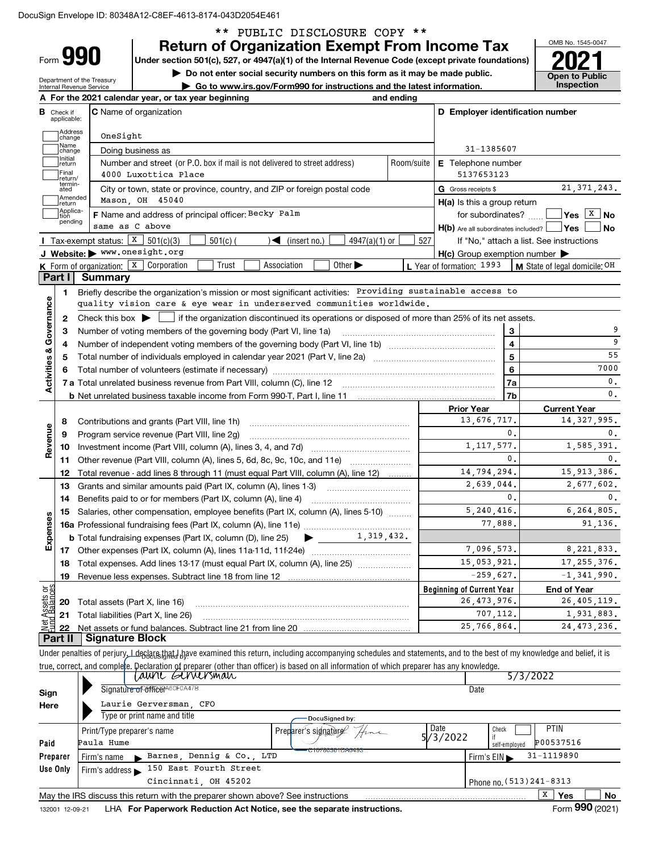\*\* PUBLIC DISCLOSURE COPY \*\*

|                         |                                  |                                                     |                                                                            | <b>Return of Organization Exempt From Income Tax</b>                                                                                                                                                                           |            |                                                     |                         | OMB No. 1545-0047                                                        |
|-------------------------|----------------------------------|-----------------------------------------------------|----------------------------------------------------------------------------|--------------------------------------------------------------------------------------------------------------------------------------------------------------------------------------------------------------------------------|------------|-----------------------------------------------------|-------------------------|--------------------------------------------------------------------------|
|                         | <b>Form 990</b>                  |                                                     |                                                                            | Under section 501(c), 527, or 4947(a)(1) of the Internal Revenue Code (except private foundations)                                                                                                                             |            |                                                     |                         |                                                                          |
|                         |                                  | Department of the Treasury                          |                                                                            | Do not enter social security numbers on this form as it may be made public.                                                                                                                                                    |            |                                                     |                         | <b>Open to Public</b>                                                    |
|                         |                                  | Internal Revenue Service                            |                                                                            | Go to www.irs.gov/Form990 for instructions and the latest information.                                                                                                                                                         |            |                                                     |                         | Inspection                                                               |
|                         |                                  |                                                     | A For the 2021 calendar year, or tax year beginning                        |                                                                                                                                                                                                                                | and ending |                                                     |                         |                                                                          |
|                         | <b>B</b> Check if<br>applicable: |                                                     | <b>C</b> Name of organization                                              |                                                                                                                                                                                                                                |            | D Employer identification number                    |                         |                                                                          |
|                         | Address<br>change                | OneSight                                            |                                                                            |                                                                                                                                                                                                                                |            |                                                     |                         |                                                                          |
|                         | Name<br>change                   |                                                     | Doing business as                                                          |                                                                                                                                                                                                                                |            | 31-1385607                                          |                         |                                                                          |
|                         | Initial<br>return                |                                                     | Number and street (or P.O. box if mail is not delivered to street address) |                                                                                                                                                                                                                                | Room/suite | <b>E</b> Telephone number                           |                         |                                                                          |
|                         | Final<br>return/                 |                                                     | 4000 Luxottica Place                                                       |                                                                                                                                                                                                                                |            | 5137653123                                          |                         |                                                                          |
|                         | termin-<br>ated                  |                                                     | City or town, state or province, country, and ZIP or foreign postal code   |                                                                                                                                                                                                                                |            | G Gross receipts \$                                 |                         | 21, 371, 243.                                                            |
|                         | Amended<br>return                |                                                     | Mason, OH 45040                                                            |                                                                                                                                                                                                                                |            | H(a) Is this a group return                         |                         |                                                                          |
|                         | Applica-<br>tion                 |                                                     | F Name and address of principal officer: Becky Palm                        |                                                                                                                                                                                                                                |            | for subordinates?                                   |                         | $\sqrt{\text{Yes} \left[\begin{matrix} \text{X} \end{matrix}\right]}$ No |
|                         | pending                          |                                                     | same as C above                                                            |                                                                                                                                                                                                                                |            | $H(b)$ Are all subordinates included? $\Box$ Yes    |                         | No                                                                       |
|                         |                                  | <b>I</b> Tax-exempt status: X                       | 501(c)(3)<br>$501(c)$ (                                                    | $\sqrt{\bullet}$ (insert no.)<br>$4947(a)(1)$ or                                                                                                                                                                               | 527        |                                                     |                         | If "No," attach a list. See instructions                                 |
|                         |                                  |                                                     | J Website: > www.onesight.org                                              |                                                                                                                                                                                                                                |            | $H(c)$ Group exemption number $\blacktriangleright$ |                         |                                                                          |
|                         |                                  |                                                     | <b>K</b> Form of organization: $\boxed{\textbf{X}}$ Corporation<br>Trust   | Other $\blacktriangleright$<br>Association                                                                                                                                                                                     |            | L Year of formation: 1993                           |                         | M State of legal domicile: OH                                            |
|                         | Part I                           | <b>Summary</b>                                      |                                                                            |                                                                                                                                                                                                                                |            |                                                     |                         |                                                                          |
|                         | 1.                               |                                                     |                                                                            | Briefly describe the organization's mission or most significant activities: Providing sustainable access to                                                                                                                    |            |                                                     |                         |                                                                          |
|                         |                                  |                                                     |                                                                            | quality vision care & eye wear in underserved communities worldwide.                                                                                                                                                           |            |                                                     |                         |                                                                          |
|                         | 2                                |                                                     | Number of voting members of the governing body (Part VI, line 1a)          | Check this box $\blacktriangleright$ $\Box$ if the organization discontinued its operations or disposed of more than 25% of its net assets.                                                                                    |            |                                                     | 3                       |                                                                          |
|                         | З<br>4                           |                                                     |                                                                            |                                                                                                                                                                                                                                |            |                                                     | $\overline{\mathbf{4}}$ | 9                                                                        |
| Activities & Governance | 5                                |                                                     |                                                                            |                                                                                                                                                                                                                                |            |                                                     | 5                       | 55                                                                       |
|                         |                                  |                                                     |                                                                            | Total number of volunteers (estimate if necessary) manufacture content content content of volunteers (estimate if necessary) manufacture content content content of the content of the content of the content of the content o |            |                                                     | 6                       | 7000                                                                     |
|                         |                                  |                                                     |                                                                            |                                                                                                                                                                                                                                |            |                                                     | 7a                      | 0.                                                                       |
|                         |                                  |                                                     |                                                                            |                                                                                                                                                                                                                                |            |                                                     | 7b                      | 0.                                                                       |
|                         |                                  |                                                     |                                                                            |                                                                                                                                                                                                                                |            | <b>Prior Year</b>                                   |                         | <b>Current Year</b>                                                      |
|                         | 8                                |                                                     | Contributions and grants (Part VIII, line 1h)                              |                                                                                                                                                                                                                                |            | 13,676,717.                                         |                         | 14, 327, 995.                                                            |
|                         | 9                                |                                                     | Program service revenue (Part VIII, line 2g)                               |                                                                                                                                                                                                                                |            |                                                     | 0.                      | 0.                                                                       |
| Revenue                 | 10                               |                                                     |                                                                            |                                                                                                                                                                                                                                |            | 1, 117, 577.                                        |                         | 1,585,391.                                                               |
|                         | 11.                              |                                                     |                                                                            | Other revenue (Part VIII, column (A), lines 5, 6d, 8c, 9c, 10c, and 11e)                                                                                                                                                       |            |                                                     | 0.                      | 0.                                                                       |
|                         | 12                               |                                                     |                                                                            | Total revenue - add lines 8 through 11 (must equal Part VIII, column (A), line 12)                                                                                                                                             |            | 14,794,294.                                         |                         | 15, 913, 386.                                                            |
|                         | 13                               |                                                     |                                                                            | Grants and similar amounts paid (Part IX, column (A), lines 1-3)                                                                                                                                                               |            | 2,639,044.                                          |                         | 2,677,602.                                                               |
|                         | 14                               |                                                     | Benefits paid to or for members (Part IX, column (A), line 4)              |                                                                                                                                                                                                                                |            | 5, 240, 416.                                        | $\mathbf{0}$ .          | 0.                                                                       |
| w                       | 15                               |                                                     |                                                                            | Salaries, other compensation, employee benefits (Part IX, column (A), lines 5-10)                                                                                                                                              |            | 77,888.                                             |                         | 6,264,805.<br>91,136.                                                    |
| Expense                 |                                  |                                                     | <b>b</b> Total fundraising expenses (Part IX, column (D), line 25)         | 1,319,432.                                                                                                                                                                                                                     |            |                                                     |                         |                                                                          |
|                         |                                  |                                                     |                                                                            |                                                                                                                                                                                                                                |            | 7,096,573.                                          |                         | 8, 221, 833.                                                             |
|                         | 18                               |                                                     |                                                                            | Total expenses. Add lines 13-17 (must equal Part IX, column (A), line 25)                                                                                                                                                      |            | 15,053,921.                                         |                         | 17, 255, 376.                                                            |
|                         | 19                               |                                                     |                                                                            |                                                                                                                                                                                                                                |            | $-259,627.$                                         |                         | $-1, 341, 990.$                                                          |
|                         |                                  |                                                     |                                                                            |                                                                                                                                                                                                                                |            | <b>Beginning of Current Year</b>                    |                         | <b>End of Year</b>                                                       |
| ssets or<br>alances     | 20                               |                                                     | Total assets (Part X, line 16)                                             |                                                                                                                                                                                                                                |            | 26, 473, 976.                                       |                         | 26,405,119.                                                              |
| दुँदू                   | 21                               |                                                     | Total liabilities (Part X, line 26)                                        |                                                                                                                                                                                                                                |            | 707,112.                                            |                         | 1,931,883.                                                               |
| 혋                       | 22                               |                                                     |                                                                            |                                                                                                                                                                                                                                |            | 25,766,864.                                         |                         | 24, 473, 236.                                                            |
|                         | Part II                          | <b>Signature Block</b>                              |                                                                            |                                                                                                                                                                                                                                |            |                                                     |                         |                                                                          |
|                         |                                  |                                                     |                                                                            | Under penalties of perjury, Ldeglans that diagrose examined this return, including accompanying schedules and statements, and to the best of my knowledge and belief, it is                                                    |            |                                                     |                         |                                                                          |
|                         |                                  |                                                     |                                                                            | true, correct, and complete. Declaration of preparer (other than officer) is based on all information of which preparer has any knowledge.                                                                                     |            |                                                     |                         |                                                                          |
|                         |                                  |                                                     | <i>Lawre Gerversman</i>                                                    |                                                                                                                                                                                                                                |            |                                                     | 5/3/2022                |                                                                          |
| Sign                    |                                  |                                                     | Signature of Gfff&d <sup>A60F0A47B</sup>                                   |                                                                                                                                                                                                                                |            | Date                                                |                         |                                                                          |
| Here                    |                                  |                                                     | Laurie Gerversman, CFO<br>Type or print name and title                     |                                                                                                                                                                                                                                |            |                                                     |                         |                                                                          |
|                         |                                  |                                                     |                                                                            | DocuSigned by:                                                                                                                                                                                                                 |            | Date<br>Check                                       |                         | <b>PTIN</b>                                                              |
| Paid                    |                                  | Print/Type preparer's name<br>Paula Hume            |                                                                            | Preparer's signature                                                                                                                                                                                                           |            | 5/3/2022                                            |                         | P00537516                                                                |
|                         | Preparer                         |                                                     | Barnes, Dennig & Co., LTD                                                  | <del>C10780361DA0493.</del>                                                                                                                                                                                                    |            |                                                     | self-employed           | 31-1119890                                                               |
|                         | Use Only                         | Firm's name<br>Firm's address $\blacktriangleright$ | 150 East Fourth Street                                                     |                                                                                                                                                                                                                                |            | Firm's EIN                                          |                         |                                                                          |
|                         |                                  |                                                     | Cincinnati, OH 45202                                                       |                                                                                                                                                                                                                                |            |                                                     |                         | Phone no. (513) 241-8313                                                 |
|                         |                                  |                                                     |                                                                            |                                                                                                                                                                                                                                |            |                                                     |                         |                                                                          |

May the IRS discuss this return with the preparer shown above? See instructions

**No**

**Yes** X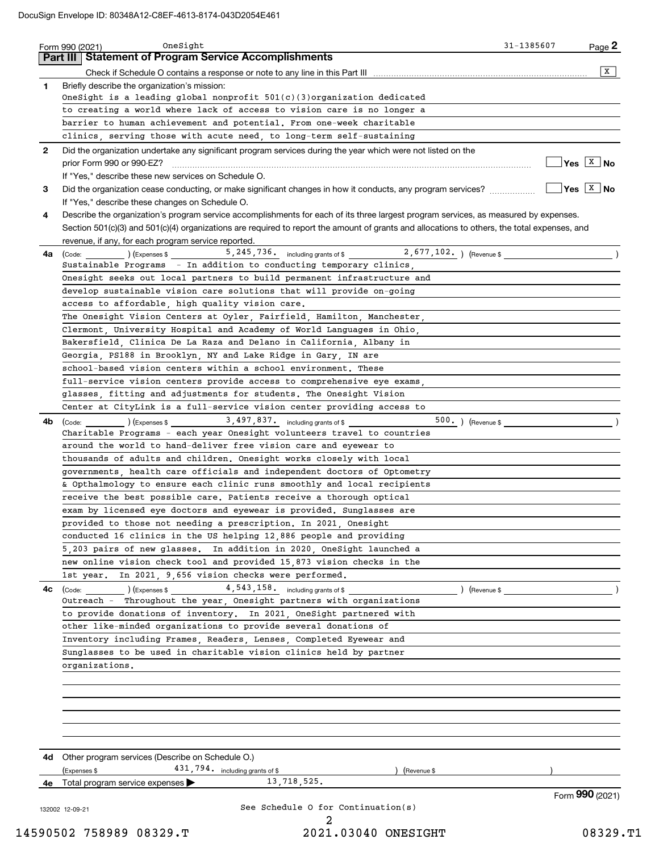| 1.           | <b>Part III Statement of Program Service Accomplishments</b><br>Briefly describe the organization's mission:<br>OneSight is a leading global nonprofit $501(c)(3)$ organization dedicated | X                           |
|--------------|-------------------------------------------------------------------------------------------------------------------------------------------------------------------------------------------|-----------------------------|
|              |                                                                                                                                                                                           |                             |
|              |                                                                                                                                                                                           |                             |
|              |                                                                                                                                                                                           |                             |
|              |                                                                                                                                                                                           |                             |
|              | to creating a world where lack of access to vision care is no longer a                                                                                                                    |                             |
|              | barrier to human achievement and potential. From one-week charitable                                                                                                                      |                             |
|              | clinics, serving those with acute need, to long-term self-sustaining                                                                                                                      |                             |
| $\mathbf{2}$ | Did the organization undertake any significant program services during the year which were not listed on the                                                                              |                             |
|              |                                                                                                                                                                                           | $\sqrt{Y}$ es $\sqrt{X}$ No |
|              | If "Yes," describe these new services on Schedule O.                                                                                                                                      |                             |
| 3            | Did the organization cease conducting, or make significant changes in how it conducts, any program services?                                                                              | $\sqrt{}$ Yes $\sqrt{X}$ No |
|              | If "Yes," describe these changes on Schedule O.                                                                                                                                           |                             |
| 4            | Describe the organization's program service accomplishments for each of its three largest program services, as measured by expenses.                                                      |                             |
|              | Section 501(c)(3) and 501(c)(4) organizations are required to report the amount of grants and allocations to others, the total expenses, and                                              |                             |
|              | revenue, if any, for each program service reported.                                                                                                                                       |                             |
| 4a l         | 5, 245, 736. including grants of \$2, 677, 102. ) (Revenue \$1, 102. )<br>$\left(\text{Code:}\right)$ $\left(\text{Expenses $}\right)$                                                    |                             |
|              | Sustainable Programs - In addition to conducting temporary clinics,                                                                                                                       |                             |
|              | Onesight seeks out local partners to build permanent infrastructure and                                                                                                                   |                             |
|              |                                                                                                                                                                                           |                             |
|              | develop sustainable vision care solutions that will provide on-going                                                                                                                      |                             |
|              | access to affordable, high quality vision care.                                                                                                                                           |                             |
|              | The Onesight Vision Centers at Oyler, Fairfield, Hamilton, Manchester,                                                                                                                    |                             |
|              | Clermont, University Hospital and Academy of World Languages in Ohio,                                                                                                                     |                             |
|              | Bakersfield, Clinica De La Raza and Delano in California, Albany in                                                                                                                       |                             |
|              | Georgia, PS188 in Brooklyn, NY and Lake Ridge in Gary, IN are                                                                                                                             |                             |
|              | school-based vision centers within a school environment. These                                                                                                                            |                             |
|              | full-service vision centers provide access to comprehensive eye exams,                                                                                                                    |                             |
|              | glasses, fitting and adjustments for students. The Onesight Vision                                                                                                                        |                             |
|              | Center at CityLink is a full-service vision center providing access to                                                                                                                    |                             |
| 4b           | $\frac{1}{2}$ (Code: ) (Expenses \$ 3,497,837. including grants of \$                                                                                                                     |                             |
|              | Charitable Programs - each year Onesight volunteers travel to countries                                                                                                                   |                             |
|              | around the world to hand-deliver free vision care and eyewear to                                                                                                                          |                             |
|              | thousands of adults and children. Onesight works closely with local                                                                                                                       |                             |
|              | governments, health care officials and independent doctors of Optometry                                                                                                                   |                             |
|              | & Opthalmology to ensure each clinic runs smoothly and local recipients                                                                                                                   |                             |
|              | receive the best possible care. Patients receive a thorough optical                                                                                                                       |                             |
|              | exam by licensed eye doctors and eyewear is provided. Sunglasses are                                                                                                                      |                             |
|              | provided to those not needing a prescription. In 2021, Onesight                                                                                                                           |                             |
|              | conducted 16 clinics in the US helping 12,886 people and providing                                                                                                                        |                             |
|              |                                                                                                                                                                                           |                             |
|              | 5,203 pairs of new glasses. In addition in 2020, OneSight launched a                                                                                                                      |                             |
|              | new online vision check tool and provided 15,873 vision checks in the                                                                                                                     |                             |
|              | In 2021, 9,656 vision checks were performed.<br>1st year.                                                                                                                                 |                             |
| 4c           | 4, 543, 158. including grants of \$<br>$\text{(Code:} \qquad \qquad \text{)} \text{ (Express } $$<br>) (Revenue \$                                                                        |                             |
|              | Outreach - Throughout the year, Onesight partners with organizations                                                                                                                      |                             |
|              | to provide donations of inventory. In 2021, OneSight partnered with                                                                                                                       |                             |
|              | other like-minded organizations to provide several donations of                                                                                                                           |                             |
|              | Inventory including Frames, Readers, Lenses, Completed Eyewear and                                                                                                                        |                             |
|              | Sunglasses to be used in charitable vision clinics held by partner                                                                                                                        |                             |
|              | organizations.                                                                                                                                                                            |                             |
|              |                                                                                                                                                                                           |                             |
|              |                                                                                                                                                                                           |                             |
|              |                                                                                                                                                                                           |                             |
|              |                                                                                                                                                                                           |                             |
|              |                                                                                                                                                                                           |                             |
|              |                                                                                                                                                                                           |                             |
|              |                                                                                                                                                                                           |                             |
|              | <b>4d</b> Other program services (Describe on Schedule O.)                                                                                                                                |                             |
|              | 431, 794. including grants of \$<br>(Expenses \$<br>) (Revenue \$                                                                                                                         |                             |
| 4е           | 13,718,525.<br>Total program service expenses                                                                                                                                             |                             |
|              |                                                                                                                                                                                           | Form 990 (2021)             |
|              | See Schedule O for Continuation(s)<br>132002 12-09-21                                                                                                                                     |                             |
|              |                                                                                                                                                                                           |                             |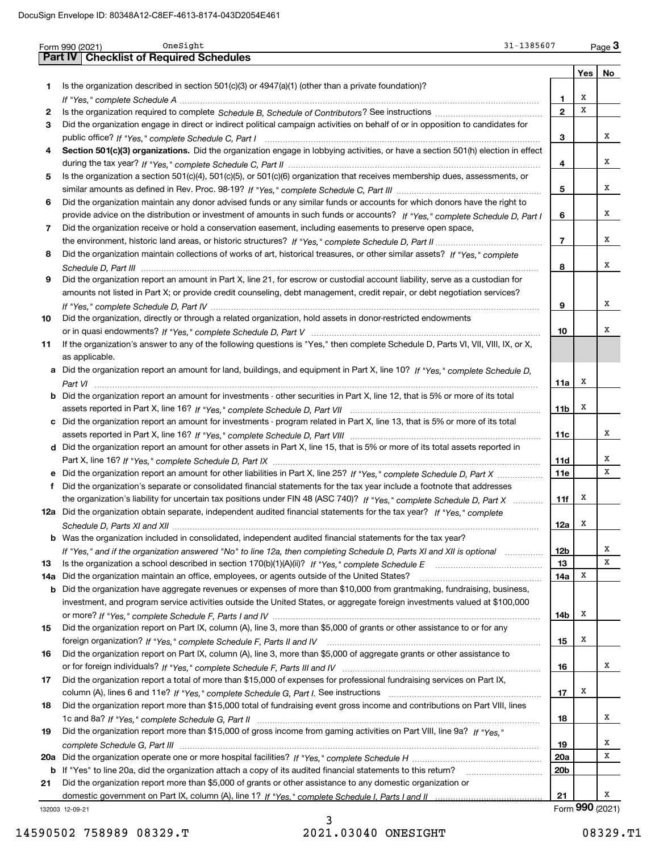|     | OneSight<br>31-1385607<br>Form 990 (2021)                                                                                             |                 |     | $_{\text{Page}}$ 3 |
|-----|---------------------------------------------------------------------------------------------------------------------------------------|-----------------|-----|--------------------|
|     | <b>Part IV   Checklist of Required Schedules</b>                                                                                      |                 |     |                    |
|     |                                                                                                                                       |                 | Yes | No                 |
| 1   | Is the organization described in section $501(c)(3)$ or $4947(a)(1)$ (other than a private foundation)?                               |                 |     |                    |
|     |                                                                                                                                       | 1.              | х   |                    |
| 2   |                                                                                                                                       | $\overline{2}$  | x   |                    |
| 3   | Did the organization engage in direct or indirect political campaign activities on behalf of or in opposition to candidates for       |                 |     |                    |
|     |                                                                                                                                       | 3               |     | x                  |
| 4   | Section 501(c)(3) organizations. Did the organization engage in lobbying activities, or have a section 501(h) election in effect      |                 |     |                    |
|     |                                                                                                                                       | 4               |     | x                  |
| 5   | Is the organization a section 501(c)(4), 501(c)(5), or 501(c)(6) organization that receives membership dues, assessments, or          |                 |     |                    |
|     |                                                                                                                                       | 5               |     | x                  |
| 6   | Did the organization maintain any donor advised funds or any similar funds or accounts for which donors have the right to             |                 |     |                    |
|     | provide advice on the distribution or investment of amounts in such funds or accounts? If "Yes," complete Schedule D, Part I          | 6               |     | x                  |
| 7   | Did the organization receive or hold a conservation easement, including easements to preserve open space,                             |                 |     |                    |
|     |                                                                                                                                       | $\overline{7}$  |     | x                  |
|     |                                                                                                                                       |                 |     |                    |
| 8   | Did the organization maintain collections of works of art, historical treasures, or other similar assets? If "Yes," complete          |                 |     |                    |
|     |                                                                                                                                       | 8               |     | x                  |
| 9   | Did the organization report an amount in Part X, line 21, for escrow or custodial account liability, serve as a custodian for         |                 |     |                    |
|     | amounts not listed in Part X; or provide credit counseling, debt management, credit repair, or debt negotiation services?             |                 |     |                    |
|     |                                                                                                                                       | 9               |     | x                  |
| 10  | Did the organization, directly or through a related organization, hold assets in donor-restricted endowments                          |                 |     |                    |
|     |                                                                                                                                       | 10              |     | х                  |
| 11  | If the organization's answer to any of the following questions is "Yes," then complete Schedule D, Parts VI, VII, VIII, IX, or X,     |                 |     |                    |
|     | as applicable.                                                                                                                        |                 |     |                    |
|     | a Did the organization report an amount for land, buildings, and equipment in Part X, line 10? If "Yes," complete Schedule D.         |                 |     |                    |
|     |                                                                                                                                       | 11a             | х   |                    |
|     | <b>b</b> Did the organization report an amount for investments - other securities in Part X, line 12, that is 5% or more of its total |                 |     |                    |
|     |                                                                                                                                       | 11 <sub>b</sub> | х   |                    |
|     | c Did the organization report an amount for investments - program related in Part X, line 13, that is 5% or more of its total         |                 |     |                    |
|     |                                                                                                                                       | 11c             |     | х                  |
|     | d Did the organization report an amount for other assets in Part X, line 15, that is 5% or more of its total assets reported in       |                 |     |                    |
|     |                                                                                                                                       | 11d             |     | х                  |
|     | e Did the organization report an amount for other liabilities in Part X, line 25? If "Yes," complete Schedule D, Part X               | 11e             |     | x                  |
|     | f Did the organization's separate or consolidated financial statements for the tax year include a footnote that addresses             |                 |     |                    |
|     | the organization's liability for uncertain tax positions under FIN 48 (ASC 740)? If "Yes," complete Schedule D, Part X                | 11f             | x   |                    |
|     | 12a Did the organization obtain separate, independent audited financial statements for the tax year? If "Yes," complete               |                 |     |                    |
|     |                                                                                                                                       | 12a             | X   |                    |
|     | <b>b</b> Was the organization included in consolidated, independent audited financial statements for the tax year?                    |                 |     |                    |
|     | If "Yes," and if the organization answered "No" to line 12a, then completing Schedule D, Parts XI and XII is optional                 | <b>12b</b>      |     | х                  |
| 13  |                                                                                                                                       | 13              |     | х                  |
| 14a | Did the organization maintain an office, employees, or agents outside of the United States?                                           | 14a             | X   |                    |
| b   | Did the organization have aggregate revenues or expenses of more than \$10,000 from grantmaking, fundraising, business,               |                 |     |                    |
|     | investment, and program service activities outside the United States, or aggregate foreign investments valued at \$100,000            |                 |     |                    |
|     |                                                                                                                                       | 14b             | x   |                    |
| 15  | Did the organization report on Part IX, column (A), line 3, more than \$5,000 of grants or other assistance to or for any             |                 |     |                    |
|     |                                                                                                                                       | 15              | x   |                    |
| 16  | Did the organization report on Part IX, column (A), line 3, more than \$5,000 of aggregate grants or other assistance to              |                 |     |                    |
|     |                                                                                                                                       | 16              |     | x                  |
| 17  | Did the organization report a total of more than \$15,000 of expenses for professional fundraising services on Part IX,               |                 |     |                    |
|     |                                                                                                                                       | 17              | х   |                    |
|     | Did the organization report more than \$15,000 total of fundraising event gross income and contributions on Part VIII, lines          |                 |     |                    |
| 18  |                                                                                                                                       |                 |     | х                  |
|     |                                                                                                                                       | 18              |     |                    |
| 19  | Did the organization report more than \$15,000 of gross income from gaming activities on Part VIII, line 9a? If "Yes."                |                 |     |                    |
|     |                                                                                                                                       | 19              |     | х                  |
|     |                                                                                                                                       | 20a             |     | х                  |
|     | b If "Yes" to line 20a, did the organization attach a copy of its audited financial statements to this return?                        | 20 <sub>b</sub> |     |                    |
| 21  | Did the organization report more than \$5,000 of grants or other assistance to any domestic organization or                           |                 |     |                    |
|     |                                                                                                                                       | 21              |     | х                  |
|     | 132003 12-09-21                                                                                                                       |                 |     | Form 990 (2021)    |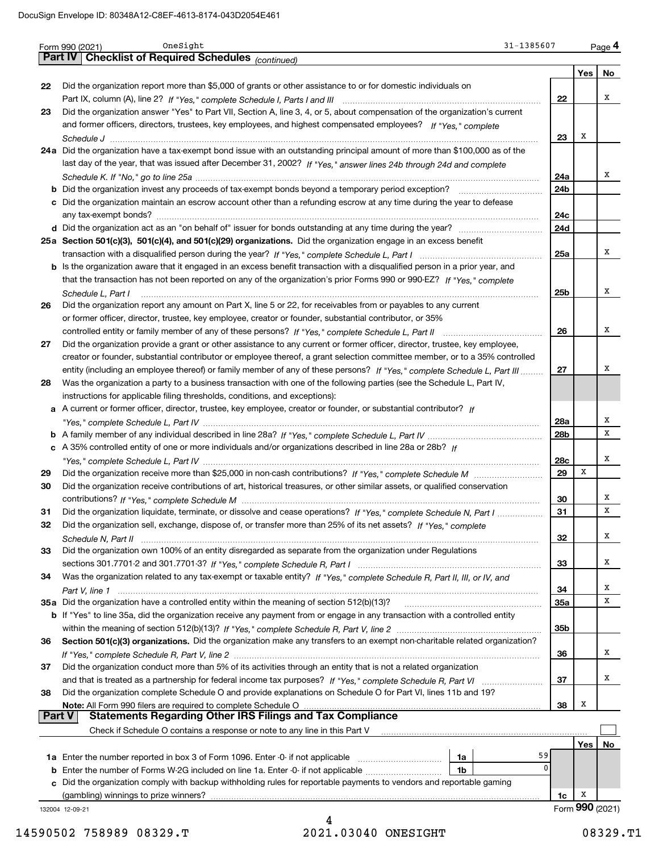|        | OneSight<br>31-1385607<br>Form 990 (2021)                                                                                             |            |     | Page 4          |
|--------|---------------------------------------------------------------------------------------------------------------------------------------|------------|-----|-----------------|
|        | Part IV   Checklist of Required Schedules (continued)                                                                                 |            |     |                 |
|        |                                                                                                                                       |            | Yes | No              |
| 22     | Did the organization report more than \$5,000 of grants or other assistance to or for domestic individuals on                         |            |     |                 |
|        |                                                                                                                                       | 22         |     | х               |
| 23     | Did the organization answer "Yes" to Part VII, Section A, line 3, 4, or 5, about compensation of the organization's current           |            |     |                 |
|        | and former officers, directors, trustees, key employees, and highest compensated employees? If "Yes," complete                        |            |     |                 |
|        |                                                                                                                                       | 23         | Х   |                 |
|        | 24a Did the organization have a tax-exempt bond issue with an outstanding principal amount of more than \$100,000 as of the           |            |     |                 |
|        | last day of the year, that was issued after December 31, 2002? If "Yes," answer lines 24b through 24d and complete                    |            |     |                 |
|        |                                                                                                                                       | 24a        |     | x               |
|        | <b>b</b> Did the organization invest any proceeds of tax-exempt bonds beyond a temporary period exception?                            | 24b        |     |                 |
|        | c Did the organization maintain an escrow account other than a refunding escrow at any time during the year to defease                |            |     |                 |
|        |                                                                                                                                       | 24c        |     |                 |
|        |                                                                                                                                       | 24d        |     |                 |
|        | 25a Section 501(c)(3), 501(c)(4), and 501(c)(29) organizations. Did the organization engage in an excess benefit                      |            |     |                 |
|        |                                                                                                                                       | 25a        |     | X               |
|        | b Is the organization aware that it engaged in an excess benefit transaction with a disqualified person in a prior year, and          |            |     |                 |
|        | that the transaction has not been reported on any of the organization's prior Forms 990 or 990-EZ? If "Yes," complete                 |            |     |                 |
|        |                                                                                                                                       | 25b        |     | X               |
| 26     | Schedule L, Part I<br>Did the organization report any amount on Part X, line 5 or 22, for receivables from or payables to any current |            |     |                 |
|        | or former officer, director, trustee, key employee, creator or founder, substantial contributor, or 35%                               |            |     |                 |
|        | controlled entity or family member of any of these persons? If "Yes," complete Schedule L, Part II                                    | 26         |     | X               |
|        |                                                                                                                                       |            |     |                 |
| 27     | Did the organization provide a grant or other assistance to any current or former officer, director, trustee, key employee,           |            |     |                 |
|        | creator or founder, substantial contributor or employee thereof, a grant selection committee member, or to a 35% controlled           |            |     | х               |
|        | entity (including an employee thereof) or family member of any of these persons? If "Yes," complete Schedule L, Part III              | 27         |     |                 |
| 28     | Was the organization a party to a business transaction with one of the following parties (see the Schedule L, Part IV,                |            |     |                 |
|        | instructions for applicable filing thresholds, conditions, and exceptions):                                                           |            |     |                 |
|        | a A current or former officer, director, trustee, key employee, creator or founder, or substantial contributor? If                    |            |     | х               |
|        |                                                                                                                                       | 28a        |     | x               |
|        |                                                                                                                                       | 28b        |     |                 |
|        | c A 35% controlled entity of one or more individuals and/or organizations described in line 28a or 28b? If                            |            |     |                 |
|        |                                                                                                                                       | 28c        |     | X               |
| 29     |                                                                                                                                       | 29         | X   |                 |
| 30     | Did the organization receive contributions of art, historical treasures, or other similar assets, or qualified conservation           |            |     |                 |
|        |                                                                                                                                       | 30         |     | х               |
| 31     | Did the organization liquidate, terminate, or dissolve and cease operations? If "Yes," complete Schedule N, Part I                    | 31         |     | х               |
|        | Did the organization sell, exchange, dispose of, or transfer more than 25% of its net assets? If "Yes," complete                      |            |     |                 |
|        |                                                                                                                                       | 32         |     | X               |
| 33     | Did the organization own 100% of an entity disregarded as separate from the organization under Regulations                            |            |     |                 |
|        |                                                                                                                                       | 33         |     | x               |
| 34     | Was the organization related to any tax-exempt or taxable entity? If "Yes," complete Schedule R, Part II, III, or IV, and             |            |     |                 |
|        |                                                                                                                                       | 34         |     | x               |
|        | 35a Did the organization have a controlled entity within the meaning of section 512(b)(13)?                                           | <b>35a</b> |     | x               |
|        | b If "Yes" to line 35a, did the organization receive any payment from or engage in any transaction with a controlled entity           |            |     |                 |
|        |                                                                                                                                       | 35b        |     |                 |
| 36     | Section 501(c)(3) organizations. Did the organization make any transfers to an exempt non-charitable related organization?            |            |     |                 |
|        |                                                                                                                                       | 36         |     | x               |
| 37     | Did the organization conduct more than 5% of its activities through an entity that is not a related organization                      |            |     |                 |
|        |                                                                                                                                       | 37         |     | x               |
| 38     | Did the organization complete Schedule O and provide explanations on Schedule O for Part VI, lines 11b and 19?                        |            |     |                 |
|        | Note: All Form 990 filers are required to complete Schedule O                                                                         | 38         | х   |                 |
| Part V | <b>Statements Regarding Other IRS Filings and Tax Compliance</b>                                                                      |            |     |                 |
|        | Check if Schedule O contains a response or note to any line in this Part V                                                            |            |     |                 |
|        |                                                                                                                                       |            | Yes | No              |
|        | 1a                                                                                                                                    | 59         |     |                 |
|        | <b>b</b> Enter the number of Forms W-2G included on line 1a. Enter -0- if not applicable <i>manumumumum</i><br>1b                     | 0          |     |                 |
|        | c Did the organization comply with backup withholding rules for reportable payments to vendors and reportable gaming                  |            |     |                 |
|        | (gambling) winnings to prize winners?                                                                                                 | 1c         | х   |                 |
|        | 132004 12-09-21                                                                                                                       |            |     | Form 990 (2021) |
|        | 4                                                                                                                                     |            |     |                 |

 <sup>14590502 758989 08329.</sup>T 2021.03040 ONESIGHT 08329.T1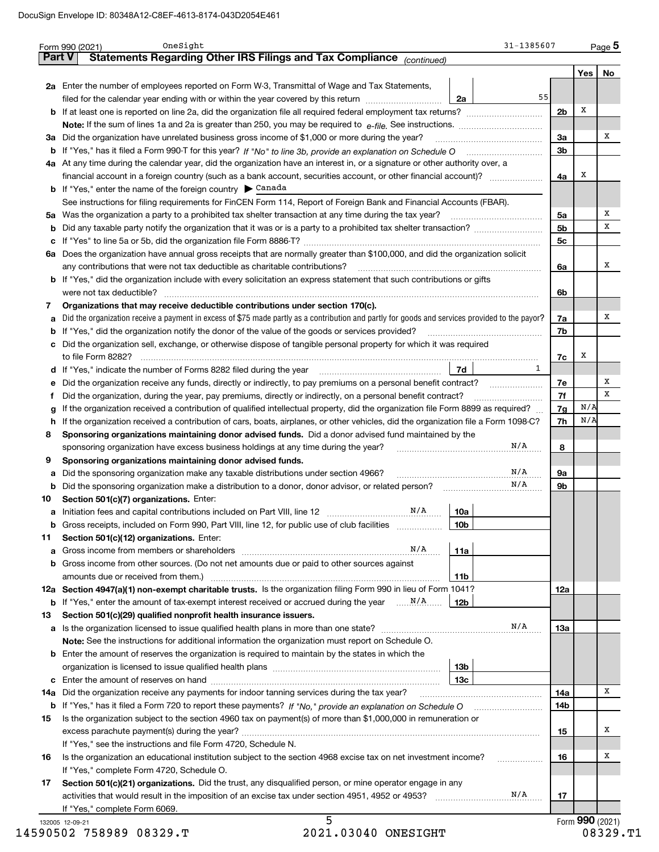|          | Statements Regarding Other IRS Filings and Tax Compliance (continued)                                                                           |                 |                | Yes | No |
|----------|-------------------------------------------------------------------------------------------------------------------------------------------------|-----------------|----------------|-----|----|
|          | 2a Enter the number of employees reported on Form W-3, Transmittal of Wage and Tax Statements,                                                  |                 |                |     |    |
|          | filed for the calendar year ending with or within the year covered by this return                                                               | 55<br>2a        |                |     |    |
| b        |                                                                                                                                                 |                 | 2 <sub>b</sub> | x   |    |
|          |                                                                                                                                                 |                 |                |     |    |
|          |                                                                                                                                                 |                 |                |     | х  |
|          | 3a Did the organization have unrelated business gross income of \$1,000 or more during the year?                                                |                 | За             |     |    |
| b        |                                                                                                                                                 |                 | 3b             |     |    |
|          | 4a At any time during the calendar year, did the organization have an interest in, or a signature or other authority over, a                    |                 |                |     |    |
|          |                                                                                                                                                 |                 | 4a             | x   |    |
|          | <b>b</b> If "Yes," enter the name of the foreign country $\triangleright$ Canada                                                                |                 |                |     |    |
|          | See instructions for filing requirements for FinCEN Form 114, Report of Foreign Bank and Financial Accounts (FBAR).                             |                 |                |     |    |
|          | 5a Was the organization a party to a prohibited tax shelter transaction at any time during the tax year?                                        |                 | 5a             |     | х  |
| b        |                                                                                                                                                 |                 | 5 <sub>b</sub> |     | х  |
| c        |                                                                                                                                                 |                 | 5c             |     |    |
| 6a       | Does the organization have annual gross receipts that are normally greater than \$100,000, and did the organization solicit                     |                 |                |     |    |
|          | any contributions that were not tax deductible as charitable contributions?                                                                     |                 | 6a             |     | х  |
| b        | If "Yes," did the organization include with every solicitation an express statement that such contributions or gifts                            |                 |                |     |    |
|          |                                                                                                                                                 |                 | 6b             |     |    |
| 7        | Organizations that may receive deductible contributions under section 170(c).                                                                   |                 |                |     |    |
|          | Did the organization receive a payment in excess of \$75 made partly as a contribution and partly for goods and services provided to the payor? |                 | 7a             |     | х  |
| а        |                                                                                                                                                 |                 |                |     |    |
| b        | If "Yes," did the organization notify the donor of the value of the goods or services provided?                                                 |                 | 7b             |     |    |
| с        | Did the organization sell, exchange, or otherwise dispose of tangible personal property for which it was required                               |                 |                |     |    |
|          |                                                                                                                                                 |                 | 7c             | х   |    |
| d        |                                                                                                                                                 | 1<br>7d         |                |     |    |
| е        | Did the organization receive any funds, directly or indirectly, to pay premiums on a personal benefit contract?                                 |                 | 7e             |     | x  |
| Ť        | Did the organization, during the year, pay premiums, directly or indirectly, on a personal benefit contract?                                    |                 | 7f             |     | х  |
| g        | If the organization received a contribution of qualified intellectual property, did the organization file Form 8899 as required?                |                 | 7g             | N/A |    |
| h        | If the organization received a contribution of cars, boats, airplanes, or other vehicles, did the organization file a Form 1098-C?              |                 | 7h             | N/A |    |
| 8        | Sponsoring organizations maintaining donor advised funds. Did a donor advised fund maintained by the                                            |                 |                |     |    |
|          | sponsoring organization have excess business holdings at any time during the year?                                                              | N/A             | 8              |     |    |
| 9        | Sponsoring organizations maintaining donor advised funds.                                                                                       |                 |                |     |    |
| а        | Did the sponsoring organization make any taxable distributions under section 4966?                                                              | N/A             | 9а             |     |    |
| b        | Did the sponsoring organization make a distribution to a donor, donor advisor, or related person?                                               | N/A             | 9b             |     |    |
| 10       | Section 501(c)(7) organizations. Enter:                                                                                                         |                 |                |     |    |
| a        | Initiation fees and capital contributions included on Part VIII, line 12 <b>Example 20</b> M/A                                                  | 10a             |                |     |    |
|          | Gross receipts, included on Form 990, Part VIII, line 12, for public use of club facilities                                                     | 10b             |                |     |    |
|          |                                                                                                                                                 |                 |                |     |    |
| 11       | Section 501(c)(12) organizations. Enter:<br>N/A                                                                                                 |                 |                |     |    |
| a        | Gross income from members or shareholders [111] [11] [12] cross income from members or shareholders [11] [12]                                   | 11a             |                |     |    |
| b        | Gross income from other sources. (Do not net amounts due or paid to other sources against                                                       |                 |                |     |    |
|          |                                                                                                                                                 | 11 <sub>b</sub> |                |     |    |
|          | 12a Section 4947(a)(1) non-exempt charitable trusts. Is the organization filing Form 990 in lieu of Form 1041?                                  |                 | 12a            |     |    |
|          |                                                                                                                                                 | <b>12b</b>      |                |     |    |
| 13       | Section 501(c)(29) qualified nonprofit health insurance issuers.                                                                                |                 |                |     |    |
|          | a Is the organization licensed to issue qualified health plans in more than one state?                                                          | N/A             | 13а            |     |    |
|          | Note: See the instructions for additional information the organization must report on Schedule O.                                               |                 |                |     |    |
| b        | Enter the amount of reserves the organization is required to maintain by the states in which the                                                |                 |                |     |    |
|          |                                                                                                                                                 | 13b             |                |     |    |
| c        |                                                                                                                                                 | 13c             |                |     |    |
|          | 14a Did the organization receive any payments for indoor tanning services during the tax year?                                                  |                 | 14a            |     | х  |
|          |                                                                                                                                                 |                 | 14b            |     |    |
| 15       | Is the organization subject to the section 4960 tax on payment(s) of more than \$1,000,000 in remuneration or                                   |                 |                |     |    |
|          |                                                                                                                                                 |                 |                |     | x  |
|          |                                                                                                                                                 |                 | 15             |     |    |
|          | If "Yes," see the instructions and file Form 4720, Schedule N.                                                                                  |                 |                |     |    |
|          | Is the organization an educational institution subject to the section 4968 excise tax on net investment income?                                 |                 | 16             |     | х  |
|          |                                                                                                                                                 |                 |                |     |    |
|          | If "Yes," complete Form 4720, Schedule O.                                                                                                       |                 |                |     |    |
|          | Section 501(c)(21) organizations. Did the trust, any disqualified person, or mine operator engage in any                                        |                 |                |     |    |
| 16<br>17 |                                                                                                                                                 | N/A             | 17             |     |    |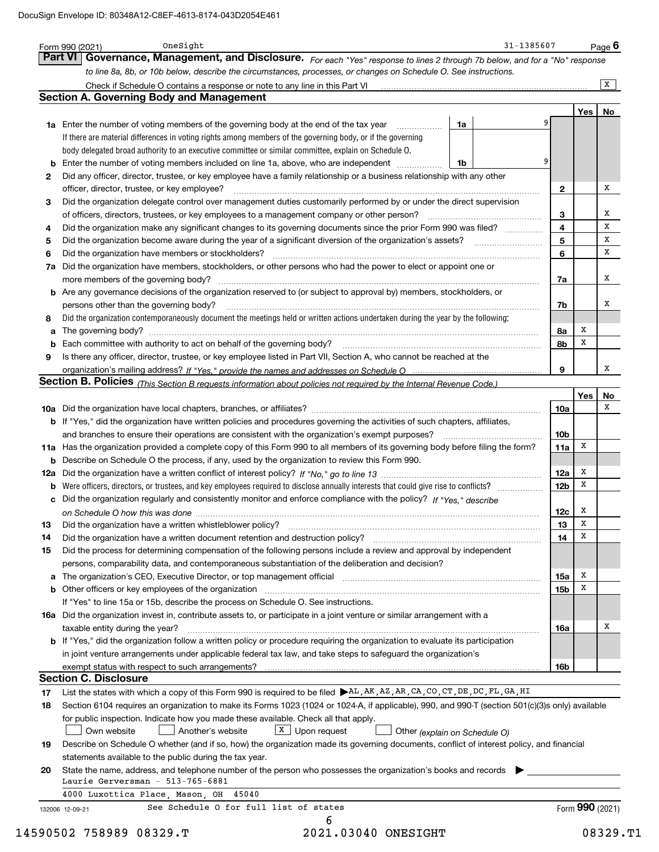|          | Part VI Governance, Management, and Disclosure. For each "Yes" response to lines 2 through 7b below, and for a "No" response<br>to line 8a, 8b, or 10b below, describe the circumstances, processes, or changes on Schedule O. See instructions. |                               |                 |                 |           |
|----------|--------------------------------------------------------------------------------------------------------------------------------------------------------------------------------------------------------------------------------------------------|-------------------------------|-----------------|-----------------|-----------|
|          | Check if Schedule O contains a response or note to any line in this Part VI [11] [12] Check if Schedule O contains a response or note to any line in this Part VI                                                                                |                               |                 |                 | $\vert$ X |
|          | <b>Section A. Governing Body and Management</b>                                                                                                                                                                                                  |                               |                 |                 |           |
|          |                                                                                                                                                                                                                                                  |                               |                 | Yes             | No        |
|          | <b>1a</b> Enter the number of voting members of the governing body at the end of the tax year<br>.                                                                                                                                               | 1a                            |                 |                 |           |
|          | If there are material differences in voting rights among members of the governing body, or if the governing                                                                                                                                      |                               |                 |                 |           |
|          | body delegated broad authority to an executive committee or similar committee, explain on Schedule O.                                                                                                                                            |                               |                 |                 |           |
| b        | Enter the number of voting members included on line 1a, above, who are independent                                                                                                                                                               | 1b                            | 9               |                 |           |
| 2        | Did any officer, director, trustee, or key employee have a family relationship or a business relationship with any other                                                                                                                         |                               |                 |                 |           |
|          | officer, director, trustee, or key employee?                                                                                                                                                                                                     |                               | 2               |                 | x         |
| 3        | Did the organization delegate control over management duties customarily performed by or under the direct supervision                                                                                                                            |                               |                 |                 |           |
|          | of officers, directors, trustees, or key employees to a management company or other person?                                                                                                                                                      |                               | 3               |                 | x         |
| 4        | Did the organization make any significant changes to its governing documents since the prior Form 990 was filed?                                                                                                                                 |                               | 4               |                 | x         |
| 5        |                                                                                                                                                                                                                                                  |                               | 5               |                 | х         |
| 6        | Did the organization have members or stockholders?                                                                                                                                                                                               |                               | 6               |                 | x         |
| 7a       | Did the organization have members, stockholders, or other persons who had the power to elect or appoint one or                                                                                                                                   |                               |                 |                 |           |
|          |                                                                                                                                                                                                                                                  |                               | 7a              |                 | x         |
|          | <b>b</b> Are any governance decisions of the organization reserved to (or subject to approval by) members, stockholders, or                                                                                                                      |                               |                 |                 |           |
|          | persons other than the governing body?                                                                                                                                                                                                           |                               | 7b              |                 | х         |
| 8        | Did the organization contemporaneously document the meetings held or written actions undertaken during the year by the following:                                                                                                                |                               |                 |                 |           |
| a        |                                                                                                                                                                                                                                                  |                               | 8а              | x               |           |
| b        |                                                                                                                                                                                                                                                  |                               | 8b              | Х               |           |
| 9        | Is there any officer, director, trustee, or key employee listed in Part VII, Section A, who cannot be reached at the                                                                                                                             |                               |                 |                 |           |
|          |                                                                                                                                                                                                                                                  |                               | 9               |                 | х         |
|          | Section B. Policies (This Section B requests information about policies not required by the Internal Revenue Code.)                                                                                                                              |                               |                 |                 |           |
|          |                                                                                                                                                                                                                                                  |                               |                 | Yes             | No        |
|          |                                                                                                                                                                                                                                                  |                               | 10a             |                 | x         |
|          | b If "Yes," did the organization have written policies and procedures governing the activities of such chapters, affiliates,                                                                                                                     |                               |                 |                 |           |
|          | and branches to ensure their operations are consistent with the organization's exempt purposes?                                                                                                                                                  |                               | 10 <sub>b</sub> |                 |           |
|          | 11a Has the organization provided a complete copy of this Form 990 to all members of its governing body before filing the form?                                                                                                                  |                               | 11a             | х               |           |
| b        | Describe on Schedule O the process, if any, used by the organization to review this Form 990.                                                                                                                                                    |                               |                 |                 |           |
| 12a      |                                                                                                                                                                                                                                                  |                               | 12a             | x               |           |
| b        | Were officers, directors, or trustees, and key employees required to disclose annually interests that could give rise to conflicts?                                                                                                              |                               | 12 <sub>b</sub> | Х               |           |
|          | Did the organization regularly and consistently monitor and enforce compliance with the policy? If "Yes," describe                                                                                                                               |                               |                 |                 |           |
|          |                                                                                                                                                                                                                                                  |                               | 12c             | Х               |           |
|          |                                                                                                                                                                                                                                                  |                               | 13              | X               |           |
| 14       | Did the organization have a written document retention and destruction policy? manufactured and the organization have a written document retention and destruction policy?                                                                       |                               | 14              | х               |           |
| 15       | Did the process for determining compensation of the following persons include a review and approval by independent                                                                                                                               |                               |                 |                 |           |
|          | persons, comparability data, and contemporaneous substantiation of the deliberation and decision?                                                                                                                                                |                               |                 |                 |           |
|          |                                                                                                                                                                                                                                                  |                               | 15a             | Х               |           |
|          |                                                                                                                                                                                                                                                  |                               | 15 <sub>b</sub> | х               |           |
|          | If "Yes" to line 15a or 15b, describe the process on Schedule O. See instructions.                                                                                                                                                               |                               |                 |                 |           |
|          | 16a Did the organization invest in, contribute assets to, or participate in a joint venture or similar arrangement with a                                                                                                                        |                               |                 |                 |           |
|          | taxable entity during the year?                                                                                                                                                                                                                  |                               | 16a             |                 | х         |
|          | b If "Yes," did the organization follow a written policy or procedure requiring the organization to evaluate its participation                                                                                                                   |                               |                 |                 |           |
|          | in joint venture arrangements under applicable federal tax law, and take steps to safequard the organization's                                                                                                                                   |                               |                 |                 |           |
|          |                                                                                                                                                                                                                                                  |                               | 16b             |                 |           |
|          | <b>Section C. Disclosure</b>                                                                                                                                                                                                                     |                               |                 |                 |           |
| 17       | List the states with which a copy of this Form 990 is required to be filed AL, AK, AZ, AR, CA, CO, CT, DE, DC, FL, GA, HI                                                                                                                        |                               |                 |                 |           |
| 18       | Section 6104 requires an organization to make its Forms 1023 (1024 or 1024-A, if applicable), 990, and 990-T (section 501(c)(3)s only) available                                                                                                 |                               |                 |                 |           |
|          | for public inspection. Indicate how you made these available. Check all that apply.                                                                                                                                                              |                               |                 |                 |           |
|          | Another's website<br>$X$ Upon request<br>Own website                                                                                                                                                                                             | Other (explain on Schedule O) |                 |                 |           |
|          | Describe on Schedule O whether (and if so, how) the organization made its governing documents, conflict of interest policy, and financial                                                                                                        |                               |                 |                 |           |
|          |                                                                                                                                                                                                                                                  |                               |                 |                 |           |
|          | statements available to the public during the tax year.                                                                                                                                                                                          |                               |                 |                 |           |
| 19<br>20 | State the name, address, and telephone number of the person who possesses the organization's books and records                                                                                                                                   |                               |                 |                 |           |
|          | Laurie Gerversman - 513-765-6881                                                                                                                                                                                                                 |                               |                 |                 |           |
|          | 4000 Luxottica Place, Mason, OH 45040                                                                                                                                                                                                            |                               |                 |                 |           |
|          | See Schedule O for full list of states<br>132006 12-09-21<br>6                                                                                                                                                                                   |                               |                 | Form 990 (2021) |           |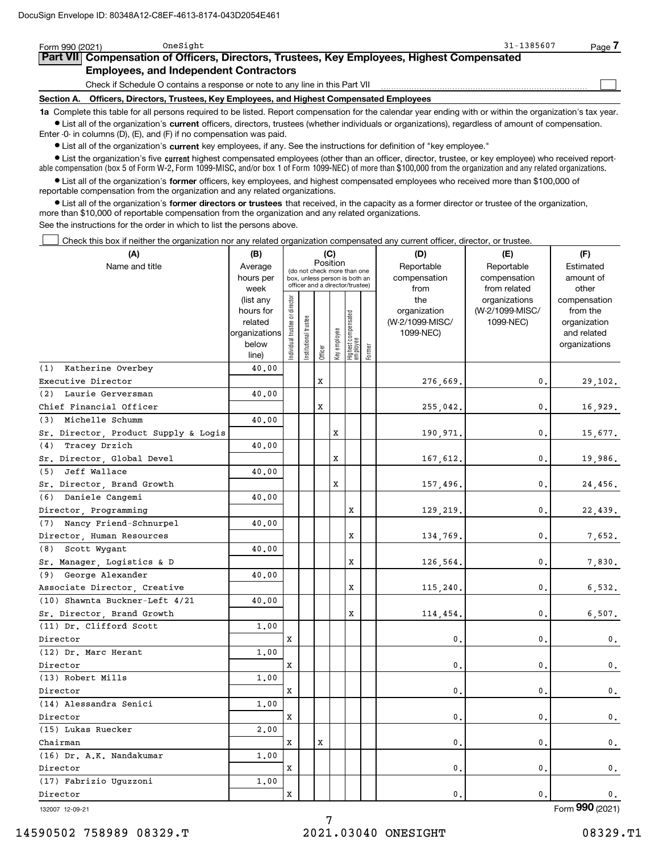| Form 990 (2021)                                                                            | OneSight                                                                        |                                                                                                                                                            | 31-1385607 | Page |  |  |  |  |  |
|--------------------------------------------------------------------------------------------|---------------------------------------------------------------------------------|------------------------------------------------------------------------------------------------------------------------------------------------------------|------------|------|--|--|--|--|--|
| Part VII Compensation of Officers, Directors, Trustees, Key Employees, Highest Compensated |                                                                                 |                                                                                                                                                            |            |      |  |  |  |  |  |
|                                                                                            | <b>Employees, and Independent Contractors</b>                                   |                                                                                                                                                            |            |      |  |  |  |  |  |
|                                                                                            | Check if Schedule O contains a response or note to any line in this Part VII    |                                                                                                                                                            |            |      |  |  |  |  |  |
| Section A.                                                                                 | Officers, Directors, Trustees, Key Employees, and Highest Compensated Employees |                                                                                                                                                            |            |      |  |  |  |  |  |
|                                                                                            |                                                                                 | 1a Complete this table for all persons required to be listed. Report compensation for the calendar year ending with or within the organization's tax year. |            |      |  |  |  |  |  |
|                                                                                            |                                                                                 | • List all of the organization's current officers, directors, trustees (whether individuals or organizations), regardless of amount of compensation.       |            |      |  |  |  |  |  |

Enter -0- in columns (D), (E), and (F) if no compensation was paid.

 $\bullet$  List all of the organization's  $\sf current$  key employees, if any. See the instructions for definition of "key employee."

**•** List the organization's five current highest compensated employees (other than an officer, director, trustee, or key employee) who received reportable compensation (box 5 of Form W-2, Form 1099-MISC, and/or box 1 of Form 1099-NEC) of more than \$100,000 from the organization and any related organizations.

**•** List all of the organization's former officers, key employees, and highest compensated employees who received more than \$100,000 of reportable compensation from the organization and any related organizations.

**former directors or trustees**  ¥ List all of the organization's that received, in the capacity as a former director or trustee of the organization, more than \$10,000 of reportable compensation from the organization and any related organizations.

See the instructions for the order in which to list the persons above.

Check this box if neither the organization nor any related organization compensated any current officer, director, or trustee.  $\mathcal{L}^{\text{max}}$ 

| Position<br>Name and title<br>Reportable<br>Reportable<br>Average<br>Estimated<br>(do not check more than one<br>hours per<br>compensation<br>compensation<br>amount of<br>box, unless person is both an<br>officer and a director/trustee)<br>week<br>from<br>from related<br>other<br>ndividual trustee or director<br>(list any<br>the<br>organizations<br>compensation<br>hours for<br>organization<br>(W-2/1099-MISC/<br>from the<br>  Highest compensated<br>  employee<br>nstitutional trustee<br>related<br>(W-2/1099-MISC/<br>1099-NEC)<br>organization<br>Key employee<br>1099-NEC)<br>organizations<br>and related<br>below<br>organizations<br>Former<br>Officer<br>line)<br>(1) Katherine Overbey<br>40.00<br>X<br>0.<br>Executive Director<br>276,669.<br>29,102.<br>(2) Laurie Gerversman<br>40.00<br>$\mathbf x$<br>Chief Financial Officer<br>0.<br>255,042.<br>16,929.<br>(3) Michelle Schumm<br>40.00<br>Sr. Director, Product Supply & Logis<br>X<br>0.<br>190,971.<br>15,677.<br>Tracey Drzich<br>(4)<br>40.00<br>Sr. Director, Global Devel<br>X<br>0.<br>167,612.<br>19,986.<br>(5) Jeff Wallace<br>40.00<br>X<br>0.<br>Sr. Director, Brand Growth<br>157,496.<br>24,456.<br>Daniele Cangemi<br>(6)<br>40.00<br>X<br>0.<br>Director, Programming<br>129,219.<br>22,439.<br>(7)<br>Nancy Friend-Schnurpel<br>40.00<br>X<br>0.<br>Director, Human Resources<br>134,769.<br>7,652.<br>(8)<br>Scott Wygant<br>40.00<br>Sr. Manager, Logistics & D<br>X<br>0.<br>126,564.<br>7,830.<br>(9) George Alexander<br>40.00<br>Associate Director, Creative<br>x<br>0.<br>6,532.<br>115,240.<br>(10) Shawnta Buckner-Left 4/21<br>40.00<br>Sr. Director, Brand Growth<br>x<br>0.<br>6,507.<br>114,454.<br>(11) Dr. Clifford Scott<br>1,00<br>0.<br>0.<br>Director<br>x<br>$\mathbf{0}$ .<br>(12) Dr. Marc Herant<br>1,00<br>x<br>0.<br>0.<br>Director<br>$\mathbf 0$ .<br>(13) Robert Mills<br>1.00<br>Director<br>X<br>0.<br>0.<br>$\mathbf{0}$ .<br>(14) Alessandra Senici<br>1.00<br>$\mathbf{0}$ .<br>0.<br>Director<br>x<br>0.<br>(15) Lukas Ruecker<br>2,00<br>Chairman<br>x<br>X<br>0.<br>0.<br>0.<br>(16) Dr. A.K. Nandakumar<br>1,00<br>x<br>0.<br>0.<br>Director<br>0.<br>(17) Fabrizio Uguzzoni<br>1.00<br>X<br>0.<br>0.<br>Director<br>0. | (A) | (B) |  | (C) |  | (D) | (E) | (F) |
|------------------------------------------------------------------------------------------------------------------------------------------------------------------------------------------------------------------------------------------------------------------------------------------------------------------------------------------------------------------------------------------------------------------------------------------------------------------------------------------------------------------------------------------------------------------------------------------------------------------------------------------------------------------------------------------------------------------------------------------------------------------------------------------------------------------------------------------------------------------------------------------------------------------------------------------------------------------------------------------------------------------------------------------------------------------------------------------------------------------------------------------------------------------------------------------------------------------------------------------------------------------------------------------------------------------------------------------------------------------------------------------------------------------------------------------------------------------------------------------------------------------------------------------------------------------------------------------------------------------------------------------------------------------------------------------------------------------------------------------------------------------------------------------------------------------------------------------------------------------------------------------------------------------------------------------------------------------------------------------------------------------------------------------------------------------------------------------------------------------------------------------------------------------------------------------------------------------------------------------------------------------|-----|-----|--|-----|--|-----|-----|-----|
|                                                                                                                                                                                                                                                                                                                                                                                                                                                                                                                                                                                                                                                                                                                                                                                                                                                                                                                                                                                                                                                                                                                                                                                                                                                                                                                                                                                                                                                                                                                                                                                                                                                                                                                                                                                                                                                                                                                                                                                                                                                                                                                                                                                                                                                                  |     |     |  |     |  |     |     |     |
|                                                                                                                                                                                                                                                                                                                                                                                                                                                                                                                                                                                                                                                                                                                                                                                                                                                                                                                                                                                                                                                                                                                                                                                                                                                                                                                                                                                                                                                                                                                                                                                                                                                                                                                                                                                                                                                                                                                                                                                                                                                                                                                                                                                                                                                                  |     |     |  |     |  |     |     |     |
|                                                                                                                                                                                                                                                                                                                                                                                                                                                                                                                                                                                                                                                                                                                                                                                                                                                                                                                                                                                                                                                                                                                                                                                                                                                                                                                                                                                                                                                                                                                                                                                                                                                                                                                                                                                                                                                                                                                                                                                                                                                                                                                                                                                                                                                                  |     |     |  |     |  |     |     |     |
|                                                                                                                                                                                                                                                                                                                                                                                                                                                                                                                                                                                                                                                                                                                                                                                                                                                                                                                                                                                                                                                                                                                                                                                                                                                                                                                                                                                                                                                                                                                                                                                                                                                                                                                                                                                                                                                                                                                                                                                                                                                                                                                                                                                                                                                                  |     |     |  |     |  |     |     |     |
|                                                                                                                                                                                                                                                                                                                                                                                                                                                                                                                                                                                                                                                                                                                                                                                                                                                                                                                                                                                                                                                                                                                                                                                                                                                                                                                                                                                                                                                                                                                                                                                                                                                                                                                                                                                                                                                                                                                                                                                                                                                                                                                                                                                                                                                                  |     |     |  |     |  |     |     |     |
|                                                                                                                                                                                                                                                                                                                                                                                                                                                                                                                                                                                                                                                                                                                                                                                                                                                                                                                                                                                                                                                                                                                                                                                                                                                                                                                                                                                                                                                                                                                                                                                                                                                                                                                                                                                                                                                                                                                                                                                                                                                                                                                                                                                                                                                                  |     |     |  |     |  |     |     |     |
|                                                                                                                                                                                                                                                                                                                                                                                                                                                                                                                                                                                                                                                                                                                                                                                                                                                                                                                                                                                                                                                                                                                                                                                                                                                                                                                                                                                                                                                                                                                                                                                                                                                                                                                                                                                                                                                                                                                                                                                                                                                                                                                                                                                                                                                                  |     |     |  |     |  |     |     |     |
|                                                                                                                                                                                                                                                                                                                                                                                                                                                                                                                                                                                                                                                                                                                                                                                                                                                                                                                                                                                                                                                                                                                                                                                                                                                                                                                                                                                                                                                                                                                                                                                                                                                                                                                                                                                                                                                                                                                                                                                                                                                                                                                                                                                                                                                                  |     |     |  |     |  |     |     |     |
|                                                                                                                                                                                                                                                                                                                                                                                                                                                                                                                                                                                                                                                                                                                                                                                                                                                                                                                                                                                                                                                                                                                                                                                                                                                                                                                                                                                                                                                                                                                                                                                                                                                                                                                                                                                                                                                                                                                                                                                                                                                                                                                                                                                                                                                                  |     |     |  |     |  |     |     |     |
|                                                                                                                                                                                                                                                                                                                                                                                                                                                                                                                                                                                                                                                                                                                                                                                                                                                                                                                                                                                                                                                                                                                                                                                                                                                                                                                                                                                                                                                                                                                                                                                                                                                                                                                                                                                                                                                                                                                                                                                                                                                                                                                                                                                                                                                                  |     |     |  |     |  |     |     |     |
|                                                                                                                                                                                                                                                                                                                                                                                                                                                                                                                                                                                                                                                                                                                                                                                                                                                                                                                                                                                                                                                                                                                                                                                                                                                                                                                                                                                                                                                                                                                                                                                                                                                                                                                                                                                                                                                                                                                                                                                                                                                                                                                                                                                                                                                                  |     |     |  |     |  |     |     |     |
|                                                                                                                                                                                                                                                                                                                                                                                                                                                                                                                                                                                                                                                                                                                                                                                                                                                                                                                                                                                                                                                                                                                                                                                                                                                                                                                                                                                                                                                                                                                                                                                                                                                                                                                                                                                                                                                                                                                                                                                                                                                                                                                                                                                                                                                                  |     |     |  |     |  |     |     |     |
|                                                                                                                                                                                                                                                                                                                                                                                                                                                                                                                                                                                                                                                                                                                                                                                                                                                                                                                                                                                                                                                                                                                                                                                                                                                                                                                                                                                                                                                                                                                                                                                                                                                                                                                                                                                                                                                                                                                                                                                                                                                                                                                                                                                                                                                                  |     |     |  |     |  |     |     |     |
|                                                                                                                                                                                                                                                                                                                                                                                                                                                                                                                                                                                                                                                                                                                                                                                                                                                                                                                                                                                                                                                                                                                                                                                                                                                                                                                                                                                                                                                                                                                                                                                                                                                                                                                                                                                                                                                                                                                                                                                                                                                                                                                                                                                                                                                                  |     |     |  |     |  |     |     |     |
|                                                                                                                                                                                                                                                                                                                                                                                                                                                                                                                                                                                                                                                                                                                                                                                                                                                                                                                                                                                                                                                                                                                                                                                                                                                                                                                                                                                                                                                                                                                                                                                                                                                                                                                                                                                                                                                                                                                                                                                                                                                                                                                                                                                                                                                                  |     |     |  |     |  |     |     |     |
|                                                                                                                                                                                                                                                                                                                                                                                                                                                                                                                                                                                                                                                                                                                                                                                                                                                                                                                                                                                                                                                                                                                                                                                                                                                                                                                                                                                                                                                                                                                                                                                                                                                                                                                                                                                                                                                                                                                                                                                                                                                                                                                                                                                                                                                                  |     |     |  |     |  |     |     |     |
|                                                                                                                                                                                                                                                                                                                                                                                                                                                                                                                                                                                                                                                                                                                                                                                                                                                                                                                                                                                                                                                                                                                                                                                                                                                                                                                                                                                                                                                                                                                                                                                                                                                                                                                                                                                                                                                                                                                                                                                                                                                                                                                                                                                                                                                                  |     |     |  |     |  |     |     |     |
|                                                                                                                                                                                                                                                                                                                                                                                                                                                                                                                                                                                                                                                                                                                                                                                                                                                                                                                                                                                                                                                                                                                                                                                                                                                                                                                                                                                                                                                                                                                                                                                                                                                                                                                                                                                                                                                                                                                                                                                                                                                                                                                                                                                                                                                                  |     |     |  |     |  |     |     |     |
|                                                                                                                                                                                                                                                                                                                                                                                                                                                                                                                                                                                                                                                                                                                                                                                                                                                                                                                                                                                                                                                                                                                                                                                                                                                                                                                                                                                                                                                                                                                                                                                                                                                                                                                                                                                                                                                                                                                                                                                                                                                                                                                                                                                                                                                                  |     |     |  |     |  |     |     |     |
|                                                                                                                                                                                                                                                                                                                                                                                                                                                                                                                                                                                                                                                                                                                                                                                                                                                                                                                                                                                                                                                                                                                                                                                                                                                                                                                                                                                                                                                                                                                                                                                                                                                                                                                                                                                                                                                                                                                                                                                                                                                                                                                                                                                                                                                                  |     |     |  |     |  |     |     |     |
|                                                                                                                                                                                                                                                                                                                                                                                                                                                                                                                                                                                                                                                                                                                                                                                                                                                                                                                                                                                                                                                                                                                                                                                                                                                                                                                                                                                                                                                                                                                                                                                                                                                                                                                                                                                                                                                                                                                                                                                                                                                                                                                                                                                                                                                                  |     |     |  |     |  |     |     |     |
|                                                                                                                                                                                                                                                                                                                                                                                                                                                                                                                                                                                                                                                                                                                                                                                                                                                                                                                                                                                                                                                                                                                                                                                                                                                                                                                                                                                                                                                                                                                                                                                                                                                                                                                                                                                                                                                                                                                                                                                                                                                                                                                                                                                                                                                                  |     |     |  |     |  |     |     |     |
|                                                                                                                                                                                                                                                                                                                                                                                                                                                                                                                                                                                                                                                                                                                                                                                                                                                                                                                                                                                                                                                                                                                                                                                                                                                                                                                                                                                                                                                                                                                                                                                                                                                                                                                                                                                                                                                                                                                                                                                                                                                                                                                                                                                                                                                                  |     |     |  |     |  |     |     |     |
|                                                                                                                                                                                                                                                                                                                                                                                                                                                                                                                                                                                                                                                                                                                                                                                                                                                                                                                                                                                                                                                                                                                                                                                                                                                                                                                                                                                                                                                                                                                                                                                                                                                                                                                                                                                                                                                                                                                                                                                                                                                                                                                                                                                                                                                                  |     |     |  |     |  |     |     |     |
|                                                                                                                                                                                                                                                                                                                                                                                                                                                                                                                                                                                                                                                                                                                                                                                                                                                                                                                                                                                                                                                                                                                                                                                                                                                                                                                                                                                                                                                                                                                                                                                                                                                                                                                                                                                                                                                                                                                                                                                                                                                                                                                                                                                                                                                                  |     |     |  |     |  |     |     |     |
|                                                                                                                                                                                                                                                                                                                                                                                                                                                                                                                                                                                                                                                                                                                                                                                                                                                                                                                                                                                                                                                                                                                                                                                                                                                                                                                                                                                                                                                                                                                                                                                                                                                                                                                                                                                                                                                                                                                                                                                                                                                                                                                                                                                                                                                                  |     |     |  |     |  |     |     |     |
|                                                                                                                                                                                                                                                                                                                                                                                                                                                                                                                                                                                                                                                                                                                                                                                                                                                                                                                                                                                                                                                                                                                                                                                                                                                                                                                                                                                                                                                                                                                                                                                                                                                                                                                                                                                                                                                                                                                                                                                                                                                                                                                                                                                                                                                                  |     |     |  |     |  |     |     |     |
|                                                                                                                                                                                                                                                                                                                                                                                                                                                                                                                                                                                                                                                                                                                                                                                                                                                                                                                                                                                                                                                                                                                                                                                                                                                                                                                                                                                                                                                                                                                                                                                                                                                                                                                                                                                                                                                                                                                                                                                                                                                                                                                                                                                                                                                                  |     |     |  |     |  |     |     |     |
|                                                                                                                                                                                                                                                                                                                                                                                                                                                                                                                                                                                                                                                                                                                                                                                                                                                                                                                                                                                                                                                                                                                                                                                                                                                                                                                                                                                                                                                                                                                                                                                                                                                                                                                                                                                                                                                                                                                                                                                                                                                                                                                                                                                                                                                                  |     |     |  |     |  |     |     |     |
|                                                                                                                                                                                                                                                                                                                                                                                                                                                                                                                                                                                                                                                                                                                                                                                                                                                                                                                                                                                                                                                                                                                                                                                                                                                                                                                                                                                                                                                                                                                                                                                                                                                                                                                                                                                                                                                                                                                                                                                                                                                                                                                                                                                                                                                                  |     |     |  |     |  |     |     |     |
|                                                                                                                                                                                                                                                                                                                                                                                                                                                                                                                                                                                                                                                                                                                                                                                                                                                                                                                                                                                                                                                                                                                                                                                                                                                                                                                                                                                                                                                                                                                                                                                                                                                                                                                                                                                                                                                                                                                                                                                                                                                                                                                                                                                                                                                                  |     |     |  |     |  |     |     |     |
|                                                                                                                                                                                                                                                                                                                                                                                                                                                                                                                                                                                                                                                                                                                                                                                                                                                                                                                                                                                                                                                                                                                                                                                                                                                                                                                                                                                                                                                                                                                                                                                                                                                                                                                                                                                                                                                                                                                                                                                                                                                                                                                                                                                                                                                                  |     |     |  |     |  |     |     |     |
|                                                                                                                                                                                                                                                                                                                                                                                                                                                                                                                                                                                                                                                                                                                                                                                                                                                                                                                                                                                                                                                                                                                                                                                                                                                                                                                                                                                                                                                                                                                                                                                                                                                                                                                                                                                                                                                                                                                                                                                                                                                                                                                                                                                                                                                                  |     |     |  |     |  |     |     |     |
|                                                                                                                                                                                                                                                                                                                                                                                                                                                                                                                                                                                                                                                                                                                                                                                                                                                                                                                                                                                                                                                                                                                                                                                                                                                                                                                                                                                                                                                                                                                                                                                                                                                                                                                                                                                                                                                                                                                                                                                                                                                                                                                                                                                                                                                                  |     |     |  |     |  |     |     |     |
|                                                                                                                                                                                                                                                                                                                                                                                                                                                                                                                                                                                                                                                                                                                                                                                                                                                                                                                                                                                                                                                                                                                                                                                                                                                                                                                                                                                                                                                                                                                                                                                                                                                                                                                                                                                                                                                                                                                                                                                                                                                                                                                                                                                                                                                                  |     |     |  |     |  |     |     |     |
|                                                                                                                                                                                                                                                                                                                                                                                                                                                                                                                                                                                                                                                                                                                                                                                                                                                                                                                                                                                                                                                                                                                                                                                                                                                                                                                                                                                                                                                                                                                                                                                                                                                                                                                                                                                                                                                                                                                                                                                                                                                                                                                                                                                                                                                                  |     |     |  |     |  |     |     |     |
|                                                                                                                                                                                                                                                                                                                                                                                                                                                                                                                                                                                                                                                                                                                                                                                                                                                                                                                                                                                                                                                                                                                                                                                                                                                                                                                                                                                                                                                                                                                                                                                                                                                                                                                                                                                                                                                                                                                                                                                                                                                                                                                                                                                                                                                                  |     |     |  |     |  |     |     |     |
|                                                                                                                                                                                                                                                                                                                                                                                                                                                                                                                                                                                                                                                                                                                                                                                                                                                                                                                                                                                                                                                                                                                                                                                                                                                                                                                                                                                                                                                                                                                                                                                                                                                                                                                                                                                                                                                                                                                                                                                                                                                                                                                                                                                                                                                                  |     |     |  |     |  |     |     |     |
|                                                                                                                                                                                                                                                                                                                                                                                                                                                                                                                                                                                                                                                                                                                                                                                                                                                                                                                                                                                                                                                                                                                                                                                                                                                                                                                                                                                                                                                                                                                                                                                                                                                                                                                                                                                                                                                                                                                                                                                                                                                                                                                                                                                                                                                                  |     |     |  |     |  |     |     |     |
|                                                                                                                                                                                                                                                                                                                                                                                                                                                                                                                                                                                                                                                                                                                                                                                                                                                                                                                                                                                                                                                                                                                                                                                                                                                                                                                                                                                                                                                                                                                                                                                                                                                                                                                                                                                                                                                                                                                                                                                                                                                                                                                                                                                                                                                                  |     |     |  |     |  |     |     |     |
|                                                                                                                                                                                                                                                                                                                                                                                                                                                                                                                                                                                                                                                                                                                                                                                                                                                                                                                                                                                                                                                                                                                                                                                                                                                                                                                                                                                                                                                                                                                                                                                                                                                                                                                                                                                                                                                                                                                                                                                                                                                                                                                                                                                                                                                                  |     |     |  |     |  |     |     |     |
|                                                                                                                                                                                                                                                                                                                                                                                                                                                                                                                                                                                                                                                                                                                                                                                                                                                                                                                                                                                                                                                                                                                                                                                                                                                                                                                                                                                                                                                                                                                                                                                                                                                                                                                                                                                                                                                                                                                                                                                                                                                                                                                                                                                                                                                                  |     |     |  |     |  |     |     |     |

132007 12-09-21

Form (2021) **990**

7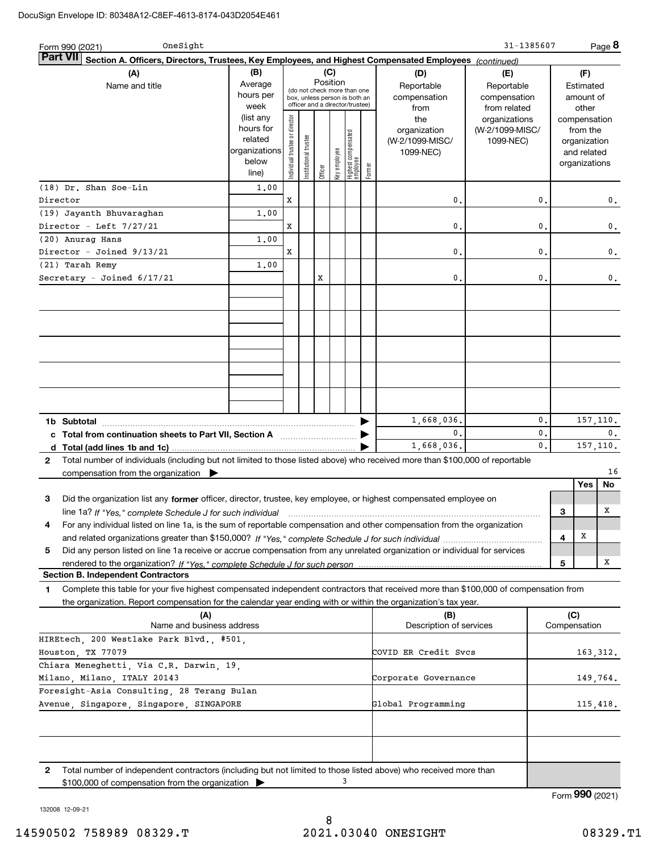| OneSight<br>Form 990 (2021)                                                                                                                                                                    |                                                                      |                               |                      |          |              |                                                                                                 |        |                                                     | 31-1385607                                        |    |   |                                                                          | Page 8        |
|------------------------------------------------------------------------------------------------------------------------------------------------------------------------------------------------|----------------------------------------------------------------------|-------------------------------|----------------------|----------|--------------|-------------------------------------------------------------------------------------------------|--------|-----------------------------------------------------|---------------------------------------------------|----|---|--------------------------------------------------------------------------|---------------|
| <b>Part VI</b><br>Section A. Officers, Directors, Trustees, Key Employees, and Highest Compensated Employees (continued)                                                                       |                                                                      |                               |                      |          |              |                                                                                                 |        |                                                     |                                                   |    |   |                                                                          |               |
| (A)<br>Name and title                                                                                                                                                                          | (B)<br>Average<br>hours per<br>week                                  |                               |                      | Position | (C)          | (do not check more than one<br>box, unless person is both an<br>officer and a director/trustee) |        | (D)<br>Reportable<br>compensation<br>from           | (E)<br>Reportable<br>compensation<br>from related |    |   | (F)<br>Estimated<br>amount of<br>other                                   |               |
|                                                                                                                                                                                                | (list any<br>hours for<br>related<br>organizations<br>below<br>line) | ndividual trustee or director | nstitutional trustee | Officer  | key employee | Highest compensated<br>  employee                                                               | Former | the<br>organization<br>(W-2/1099-MISC/<br>1099-NEC) | organizations<br>(W-2/1099-MISC/<br>1099-NEC)     |    |   | compensation<br>from the<br>organization<br>and related<br>organizations |               |
| $(18)$ Dr. Shan Soe-Lin                                                                                                                                                                        | 1,00                                                                 |                               |                      |          |              |                                                                                                 |        |                                                     |                                                   |    |   |                                                                          |               |
| Director                                                                                                                                                                                       |                                                                      | x                             |                      |          |              |                                                                                                 |        | $\mathbf 0$                                         |                                                   | 0. |   |                                                                          | 0.            |
| (19) Jayanth Bhuvaraghan<br>Director - Left 7/27/21                                                                                                                                            | 1,00                                                                 | x                             |                      |          |              |                                                                                                 |        | $\mathbf{0}$                                        |                                                   | 0. |   |                                                                          | 0.            |
| (20) Anurag Hans                                                                                                                                                                               | 1,00                                                                 |                               |                      |          |              |                                                                                                 |        |                                                     |                                                   |    |   |                                                                          |               |
| Director - Joined 9/13/21                                                                                                                                                                      |                                                                      | x                             |                      |          |              |                                                                                                 |        | $\mathbf{0}$                                        |                                                   | 0. |   |                                                                          | $\mathbf 0$ . |
| (21) Tarah Remy                                                                                                                                                                                | 1,00                                                                 |                               |                      |          |              |                                                                                                 |        |                                                     |                                                   |    |   |                                                                          |               |
| Secretary - Joined 6/17/21                                                                                                                                                                     |                                                                      |                               |                      | x        |              |                                                                                                 |        | $\mathbf{0}$                                        |                                                   | 0. |   |                                                                          | 0.            |
|                                                                                                                                                                                                |                                                                      |                               |                      |          |              |                                                                                                 |        |                                                     |                                                   |    |   |                                                                          |               |
|                                                                                                                                                                                                |                                                                      |                               |                      |          |              |                                                                                                 |        |                                                     |                                                   |    |   |                                                                          |               |
|                                                                                                                                                                                                |                                                                      |                               |                      |          |              |                                                                                                 |        |                                                     |                                                   |    |   |                                                                          |               |
|                                                                                                                                                                                                |                                                                      |                               |                      |          |              |                                                                                                 |        |                                                     |                                                   |    |   |                                                                          |               |
|                                                                                                                                                                                                |                                                                      |                               |                      |          |              |                                                                                                 |        |                                                     |                                                   |    |   |                                                                          |               |
|                                                                                                                                                                                                |                                                                      |                               |                      |          |              |                                                                                                 |        |                                                     |                                                   |    |   |                                                                          |               |
|                                                                                                                                                                                                |                                                                      |                               |                      |          |              |                                                                                                 |        |                                                     |                                                   |    |   |                                                                          |               |
|                                                                                                                                                                                                |                                                                      |                               |                      |          |              |                                                                                                 |        |                                                     |                                                   |    |   |                                                                          |               |
|                                                                                                                                                                                                |                                                                      |                               |                      |          |              |                                                                                                 |        | 1,668,036.                                          |                                                   | 0. |   |                                                                          | 157, 110.     |
| 1b Subtotal<br>c Total from continuation sheets to Part VII, Section A                                                                                                                         |                                                                      |                               |                      |          |              |                                                                                                 |        | 0.                                                  |                                                   | 0. |   |                                                                          | 0.            |
|                                                                                                                                                                                                |                                                                      |                               |                      |          |              |                                                                                                 |        | 1,668,036.                                          |                                                   | 0. |   |                                                                          | 157,110.      |
| Total number of individuals (including but not limited to those listed above) who received more than \$100,000 of reportable<br>$\mathbf{2}$                                                   |                                                                      |                               |                      |          |              |                                                                                                 |        |                                                     |                                                   |    |   |                                                                          |               |
| compensation from the organization $\blacktriangleright$                                                                                                                                       |                                                                      |                               |                      |          |              |                                                                                                 |        |                                                     |                                                   |    |   |                                                                          | 16            |
|                                                                                                                                                                                                |                                                                      |                               |                      |          |              |                                                                                                 |        |                                                     |                                                   |    |   | Yes                                                                      | No            |
| Did the organization list any former officer, director, trustee, key employee, or highest compensated employee on<br>3                                                                         |                                                                      |                               |                      |          |              |                                                                                                 |        |                                                     |                                                   |    |   |                                                                          |               |
| line 1a? If "Yes," complete Schedule J for such individual material content content to the set of the complete                                                                                 |                                                                      |                               |                      |          |              |                                                                                                 |        |                                                     |                                                   |    | з |                                                                          | x             |
| For any individual listed on line 1a, is the sum of reportable compensation and other compensation from the organization<br>4                                                                  |                                                                      |                               |                      |          |              |                                                                                                 |        |                                                     |                                                   |    | 4 | х                                                                        |               |
| Did any person listed on line 1a receive or accrue compensation from any unrelated organization or individual for services<br>5                                                                |                                                                      |                               |                      |          |              |                                                                                                 |        |                                                     |                                                   |    |   |                                                                          |               |
| rendered to the organization? If "Yes." complete Schedule J for such person                                                                                                                    |                                                                      |                               |                      |          |              |                                                                                                 |        |                                                     |                                                   |    | 5 |                                                                          | х             |
| <b>Section B. Independent Contractors</b>                                                                                                                                                      |                                                                      |                               |                      |          |              |                                                                                                 |        |                                                     |                                                   |    |   |                                                                          |               |
| Complete this table for your five highest compensated independent contractors that received more than \$100,000 of compensation from<br>1                                                      |                                                                      |                               |                      |          |              |                                                                                                 |        |                                                     |                                                   |    |   |                                                                          |               |
| the organization. Report compensation for the calendar year ending with or within the organization's tax year.                                                                                 |                                                                      |                               |                      |          |              |                                                                                                 |        |                                                     |                                                   |    |   |                                                                          |               |
| (A)<br>Name and business address                                                                                                                                                               |                                                                      |                               |                      |          |              |                                                                                                 |        | (B)<br>Description of services                      |                                                   |    |   | (C)<br>Compensation                                                      |               |
| HIREtech, 200 Westlake Park Blvd., #501,                                                                                                                                                       |                                                                      |                               |                      |          |              |                                                                                                 |        |                                                     |                                                   |    |   |                                                                          |               |
| Houston, TX 77079                                                                                                                                                                              |                                                                      |                               |                      |          |              |                                                                                                 |        | COVID ER Credit Svcs                                |                                                   |    |   |                                                                          | 163,312.      |
| Chiara Meneghetti, Via C.R. Darwin, 19,                                                                                                                                                        |                                                                      |                               |                      |          |              |                                                                                                 |        |                                                     |                                                   |    |   |                                                                          |               |
| Milano, Milano, ITALY 20143                                                                                                                                                                    |                                                                      |                               |                      |          |              |                                                                                                 |        | Corporate Governance                                |                                                   |    |   |                                                                          | 149,764.      |
| Foresight-Asia Consulting, 28 Terang Bulan<br>Avenue, Singapore, Singapore, SINGAPORE                                                                                                          |                                                                      | Global Programming            |                      |          |              |                                                                                                 |        |                                                     |                                                   |    |   |                                                                          |               |
|                                                                                                                                                                                                |                                                                      |                               |                      |          |              |                                                                                                 |        |                                                     |                                                   |    |   |                                                                          | 115,418.      |
|                                                                                                                                                                                                |                                                                      |                               |                      |          |              |                                                                                                 |        |                                                     |                                                   |    |   |                                                                          |               |
|                                                                                                                                                                                                |                                                                      |                               |                      |          |              |                                                                                                 |        |                                                     |                                                   |    |   |                                                                          |               |
|                                                                                                                                                                                                |                                                                      |                               |                      |          |              |                                                                                                 |        |                                                     |                                                   |    |   |                                                                          |               |
| 2<br>Total number of independent contractors (including but not limited to those listed above) who received more than<br>\$100,000 of compensation from the organization $\blacktriangleright$ |                                                                      |                               |                      |          |              | 3                                                                                               |        |                                                     |                                                   |    |   |                                                                          |               |

\$100,000 of compensation from the organization

Form (2021) **990**

132008 12-09-21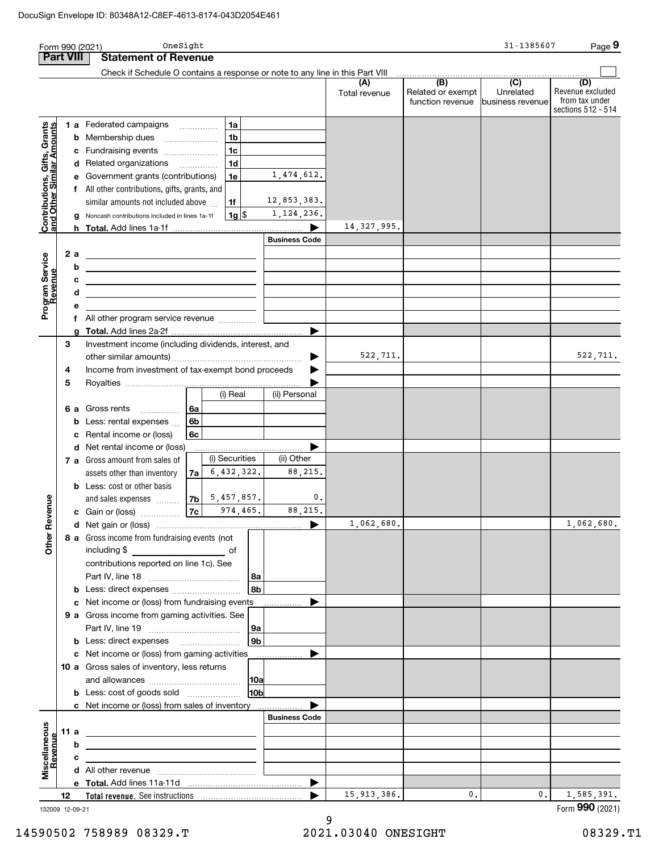|                                                           |      |    | OneSight<br>Form 990 (2021)                                                                                                                                                                              |                |                      |                      |                                              | 31-1385607                                      | Page 9                                                          |
|-----------------------------------------------------------|------|----|----------------------------------------------------------------------------------------------------------------------------------------------------------------------------------------------------------|----------------|----------------------|----------------------|----------------------------------------------|-------------------------------------------------|-----------------------------------------------------------------|
| <b>Part VIII</b>                                          |      |    | <b>Statement of Revenue</b>                                                                                                                                                                              |                |                      |                      |                                              |                                                 |                                                                 |
|                                                           |      |    | Check if Schedule O contains a response or note to any line in this Part VIII                                                                                                                            |                |                      |                      |                                              |                                                 |                                                                 |
|                                                           |      |    |                                                                                                                                                                                                          |                |                      | (A)<br>Total revenue | (B)<br>Related or exempt<br>function revenue | $\overline{C}$<br>Unrelated<br>business revenue | (D)<br>Revenue excluded<br>from tax under<br>sections 512 - 514 |
|                                                           |      |    | <b>1 a</b> Federated campaigns                                                                                                                                                                           | 1a             |                      |                      |                                              |                                                 |                                                                 |
| Contributions, Gifts, Grants<br>and Other Similar Amounts |      |    | <b>b</b> Membership dues                                                                                                                                                                                 | 1 <sub>b</sub> |                      |                      |                                              |                                                 |                                                                 |
|                                                           |      |    | c Fundraising events                                                                                                                                                                                     | 1c             |                      |                      |                                              |                                                 |                                                                 |
|                                                           |      |    | d Related organizations                                                                                                                                                                                  | 1d             |                      |                      |                                              |                                                 |                                                                 |
|                                                           |      |    | e Government grants (contributions)                                                                                                                                                                      | 1e             | 1, 474, 612.         |                      |                                              |                                                 |                                                                 |
|                                                           |      |    | f All other contributions, gifts, grants, and                                                                                                                                                            |                |                      |                      |                                              |                                                 |                                                                 |
|                                                           |      |    | similar amounts not included above                                                                                                                                                                       | 1f             | 12,853,383.          |                      |                                              |                                                 |                                                                 |
|                                                           |      |    | g Noncash contributions included in lines 1a-1f                                                                                                                                                          | 1g             | 1, 124, 236.         | 14, 327, 995.        |                                              |                                                 |                                                                 |
|                                                           |      |    |                                                                                                                                                                                                          |                | <b>Business Code</b> |                      |                                              |                                                 |                                                                 |
|                                                           |      | 2a |                                                                                                                                                                                                          |                |                      |                      |                                              |                                                 |                                                                 |
| Program Service<br>Revenue                                |      | b  | <u> 1989 - Johann Stoff, fransk politik (d. 1989)</u>                                                                                                                                                    |                |                      |                      |                                              |                                                 |                                                                 |
|                                                           |      | с  | <u> 1989 - Johann Stein, marwolaethau a bhann an t-Amhainn an t-Amhainn an t-Amhainn an t-Amhainn an t-Amhainn an</u><br>the contract of the contract of the contract of the contract of the contract of |                |                      |                      |                                              |                                                 |                                                                 |
|                                                           |      | d  | the contract of the contract of the contract of the contract of the                                                                                                                                      |                |                      |                      |                                              |                                                 |                                                                 |
|                                                           |      | е  |                                                                                                                                                                                                          |                |                      |                      |                                              |                                                 |                                                                 |
|                                                           |      |    | f All other program service revenue                                                                                                                                                                      |                |                      |                      |                                              |                                                 |                                                                 |
|                                                           |      |    |                                                                                                                                                                                                          |                |                      |                      |                                              |                                                 |                                                                 |
|                                                           | 3    |    | Investment income (including dividends, interest, and                                                                                                                                                    |                |                      |                      |                                              |                                                 |                                                                 |
|                                                           |      |    |                                                                                                                                                                                                          |                | ▶                    | 522,711.             |                                              |                                                 | 522,711.                                                        |
|                                                           | 4    |    | Income from investment of tax-exempt bond proceeds                                                                                                                                                       |                |                      |                      |                                              |                                                 |                                                                 |
|                                                           | 5    |    |                                                                                                                                                                                                          | (i) Real       | (ii) Personal        |                      |                                              |                                                 |                                                                 |
|                                                           |      |    |                                                                                                                                                                                                          |                |                      |                      |                                              |                                                 |                                                                 |
|                                                           |      |    | 6 a Gross rents<br>6а<br>$\overline{\phantom{a}}$<br><b>b</b> Less: rental expenses $\ldots$<br>6b                                                                                                       |                |                      |                      |                                              |                                                 |                                                                 |
|                                                           |      | с  | Rental income or (loss)<br>6с                                                                                                                                                                            |                |                      |                      |                                              |                                                 |                                                                 |
|                                                           |      |    | d Net rental income or (loss)                                                                                                                                                                            |                |                      |                      |                                              |                                                 |                                                                 |
|                                                           |      |    | 7 a Gross amount from sales of                                                                                                                                                                           | (i) Securities | (ii) Other           |                      |                                              |                                                 |                                                                 |
|                                                           |      |    | assets other than inventory<br>7a                                                                                                                                                                        | 6,432,322.     | 88,215.              |                      |                                              |                                                 |                                                                 |
|                                                           |      |    | <b>b</b> Less: cost or other basis                                                                                                                                                                       |                |                      |                      |                                              |                                                 |                                                                 |
|                                                           |      |    | 7b<br>and sales expenses                                                                                                                                                                                 | 5,457,857.     | 0.                   |                      |                                              |                                                 |                                                                 |
| venue                                                     |      |    | 7c<br>c Gain or (loss)                                                                                                                                                                                   | 974,465.       | 88,215.              |                      |                                              |                                                 |                                                                 |
| Other Re                                                  |      |    |                                                                                                                                                                                                          |                |                      | 1,062,680.           |                                              |                                                 | 1,062,680.                                                      |
|                                                           |      |    | 8 a Gross income from fundraising events (not                                                                                                                                                            |                |                      |                      |                                              |                                                 |                                                                 |
|                                                           |      |    |                                                                                                                                                                                                          |                |                      |                      |                                              |                                                 |                                                                 |
|                                                           |      |    | contributions reported on line 1c). See                                                                                                                                                                  |                |                      |                      |                                              |                                                 |                                                                 |
|                                                           |      |    | <b>b</b> Less: direct expenses <i>manually contained</i>                                                                                                                                                 | 8a<br>8b       |                      |                      |                                              |                                                 |                                                                 |
|                                                           |      |    | c Net income or (loss) from fundraising events                                                                                                                                                           |                |                      |                      |                                              |                                                 |                                                                 |
|                                                           |      |    | 9 a Gross income from gaming activities. See                                                                                                                                                             |                |                      |                      |                                              |                                                 |                                                                 |
|                                                           |      |    |                                                                                                                                                                                                          | 9a             |                      |                      |                                              |                                                 |                                                                 |
|                                                           |      |    | <b>b</b> Less: direct expenses <b>contained b</b> Less:                                                                                                                                                  | 9b             |                      |                      |                                              |                                                 |                                                                 |
|                                                           |      |    | c Net income or (loss) from gaming activities                                                                                                                                                            |                |                      |                      |                                              |                                                 |                                                                 |
|                                                           |      |    | 10 a Gross sales of inventory, less returns                                                                                                                                                              |                |                      |                      |                                              |                                                 |                                                                 |
|                                                           |      |    |                                                                                                                                                                                                          | 10a            |                      |                      |                                              |                                                 |                                                                 |
|                                                           |      |    | <b>b</b> Less: cost of goods sold                                                                                                                                                                        | 10b            |                      |                      |                                              |                                                 |                                                                 |
|                                                           |      |    | c Net income or (loss) from sales of inventory                                                                                                                                                           |                |                      |                      |                                              |                                                 |                                                                 |
|                                                           |      |    |                                                                                                                                                                                                          |                | <b>Business Code</b> |                      |                                              |                                                 |                                                                 |
|                                                           | 11 a | b  | <u> 1980 - Johann John Stone, markin fizikar (h. 1980).</u>                                                                                                                                              |                |                      |                      |                                              |                                                 |                                                                 |
|                                                           |      | c  | <u> 1980 - Johann Barn, mars ann an t-Amhain Aonaich an t-Aonaich an t-Aonaich ann an t-Aonaich ann an t-Aonaich</u>                                                                                     |                |                      |                      |                                              |                                                 |                                                                 |
| Miscellaneous<br>Revenue                                  |      |    | the contract of the contract of the contract of the contract of the contract of                                                                                                                          |                |                      |                      |                                              |                                                 |                                                                 |
|                                                           |      |    |                                                                                                                                                                                                          |                |                      |                      |                                              |                                                 |                                                                 |
|                                                           | 12   |    |                                                                                                                                                                                                          |                |                      | 15, 913, 386.        | 0.                                           | $\mathbf{0}$ .                                  | 1,585,391.                                                      |
| 132009 12-09-21                                           |      |    |                                                                                                                                                                                                          |                |                      |                      |                                              |                                                 | Form 990 (2021)                                                 |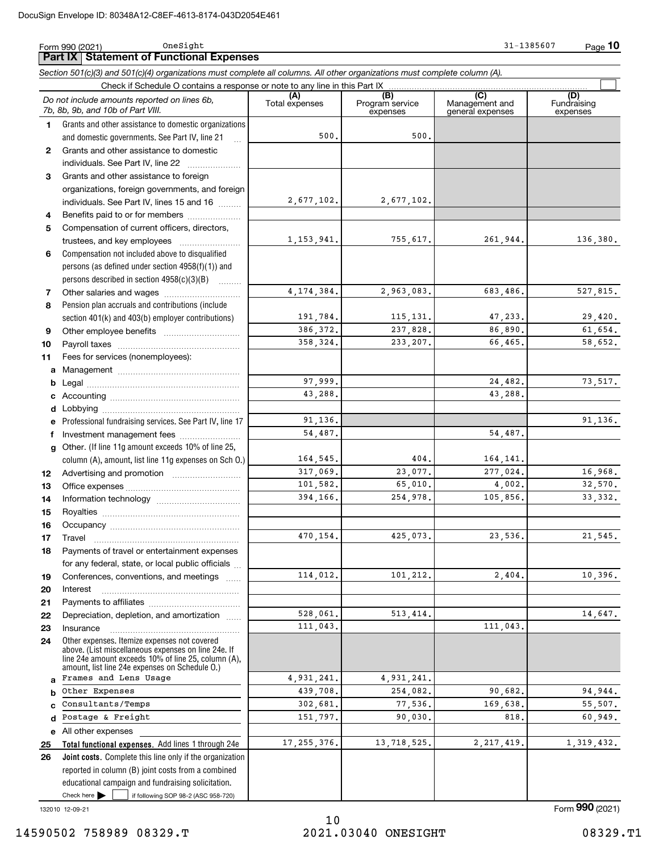|              | OneSight<br>Form 990 (2021)                                                                                                                                                                                  |                       |                                    | 31-1385607                                | <u>Page</u> 10                 |
|--------------|--------------------------------------------------------------------------------------------------------------------------------------------------------------------------------------------------------------|-----------------------|------------------------------------|-------------------------------------------|--------------------------------|
|              | <b>Part IX   Statement of Functional Expenses</b>                                                                                                                                                            |                       |                                    |                                           |                                |
|              | Section 501(c)(3) and 501(c)(4) organizations must complete all columns. All other organizations must complete column (A).                                                                                   |                       |                                    |                                           |                                |
|              | Check if Schedule O contains a response or note to any line in this Part IX                                                                                                                                  |                       |                                    |                                           |                                |
|              | Do not include amounts reported on lines 6b,<br>7b, 8b, 9b, and 10b of Part VIII.                                                                                                                            | (A)<br>Total expenses | (B)<br>Program service<br>expenses | (C)<br>Management and<br>general expenses | (D)<br>Fundraising<br>expenses |
| $\mathbf{1}$ | Grants and other assistance to domestic organizations                                                                                                                                                        |                       |                                    |                                           |                                |
|              | and domestic governments. See Part IV, line 21                                                                                                                                                               | 500.                  | 500.                               |                                           |                                |
| $\mathbf{2}$ | Grants and other assistance to domestic                                                                                                                                                                      |                       |                                    |                                           |                                |
|              | individuals. See Part IV, line 22                                                                                                                                                                            |                       |                                    |                                           |                                |
| 3            | Grants and other assistance to foreign                                                                                                                                                                       |                       |                                    |                                           |                                |
|              | organizations, foreign governments, and foreign                                                                                                                                                              |                       |                                    |                                           |                                |
|              | individuals. See Part IV, lines 15 and 16                                                                                                                                                                    | 2,677,102.            | 2,677,102.                         |                                           |                                |
| 4            | Benefits paid to or for members                                                                                                                                                                              |                       |                                    |                                           |                                |
| 5            | Compensation of current officers, directors,                                                                                                                                                                 |                       |                                    |                                           |                                |
|              |                                                                                                                                                                                                              | 1, 153, 941.          | 755,617.                           | 261,944.                                  | 136,380.                       |
| 6            | Compensation not included above to disqualified                                                                                                                                                              |                       |                                    |                                           |                                |
|              | persons (as defined under section $4958(f)(1)$ ) and                                                                                                                                                         |                       |                                    |                                           |                                |
|              | persons described in section 4958(c)(3)(B)                                                                                                                                                                   |                       |                                    |                                           |                                |
| 7            |                                                                                                                                                                                                              | 4, 174, 384.          | 2,963,083.                         | 683,486.                                  | 527,815.                       |
| 8            | Pension plan accruals and contributions (include                                                                                                                                                             |                       |                                    |                                           |                                |
|              | section 401(k) and 403(b) employer contributions)                                                                                                                                                            | 191,784.              | 115, 131.                          | 47,233.                                   | 29,420.                        |
| 9            |                                                                                                                                                                                                              | 386, 372.             | 237,828.                           | 86,890.                                   | 61,654.                        |
| 10           |                                                                                                                                                                                                              | 358, 324.             | 233, 207.                          | 66,465.                                   | 58,652.                        |
| 11           | Fees for services (nonemployees):                                                                                                                                                                            |                       |                                    |                                           |                                |
| a            |                                                                                                                                                                                                              |                       |                                    |                                           |                                |
| b            |                                                                                                                                                                                                              | 97,999.               |                                    | 24,482.                                   | 73,517.                        |
|              |                                                                                                                                                                                                              | 43,288.               |                                    | 43,288.                                   |                                |
| d            |                                                                                                                                                                                                              |                       |                                    |                                           |                                |
|              | Professional fundraising services. See Part IV, line 17                                                                                                                                                      | 91,136.               |                                    |                                           | 91, 136.                       |
| f            | Investment management fees                                                                                                                                                                                   | 54,487.               |                                    | 54,487.                                   |                                |
|              | Other. (If line 11g amount exceeds 10% of line 25,                                                                                                                                                           |                       |                                    |                                           |                                |
| q            |                                                                                                                                                                                                              | 164,545.              | 404.                               | 164,141.                                  |                                |
|              | column (A), amount, list line 11g expenses on Sch O.)                                                                                                                                                        | 317,069.              | 23,077.                            | 277,024.                                  | 16,968.                        |
| 12           |                                                                                                                                                                                                              | 101,582.              | 65,010.                            | 4,002.                                    | 32,570.                        |
| 13           |                                                                                                                                                                                                              | 394.166.              | 254,978.                           | 105,856.                                  | 33, 332.                       |
| 14           |                                                                                                                                                                                                              |                       |                                    |                                           |                                |
| 15           |                                                                                                                                                                                                              |                       |                                    |                                           |                                |
| 16           |                                                                                                                                                                                                              | 470,154.              | 425,073.                           | 23,536.                                   | 21,545.                        |
| 17           | Travel                                                                                                                                                                                                       |                       |                                    |                                           |                                |
| 18           | Payments of travel or entertainment expenses                                                                                                                                                                 |                       |                                    |                                           |                                |
|              | for any federal, state, or local public officials                                                                                                                                                            |                       |                                    |                                           |                                |
| 19           | Conferences, conventions, and meetings                                                                                                                                                                       | 114,012.              | 101,212.                           | 2,404.                                    | 10,396.                        |
| 20           | Interest                                                                                                                                                                                                     |                       |                                    |                                           |                                |
| 21           |                                                                                                                                                                                                              |                       |                                    |                                           |                                |
| 22           | Depreciation, depletion, and amortization                                                                                                                                                                    | 528,061.              | 513, 414.                          |                                           | 14,647.                        |
| 23           | Insurance                                                                                                                                                                                                    | 111,043.              |                                    | 111,043.                                  |                                |
| 24           | Other expenses. Itemize expenses not covered<br>above. (List miscellaneous expenses on line 24e. If<br>line 24e amount exceeds 10% of line 25, column (A),<br>amount, list line 24e expenses on Schedule O.) |                       |                                    |                                           |                                |
| a            | Frames and Lens Usage                                                                                                                                                                                        | 4,931,241.            | 4,931,241.                         |                                           |                                |
| b            | Other Expenses                                                                                                                                                                                               | 439,708.              | 254,082.                           | 90,682.                                   | 94,944.                        |
|              | Consultants/Temps                                                                                                                                                                                            | 302,681.              | 77,536.                            | 169,638.                                  | 55,507.                        |
| d            | Postage & Freight                                                                                                                                                                                            | 151,797.              | 90,030.                            | 818,                                      | 60,949.                        |
| е            | All other expenses                                                                                                                                                                                           |                       |                                    |                                           |                                |
| 25           | Total functional expenses. Add lines 1 through 24e                                                                                                                                                           | 17, 255, 376.         | 13,718,525.                        | 2, 217, 419.                              | 1,319,432.                     |
| 26           | <b>Joint costs.</b> Complete this line only if the organization                                                                                                                                              |                       |                                    |                                           |                                |
|              | reported in column (B) joint costs from a combined                                                                                                                                                           |                       |                                    |                                           |                                |
|              | educational campaign and fundraising solicitation.                                                                                                                                                           |                       |                                    |                                           |                                |
|              | Check here $\blacktriangleright$<br>if following SOP 98-2 (ASC 958-720)                                                                                                                                      |                       |                                    |                                           |                                |

132010 12-09-21

Form (2021) **990**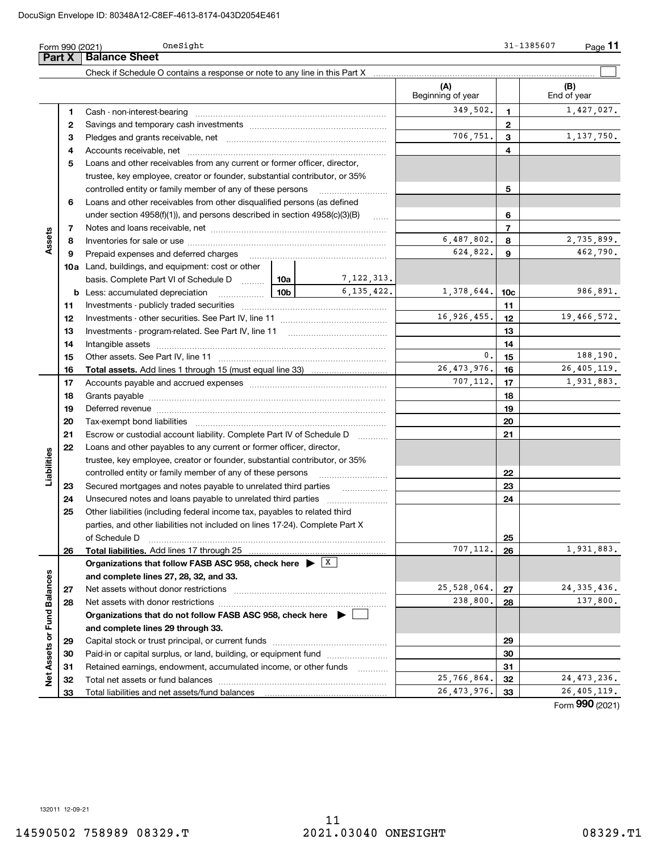|                             | Form 990 (2021) | OneSight                                                                                                                                                                                                                       |                 |                          |                          |                 | 31-1385607<br>$Page$ 11 |
|-----------------------------|-----------------|--------------------------------------------------------------------------------------------------------------------------------------------------------------------------------------------------------------------------------|-----------------|--------------------------|--------------------------|-----------------|-------------------------|
|                             | Part X          | <b>Balance Sheet</b>                                                                                                                                                                                                           |                 |                          |                          |                 |                         |
|                             |                 | Check if Schedule O contains a response or note to any line in this Part X [11] manufacture in the schedule O contains a response or note to any line in this Part X [11] manufacture in the Schedule O contains a response or |                 |                          |                          |                 |                         |
|                             |                 |                                                                                                                                                                                                                                |                 |                          | (A)<br>Beginning of year |                 | (B)<br>End of year      |
|                             | 1               |                                                                                                                                                                                                                                |                 |                          | 349,502.                 | 1               | 1,427,027.              |
|                             | 2               |                                                                                                                                                                                                                                |                 |                          |                          | $\mathbf{2}$    |                         |
|                             | З               |                                                                                                                                                                                                                                |                 |                          | 706,751.                 | 3               | 1,137,750.              |
|                             | 4               |                                                                                                                                                                                                                                |                 |                          |                          | 4               |                         |
|                             | 5               | Loans and other receivables from any current or former officer, director,                                                                                                                                                      |                 |                          |                          |                 |                         |
|                             |                 | trustee, key employee, creator or founder, substantial contributor, or 35%                                                                                                                                                     |                 |                          |                          |                 |                         |
|                             |                 | controlled entity or family member of any of these persons                                                                                                                                                                     |                 |                          |                          | 5               |                         |
|                             | 6               | Loans and other receivables from other disqualified persons (as defined                                                                                                                                                        |                 |                          |                          |                 |                         |
|                             |                 | under section $4958(f)(1)$ , and persons described in section $4958(c)(3)(B)$                                                                                                                                                  |                 | 6                        |                          |                 |                         |
|                             | 7               |                                                                                                                                                                                                                                |                 |                          |                          | $\overline{7}$  |                         |
| Assets                      | 8               |                                                                                                                                                                                                                                |                 |                          | 6,487,802.               | 8               | 2,735,899.              |
|                             | 9               | Prepaid expenses and deferred charges                                                                                                                                                                                          |                 |                          | 624,822.                 | 9               | 462,790.                |
|                             |                 | <b>10a</b> Land, buildings, and equipment: cost or other                                                                                                                                                                       |                 |                          |                          |                 |                         |
|                             |                 | basis. Complete Part VI of Schedule D  10a                                                                                                                                                                                     |                 | 7,122,313.               |                          |                 |                         |
|                             |                 | <b>b</b> Less: accumulated depreciation<br>.                                                                                                                                                                                   | 10 <sub>b</sub> | 6.135.422.               | 1,378,644.               | 10 <sub>c</sub> | 986,891.                |
|                             | 11              |                                                                                                                                                                                                                                |                 | 11                       |                          |                 |                         |
|                             | 12              |                                                                                                                                                                                                                                |                 | 16,926,455.              | 12                       | 19,466,572.     |                         |
|                             | 13              |                                                                                                                                                                                                                                |                 |                          | 13                       |                 |                         |
|                             | 14              |                                                                                                                                                                                                                                |                 | 14                       |                          |                 |                         |
|                             | 15              |                                                                                                                                                                                                                                |                 | 0.                       | 15                       | 188,190.        |                         |
|                             | 16              |                                                                                                                                                                                                                                |                 |                          | 26, 473, 976.            | 16              | 26, 405, 119.           |
|                             | 17              |                                                                                                                                                                                                                                |                 |                          | 707,112.                 | 17              | 1,931,883.              |
|                             | 18              |                                                                                                                                                                                                                                |                 |                          | 18                       |                 |                         |
|                             | 19              |                                                                                                                                                                                                                                |                 |                          |                          | 19              |                         |
|                             | 20              |                                                                                                                                                                                                                                |                 |                          | 20                       |                 |                         |
|                             | 21              | Escrow or custodial account liability. Complete Part IV of Schedule D                                                                                                                                                          |                 | $\overline{\phantom{a}}$ |                          | 21              |                         |
|                             | 22              | Loans and other payables to any current or former officer, director,                                                                                                                                                           |                 |                          |                          |                 |                         |
|                             |                 | trustee, key employee, creator or founder, substantial contributor, or 35%                                                                                                                                                     |                 |                          |                          |                 |                         |
| Liabilities                 |                 | controlled entity or family member of any of these persons                                                                                                                                                                     |                 |                          |                          | 22              |                         |
|                             | 23              | Secured mortgages and notes payable to unrelated third parties                                                                                                                                                                 |                 |                          |                          | 23              |                         |
|                             | 24              |                                                                                                                                                                                                                                |                 |                          |                          | 24              |                         |
|                             | 25              | Other liabilities (including federal income tax, payables to related third                                                                                                                                                     |                 |                          |                          |                 |                         |
|                             |                 | parties, and other liabilities not included on lines 17-24). Complete Part X                                                                                                                                                   |                 |                          |                          |                 |                         |
|                             |                 | of Schedule D                                                                                                                                                                                                                  |                 |                          |                          | 25              |                         |
|                             | 26              | Total liabilities. Add lines 17 through 25                                                                                                                                                                                     |                 |                          | 707,112.                 | 26              | 1,931,883.              |
|                             |                 | Organizations that follow FASB ASC 958, check here $\blacktriangleright$ $\boxed{X}$                                                                                                                                           |                 |                          |                          |                 |                         |
|                             |                 | and complete lines 27, 28, 32, and 33.                                                                                                                                                                                         |                 |                          | 25,528,064.              |                 | 24, 335, 436.           |
|                             | 27              | Net assets without donor restrictions<br>Net assets with donor restrictions                                                                                                                                                    |                 |                          | 238,800.                 | 27              | 137,800.                |
|                             | 28              | Organizations that do not follow FASB ASC 958, check here $\blacktriangleright$                                                                                                                                                |                 |                          |                          | 28              |                         |
|                             |                 |                                                                                                                                                                                                                                |                 |                          |                          |                 |                         |
|                             |                 | and complete lines 29 through 33.                                                                                                                                                                                              |                 |                          |                          |                 |                         |
|                             | 29              | Paid-in or capital surplus, or land, building, or equipment fund                                                                                                                                                               |                 |                          |                          | 29<br>30        |                         |
|                             | 30              |                                                                                                                                                                                                                                |                 |                          |                          | 31              |                         |
| Net Assets or Fund Balances | 31              | Retained earnings, endowment, accumulated income, or other funds                                                                                                                                                               |                 |                          | 25,766,864.              | 32              | 24, 473, 236.           |
|                             | 32              |                                                                                                                                                                                                                                |                 |                          | 26, 473, 976.            | 33              | 26,405,119.             |
|                             | 33              |                                                                                                                                                                                                                                |                 |                          |                          |                 | $000 \times 10^{-1}$    |

132011 12-09-21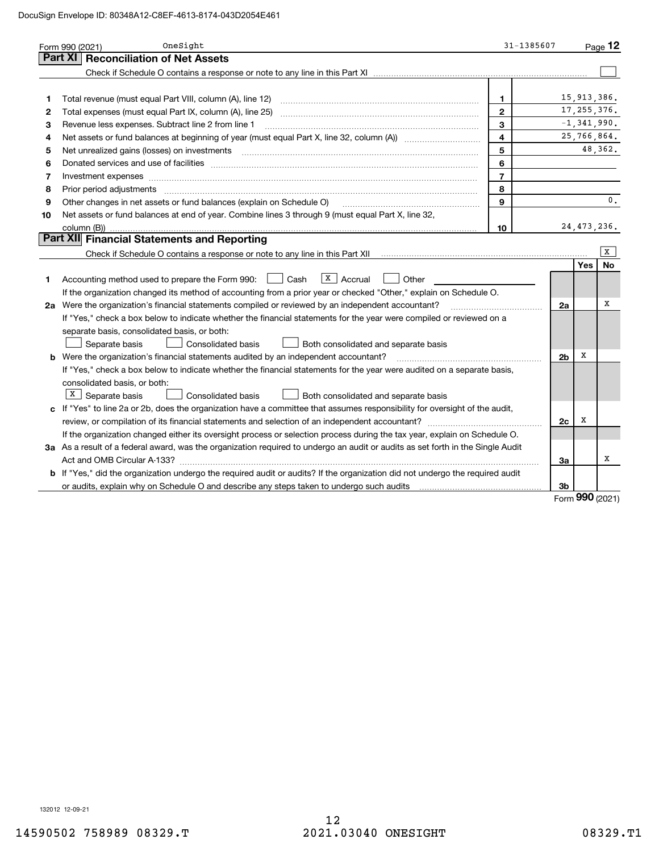|        | OneSight<br>Form 990 (2021)                                                                                                                                                                                                    | 31-1385607     |                |                 | Page $12$ |
|--------|--------------------------------------------------------------------------------------------------------------------------------------------------------------------------------------------------------------------------------|----------------|----------------|-----------------|-----------|
|        | <b>Part XI</b><br><b>Reconciliation of Net Assets</b>                                                                                                                                                                          |                |                |                 |           |
|        |                                                                                                                                                                                                                                |                |                |                 |           |
|        |                                                                                                                                                                                                                                | 1              |                | 15,913,386.     |           |
| 1<br>2 | Total revenue (must equal Part VIII, column (A), line 12)<br>Total expenses (must equal Part IX, column (A), line 25)                                                                                                          | $\overline{2}$ |                | 17, 255, 376.   |           |
| 3      | Revenue less expenses. Subtract line 2 from line 1                                                                                                                                                                             | $\mathbf{3}$   |                | $-1, 341, 990.$ |           |
| 4      |                                                                                                                                                                                                                                | $\overline{4}$ |                | 25,766,864.     |           |
| 5      |                                                                                                                                                                                                                                | $\overline{5}$ |                |                 | 48,362.   |
| 6      |                                                                                                                                                                                                                                | 6              |                |                 |           |
| 7      | Donated services and use of facilities [111] Donated and the service of facilities [11] Donated services and use of facilities [11] Donated and the service of the service of the service of the service of the service of the | $\overline{7}$ |                |                 |           |
| 8      | Investment expenses www.communication.com/www.communication.com/www.communication.com/www.com<br>Prior period adjustments                                                                                                      | 8              |                |                 |           |
| 9      | Other changes in net assets or fund balances (explain on Schedule O)                                                                                                                                                           | 9              |                |                 | 0.        |
| 10     | Net assets or fund balances at end of year. Combine lines 3 through 9 (must equal Part X, line 32,                                                                                                                             |                |                |                 |           |
|        | column (B))                                                                                                                                                                                                                    | 10             |                | 24, 473, 236.   |           |
|        | <b>Part XII Financial Statements and Reporting</b>                                                                                                                                                                             |                |                |                 |           |
|        | Check if Schedule O contains a response or note to any line in this Part XII [11] [12] [12] [13] [13] [13] Check if Schedule O contains a response or note to any line in this Part XII                                        |                |                |                 | x         |
|        |                                                                                                                                                                                                                                |                |                | Yes             | No        |
| 1.     | X   Accrual<br>l Cash<br>Other<br>Accounting method used to prepare the Form 990:                                                                                                                                              |                |                |                 |           |
|        | If the organization changed its method of accounting from a prior year or checked "Other," explain on Schedule O.                                                                                                              |                |                |                 |           |
|        | 2a Were the organization's financial statements compiled or reviewed by an independent accountant?                                                                                                                             |                | 2a             |                 | х         |
|        | If "Yes," check a box below to indicate whether the financial statements for the year were compiled or reviewed on a                                                                                                           |                |                |                 |           |
|        | separate basis, consolidated basis, or both:                                                                                                                                                                                   |                |                |                 |           |
|        | Separate basis<br><b>Consolidated basis</b><br>Both consolidated and separate basis                                                                                                                                            |                |                |                 |           |
|        | b Were the organization's financial statements audited by an independent accountant?                                                                                                                                           |                | 2 <sub>b</sub> | X               |           |
|        | If "Yes," check a box below to indicate whether the financial statements for the year were audited on a separate basis,                                                                                                        |                |                |                 |           |
|        | consolidated basis, or both:                                                                                                                                                                                                   |                |                |                 |           |
|        | $ X $ Separate basis<br><b>Consolidated basis</b><br>Both consolidated and separate basis                                                                                                                                      |                |                |                 |           |
|        | c If "Yes" to line 2a or 2b, does the organization have a committee that assumes responsibility for oversight of the audit,                                                                                                    |                |                |                 |           |
|        |                                                                                                                                                                                                                                |                | 2c             | х               |           |
|        | If the organization changed either its oversight process or selection process during the tax year, explain on Schedule O.                                                                                                      |                |                |                 |           |
|        | 3a As a result of a federal award, was the organization required to undergo an audit or audits as set forth in the Single Audit                                                                                                |                |                |                 |           |
|        |                                                                                                                                                                                                                                |                | За             |                 | х         |
|        | b If "Yes," did the organization undergo the required audit or audits? If the organization did not undergo the required audit                                                                                                  |                |                |                 |           |
|        | or audits, explain why on Schedule O and describe any steps taken to undergo such audits                                                                                                                                       |                | Зb             | מחח             |           |

Form (2021) **990**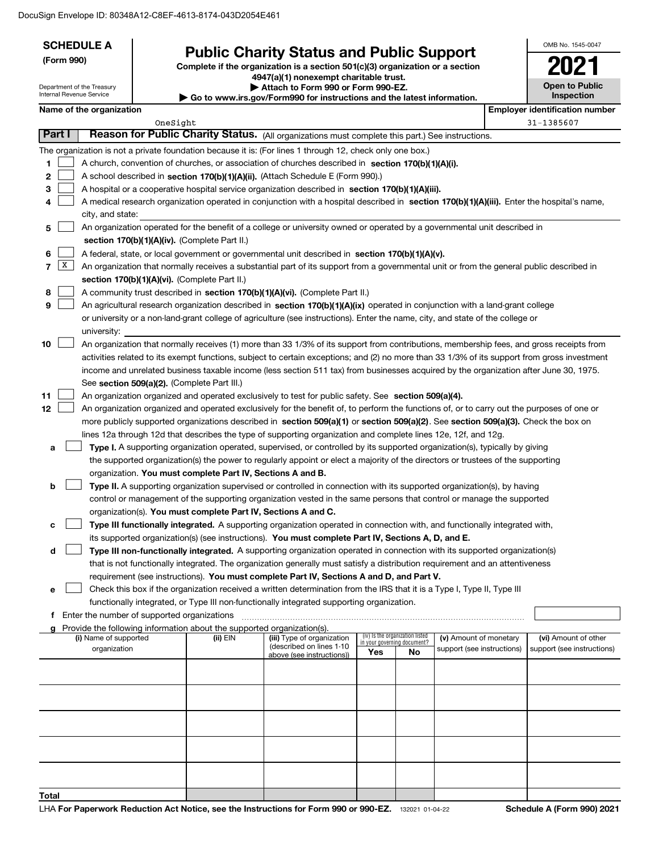| <b>SCHEDULE A</b><br>(Form 990)<br>Department of the Treasury<br>Internal Revenue Service |                                                      | <b>Public Charity Status and Public Support</b><br>Complete if the organization is a section $501(c)(3)$ organization or a section<br>4947(a)(1) nonexempt charitable trust.<br>Attach to Form 990 or Form 990-EZ.<br>► Go to www.irs.gov/Form990 for instructions and the latest information. |                                                                        |                                                                                                                                                                                                                                                    |                             |                                 | OMB No. 1545-0047<br><b>Open to Public</b><br>Inspection |  |                                                    |
|-------------------------------------------------------------------------------------------|------------------------------------------------------|------------------------------------------------------------------------------------------------------------------------------------------------------------------------------------------------------------------------------------------------------------------------------------------------|------------------------------------------------------------------------|----------------------------------------------------------------------------------------------------------------------------------------------------------------------------------------------------------------------------------------------------|-----------------------------|---------------------------------|----------------------------------------------------------|--|----------------------------------------------------|
|                                                                                           | Name of the organization                             |                                                                                                                                                                                                                                                                                                |                                                                        |                                                                                                                                                                                                                                                    |                             |                                 |                                                          |  | <b>Employer identification number</b>              |
|                                                                                           |                                                      | OneSight                                                                                                                                                                                                                                                                                       |                                                                        |                                                                                                                                                                                                                                                    |                             |                                 |                                                          |  | 31-1385607                                         |
| Part I                                                                                    |                                                      |                                                                                                                                                                                                                                                                                                |                                                                        | Reason for Public Charity Status. (All organizations must complete this part.) See instructions.                                                                                                                                                   |                             |                                 |                                                          |  |                                                    |
|                                                                                           |                                                      |                                                                                                                                                                                                                                                                                                |                                                                        | The organization is not a private foundation because it is: (For lines 1 through 12, check only one box.)                                                                                                                                          |                             |                                 |                                                          |  |                                                    |
| 1                                                                                         |                                                      |                                                                                                                                                                                                                                                                                                |                                                                        | A church, convention of churches, or association of churches described in section 170(b)(1)(A)(i).                                                                                                                                                 |                             |                                 |                                                          |  |                                                    |
| 2                                                                                         |                                                      |                                                                                                                                                                                                                                                                                                |                                                                        | A school described in section 170(b)(1)(A)(ii). (Attach Schedule E (Form 990).)                                                                                                                                                                    |                             |                                 |                                                          |  |                                                    |
| 3                                                                                         |                                                      |                                                                                                                                                                                                                                                                                                |                                                                        | A hospital or a cooperative hospital service organization described in section $170(b)(1)(A)(iii)$ .                                                                                                                                               |                             |                                 |                                                          |  |                                                    |
| 4                                                                                         |                                                      |                                                                                                                                                                                                                                                                                                |                                                                        | A medical research organization operated in conjunction with a hospital described in section 170(b)(1)(A)(iii). Enter the hospital's name,                                                                                                         |                             |                                 |                                                          |  |                                                    |
|                                                                                           | city, and state:                                     |                                                                                                                                                                                                                                                                                                |                                                                        |                                                                                                                                                                                                                                                    |                             |                                 |                                                          |  |                                                    |
| 5                                                                                         |                                                      |                                                                                                                                                                                                                                                                                                |                                                                        | An organization operated for the benefit of a college or university owned or operated by a governmental unit described in                                                                                                                          |                             |                                 |                                                          |  |                                                    |
|                                                                                           |                                                      |                                                                                                                                                                                                                                                                                                | section 170(b)(1)(A)(iv). (Complete Part II.)                          |                                                                                                                                                                                                                                                    |                             |                                 |                                                          |  |                                                    |
| 6<br>X<br>$\overline{\phantom{a}}$                                                        |                                                      |                                                                                                                                                                                                                                                                                                |                                                                        | A federal, state, or local government or governmental unit described in section 170(b)(1)(A)(v).                                                                                                                                                   |                             |                                 |                                                          |  |                                                    |
|                                                                                           |                                                      |                                                                                                                                                                                                                                                                                                | section 170(b)(1)(A)(vi). (Complete Part II.)                          | An organization that normally receives a substantial part of its support from a governmental unit or from the general public described in                                                                                                          |                             |                                 |                                                          |  |                                                    |
| 8                                                                                         |                                                      |                                                                                                                                                                                                                                                                                                |                                                                        | A community trust described in section 170(b)(1)(A)(vi). (Complete Part II.)                                                                                                                                                                       |                             |                                 |                                                          |  |                                                    |
| 9                                                                                         |                                                      |                                                                                                                                                                                                                                                                                                |                                                                        | An agricultural research organization described in section 170(b)(1)(A)(ix) operated in conjunction with a land-grant college                                                                                                                      |                             |                                 |                                                          |  |                                                    |
|                                                                                           |                                                      |                                                                                                                                                                                                                                                                                                |                                                                        | or university or a non-land-grant college of agriculture (see instructions). Enter the name, city, and state of the college or                                                                                                                     |                             |                                 |                                                          |  |                                                    |
|                                                                                           | university:                                          |                                                                                                                                                                                                                                                                                                |                                                                        |                                                                                                                                                                                                                                                    |                             |                                 |                                                          |  |                                                    |
| 10                                                                                        |                                                      |                                                                                                                                                                                                                                                                                                |                                                                        | An organization that normally receives (1) more than 33 1/3% of its support from contributions, membership fees, and gross receipts from                                                                                                           |                             |                                 |                                                          |  |                                                    |
|                                                                                           |                                                      |                                                                                                                                                                                                                                                                                                |                                                                        | activities related to its exempt functions, subject to certain exceptions; and (2) no more than 33 1/3% of its support from gross investment                                                                                                       |                             |                                 |                                                          |  |                                                    |
|                                                                                           |                                                      |                                                                                                                                                                                                                                                                                                |                                                                        | income and unrelated business taxable income (less section 511 tax) from businesses acquired by the organization after June 30, 1975.                                                                                                              |                             |                                 |                                                          |  |                                                    |
|                                                                                           |                                                      |                                                                                                                                                                                                                                                                                                | See section 509(a)(2). (Complete Part III.)                            |                                                                                                                                                                                                                                                    |                             |                                 |                                                          |  |                                                    |
| 11<br>12                                                                                  |                                                      |                                                                                                                                                                                                                                                                                                |                                                                        | An organization organized and operated exclusively to test for public safety. See section 509(a)(4).<br>An organization organized and operated exclusively for the benefit of, to perform the functions of, or to carry out the purposes of one or |                             |                                 |                                                          |  |                                                    |
|                                                                                           |                                                      |                                                                                                                                                                                                                                                                                                |                                                                        | more publicly supported organizations described in section 509(a)(1) or section 509(a)(2). See section 509(a)(3). Check the box on                                                                                                                 |                             |                                 |                                                          |  |                                                    |
|                                                                                           |                                                      |                                                                                                                                                                                                                                                                                                |                                                                        | lines 12a through 12d that describes the type of supporting organization and complete lines 12e, 12f, and 12g.                                                                                                                                     |                             |                                 |                                                          |  |                                                    |
| a                                                                                         |                                                      |                                                                                                                                                                                                                                                                                                |                                                                        | Type I. A supporting organization operated, supervised, or controlled by its supported organization(s), typically by giving                                                                                                                        |                             |                                 |                                                          |  |                                                    |
|                                                                                           |                                                      |                                                                                                                                                                                                                                                                                                |                                                                        | the supported organization(s) the power to regularly appoint or elect a majority of the directors or trustees of the supporting                                                                                                                    |                             |                                 |                                                          |  |                                                    |
|                                                                                           |                                                      |                                                                                                                                                                                                                                                                                                | organization. You must complete Part IV, Sections A and B.             |                                                                                                                                                                                                                                                    |                             |                                 |                                                          |  |                                                    |
| b                                                                                         |                                                      |                                                                                                                                                                                                                                                                                                |                                                                        | Type II. A supporting organization supervised or controlled in connection with its supported organization(s), by having                                                                                                                            |                             |                                 |                                                          |  |                                                    |
|                                                                                           |                                                      |                                                                                                                                                                                                                                                                                                |                                                                        | control or management of the supporting organization vested in the same persons that control or manage the supported                                                                                                                               |                             |                                 |                                                          |  |                                                    |
|                                                                                           |                                                      |                                                                                                                                                                                                                                                                                                | organization(s). You must complete Part IV, Sections A and C.          |                                                                                                                                                                                                                                                    |                             |                                 |                                                          |  |                                                    |
| c                                                                                         |                                                      |                                                                                                                                                                                                                                                                                                |                                                                        | Type III functionally integrated. A supporting organization operated in connection with, and functionally integrated with,                                                                                                                         |                             |                                 |                                                          |  |                                                    |
| d                                                                                         |                                                      |                                                                                                                                                                                                                                                                                                |                                                                        | its supported organization(s) (see instructions). You must complete Part IV, Sections A, D, and E.<br>Type III non-functionally integrated. A supporting organization operated in connection with its supported organization(s)                    |                             |                                 |                                                          |  |                                                    |
|                                                                                           |                                                      |                                                                                                                                                                                                                                                                                                |                                                                        | that is not functionally integrated. The organization generally must satisfy a distribution requirement and an attentiveness                                                                                                                       |                             |                                 |                                                          |  |                                                    |
|                                                                                           |                                                      |                                                                                                                                                                                                                                                                                                |                                                                        | requirement (see instructions). You must complete Part IV, Sections A and D, and Part V.                                                                                                                                                           |                             |                                 |                                                          |  |                                                    |
| е                                                                                         |                                                      |                                                                                                                                                                                                                                                                                                |                                                                        | Check this box if the organization received a written determination from the IRS that it is a Type I, Type II, Type III                                                                                                                            |                             |                                 |                                                          |  |                                                    |
|                                                                                           |                                                      |                                                                                                                                                                                                                                                                                                |                                                                        | functionally integrated, or Type III non-functionally integrated supporting organization.                                                                                                                                                          |                             |                                 |                                                          |  |                                                    |
|                                                                                           | <b>f</b> Enter the number of supported organizations |                                                                                                                                                                                                                                                                                                |                                                                        |                                                                                                                                                                                                                                                    |                             |                                 |                                                          |  |                                                    |
|                                                                                           |                                                      |                                                                                                                                                                                                                                                                                                | Provide the following information about the supported organization(s). |                                                                                                                                                                                                                                                    |                             | (iv) Is the organization listed |                                                          |  |                                                    |
|                                                                                           | (i) Name of supported<br>organization                |                                                                                                                                                                                                                                                                                                | (ii) EIN                                                               | (iii) Type of organization<br>(described on lines 1-10                                                                                                                                                                                             | in your governing document? |                                 | (v) Amount of monetary<br>support (see instructions)     |  | (vi) Amount of other<br>support (see instructions) |
|                                                                                           |                                                      |                                                                                                                                                                                                                                                                                                |                                                                        | above (see instructions))                                                                                                                                                                                                                          | Yes                         | No                              |                                                          |  |                                                    |
|                                                                                           |                                                      |                                                                                                                                                                                                                                                                                                |                                                                        |                                                                                                                                                                                                                                                    |                             |                                 |                                                          |  |                                                    |
|                                                                                           |                                                      |                                                                                                                                                                                                                                                                                                |                                                                        |                                                                                                                                                                                                                                                    |                             |                                 |                                                          |  |                                                    |
|                                                                                           |                                                      |                                                                                                                                                                                                                                                                                                |                                                                        |                                                                                                                                                                                                                                                    |                             |                                 |                                                          |  |                                                    |
|                                                                                           |                                                      |                                                                                                                                                                                                                                                                                                |                                                                        |                                                                                                                                                                                                                                                    |                             |                                 |                                                          |  |                                                    |
|                                                                                           |                                                      |                                                                                                                                                                                                                                                                                                |                                                                        |                                                                                                                                                                                                                                                    |                             |                                 |                                                          |  |                                                    |
|                                                                                           |                                                      |                                                                                                                                                                                                                                                                                                |                                                                        |                                                                                                                                                                                                                                                    |                             |                                 |                                                          |  |                                                    |
|                                                                                           |                                                      |                                                                                                                                                                                                                                                                                                |                                                                        |                                                                                                                                                                                                                                                    |                             |                                 |                                                          |  |                                                    |
|                                                                                           |                                                      |                                                                                                                                                                                                                                                                                                |                                                                        |                                                                                                                                                                                                                                                    |                             |                                 |                                                          |  |                                                    |
| Total                                                                                     |                                                      |                                                                                                                                                                                                                                                                                                |                                                                        |                                                                                                                                                                                                                                                    |                             |                                 |                                                          |  |                                                    |
|                                                                                           |                                                      |                                                                                                                                                                                                                                                                                                |                                                                        |                                                                                                                                                                                                                                                    |                             |                                 |                                                          |  |                                                    |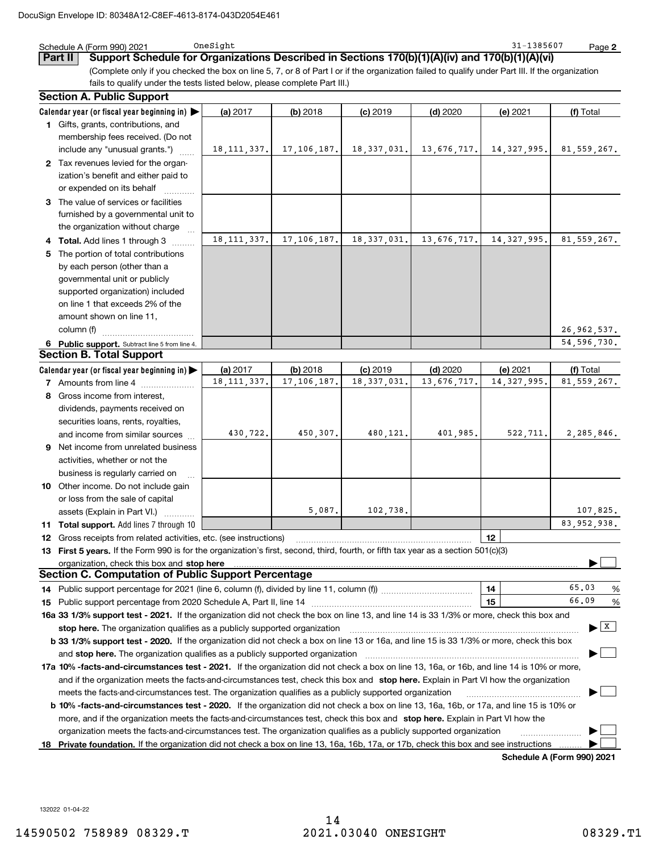|     | Schedule A (Form 990) 2021                                                                                                                                                                                                     | OneSight      |               |               |             | 31-1385607    | Page 2                        |
|-----|--------------------------------------------------------------------------------------------------------------------------------------------------------------------------------------------------------------------------------|---------------|---------------|---------------|-------------|---------------|-------------------------------|
|     | Support Schedule for Organizations Described in Sections 170(b)(1)(A)(iv) and 170(b)(1)(A)(vi)<br>Part II                                                                                                                      |               |               |               |             |               |                               |
|     | (Complete only if you checked the box on line 5, 7, or 8 of Part I or if the organization failed to qualify under Part III. If the organization                                                                                |               |               |               |             |               |                               |
|     | fails to qualify under the tests listed below, please complete Part III.)                                                                                                                                                      |               |               |               |             |               |                               |
|     | <b>Section A. Public Support</b>                                                                                                                                                                                               |               |               |               |             |               |                               |
|     | Calendar year (or fiscal year beginning in)                                                                                                                                                                                    | (a) 2017      | $(b)$ 2018    | $(c)$ 2019    | $(d)$ 2020  | (e) 2021      | (f) Total                     |
|     | 1 Gifts, grants, contributions, and                                                                                                                                                                                            |               |               |               |             |               |                               |
|     | membership fees received. (Do not                                                                                                                                                                                              |               |               |               |             |               |                               |
|     | include any "unusual grants.")                                                                                                                                                                                                 | 18, 111, 337. | 17, 106, 187. | 18, 337, 031. | 13,676,717. | 14, 327, 995. | 81,559,267.                   |
|     | 2 Tax revenues levied for the organ-                                                                                                                                                                                           |               |               |               |             |               |                               |
|     | ization's benefit and either paid to                                                                                                                                                                                           |               |               |               |             |               |                               |
|     | or expended on its behalf                                                                                                                                                                                                      |               |               |               |             |               |                               |
|     | 3 The value of services or facilities                                                                                                                                                                                          |               |               |               |             |               |                               |
|     | furnished by a governmental unit to                                                                                                                                                                                            |               |               |               |             |               |                               |
|     | the organization without charge                                                                                                                                                                                                |               |               |               |             |               |                               |
|     | 4 Total. Add lines 1 through 3                                                                                                                                                                                                 | 18, 111, 337. | 17, 106, 187. | 18, 337, 031. | 13,676,717. | 14, 327, 995. | 81,559,267.                   |
| 5.  | The portion of total contributions                                                                                                                                                                                             |               |               |               |             |               |                               |
|     | by each person (other than a                                                                                                                                                                                                   |               |               |               |             |               |                               |
|     | governmental unit or publicly                                                                                                                                                                                                  |               |               |               |             |               |                               |
|     | supported organization) included                                                                                                                                                                                               |               |               |               |             |               |                               |
|     | on line 1 that exceeds 2% of the                                                                                                                                                                                               |               |               |               |             |               |                               |
|     | amount shown on line 11,                                                                                                                                                                                                       |               |               |               |             |               |                               |
|     | column (f)                                                                                                                                                                                                                     |               |               |               |             |               | 26,962,537.                   |
|     | 6 Public support. Subtract line 5 from line 4.                                                                                                                                                                                 |               |               |               |             |               | 54, 596, 730.                 |
|     | <b>Section B. Total Support</b>                                                                                                                                                                                                |               |               |               |             |               |                               |
|     | Calendar year (or fiscal year beginning in) $\blacktriangleright$                                                                                                                                                              | (a) 2017      | (b) 2018      | $(c)$ 2019    | (d) 2020    | (e) 2021      | (f) Total                     |
|     | 7 Amounts from line 4                                                                                                                                                                                                          | 18, 111, 337. | 17, 106, 187. | 18, 337, 031. | 13,676,717. | 14, 327, 995. | 81,559,267.                   |
|     | 8 Gross income from interest,                                                                                                                                                                                                  |               |               |               |             |               |                               |
|     | dividends, payments received on                                                                                                                                                                                                |               |               |               |             |               |                               |
|     | securities loans, rents, royalties,                                                                                                                                                                                            |               |               |               |             |               |                               |
|     | and income from similar sources                                                                                                                                                                                                | 430,722.      | 450,307.      | 480,121.      | 401,985.    | 522,711.      | 2,285,846.                    |
|     | 9 Net income from unrelated business                                                                                                                                                                                           |               |               |               |             |               |                               |
|     | activities, whether or not the                                                                                                                                                                                                 |               |               |               |             |               |                               |
|     | business is regularly carried on                                                                                                                                                                                               |               |               |               |             |               |                               |
|     | 10 Other income. Do not include gain                                                                                                                                                                                           |               |               |               |             |               |                               |
|     | or loss from the sale of capital                                                                                                                                                                                               |               |               |               |             |               |                               |
|     | assets (Explain in Part VI.)                                                                                                                                                                                                   |               | 5.087.        | 102,738,      |             |               | 107,825.                      |
|     | <b>11 Total support.</b> Add lines 7 through 10                                                                                                                                                                                |               |               |               |             |               | 83,952,938.                   |
| 12  | Gross receipts from related activities, etc. (see instructions)                                                                                                                                                                |               |               |               |             | 12            |                               |
| 13. | First 5 years. If the Form 990 is for the organization's first, second, third, fourth, or fifth tax year as a section 501(c)(3)                                                                                                |               |               |               |             |               |                               |
|     | organization, check this box and stop here manufactured and announced and announced and stop here in the original contract of the contract of the original contract of the contract of the contract of the contract of the con |               |               |               |             |               |                               |
|     | Section C. Computation of Public Support Percentage                                                                                                                                                                            |               |               |               |             |               |                               |
|     |                                                                                                                                                                                                                                |               |               |               |             | 14            | 65.03<br>%                    |
|     |                                                                                                                                                                                                                                |               |               |               |             | 15            | 66.09<br>$\%$                 |
|     | 16a 33 1/3% support test - 2021. If the organization did not check the box on line 13, and line 14 is 33 1/3% or more, check this box and                                                                                      |               |               |               |             |               |                               |
|     |                                                                                                                                                                                                                                |               |               |               |             |               | $\blacktriangleright$   $X$ ] |
|     | b 33 1/3% support test - 2020. If the organization did not check a box on line 13 or 16a, and line 15 is 33 1/3% or more, check this box                                                                                       |               |               |               |             |               |                               |
|     |                                                                                                                                                                                                                                |               |               |               |             |               |                               |
|     | 17a 10% -facts-and-circumstances test - 2021. If the organization did not check a box on line 13, 16a, or 16b, and line 14 is 10% or more,                                                                                     |               |               |               |             |               |                               |
|     | and if the organization meets the facts-and-circumstances test, check this box and stop here. Explain in Part VI how the organization                                                                                          |               |               |               |             |               |                               |
|     | meets the facts-and-circumstances test. The organization qualifies as a publicly supported organization                                                                                                                        |               |               |               |             |               |                               |
|     | <b>b 10% -facts-and-circumstances test - 2020.</b> If the organization did not check a box on line 13, 16a, 16b, or 17a, and line 15 is 10% or                                                                                 |               |               |               |             |               |                               |
|     | more, and if the organization meets the facts-and-circumstances test, check this box and stop here. Explain in Part VI how the                                                                                                 |               |               |               |             |               |                               |
|     | organization meets the facts-and-circumstances test. The organization qualifies as a publicly supported organization                                                                                                           |               |               |               |             |               |                               |
|     | 18 Private foundation. If the organization did not check a box on line 13, 16a, 16b, 17a, or 17b, check this box and see instructions                                                                                          |               |               |               |             |               |                               |
|     |                                                                                                                                                                                                                                |               |               |               |             |               | Cohodulo A (Earm 000) 2024    |

**Schedule A (Form 990) 2021**

132022 01-04-22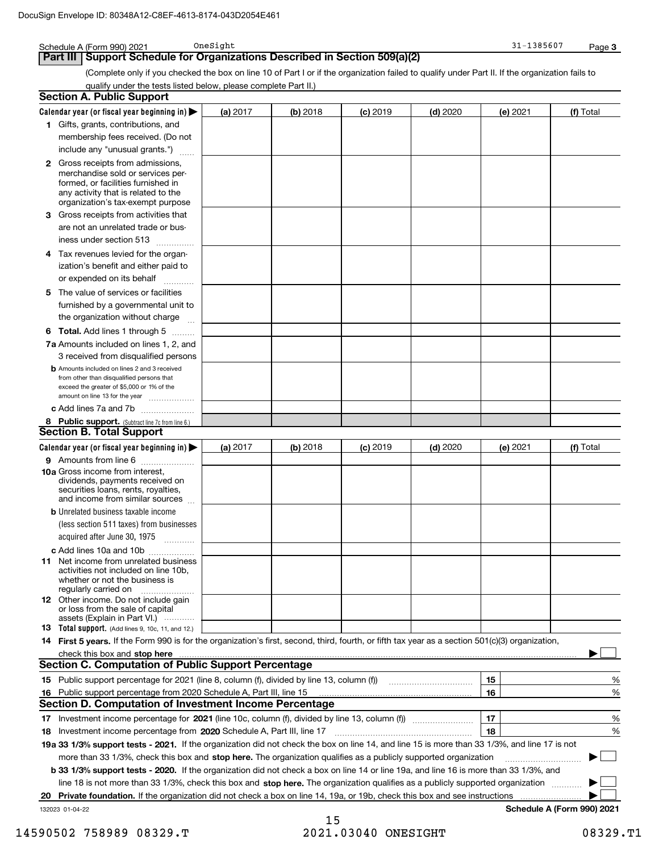Schedule A (Form 990) 2021 OneSight

|     | Support Schedule for Organizations Described in Section 509(a)(2)<br>Part III                                                                                                          |          |          |            |            |          |                            |
|-----|----------------------------------------------------------------------------------------------------------------------------------------------------------------------------------------|----------|----------|------------|------------|----------|----------------------------|
|     | (Complete only if you checked the box on line 10 of Part I or if the organization failed to qualify under Part II. If the organization fails to                                        |          |          |            |            |          |                            |
|     | qualify under the tests listed below, please complete Part II.)                                                                                                                        |          |          |            |            |          |                            |
|     | <b>Section A. Public Support</b>                                                                                                                                                       |          |          |            |            |          |                            |
|     | Calendar year (or fiscal year beginning in) $\blacktriangleright$                                                                                                                      | (a) 2017 | (b) 2018 | $(c)$ 2019 | $(d)$ 2020 | (e) 2021 | (f) Total                  |
|     | 1 Gifts, grants, contributions, and                                                                                                                                                    |          |          |            |            |          |                            |
|     | membership fees received. (Do not                                                                                                                                                      |          |          |            |            |          |                            |
|     | include any "unusual grants.")                                                                                                                                                         |          |          |            |            |          |                            |
| 2   | Gross receipts from admissions,<br>merchandise sold or services per-<br>formed, or facilities furnished in<br>any activity that is related to the<br>organization's tax-exempt purpose |          |          |            |            |          |                            |
| 3   | Gross receipts from activities that                                                                                                                                                    |          |          |            |            |          |                            |
|     | are not an unrelated trade or bus-                                                                                                                                                     |          |          |            |            |          |                            |
|     | iness under section 513                                                                                                                                                                |          |          |            |            |          |                            |
| 4   | Tax revenues levied for the organ-                                                                                                                                                     |          |          |            |            |          |                            |
|     | ization's benefit and either paid to                                                                                                                                                   |          |          |            |            |          |                            |
|     | or expended on its behalf                                                                                                                                                              |          |          |            |            |          |                            |
| 5   | The value of services or facilities                                                                                                                                                    |          |          |            |            |          |                            |
|     | furnished by a governmental unit to                                                                                                                                                    |          |          |            |            |          |                            |
|     |                                                                                                                                                                                        |          |          |            |            |          |                            |
|     | the organization without charge                                                                                                                                                        |          |          |            |            |          |                            |
| 6   | <b>Total.</b> Add lines 1 through 5                                                                                                                                                    |          |          |            |            |          |                            |
|     | 7a Amounts included on lines 1, 2, and                                                                                                                                                 |          |          |            |            |          |                            |
|     | 3 received from disqualified persons                                                                                                                                                   |          |          |            |            |          |                            |
|     | <b>b</b> Amounts included on lines 2 and 3 received<br>from other than disqualified persons that<br>exceed the greater of \$5,000 or 1% of the<br>amount on line 13 for the year       |          |          |            |            |          |                            |
|     | c Add lines 7a and 7b                                                                                                                                                                  |          |          |            |            |          |                            |
|     | 8 Public support. (Subtract line 7c from line 6.)                                                                                                                                      |          |          |            |            |          |                            |
|     | <b>Section B. Total Support</b>                                                                                                                                                        |          |          |            |            |          |                            |
|     | Calendar year (or fiscal year beginning in) $\blacktriangleright$                                                                                                                      | (a) 2017 | (b) 2018 | $(c)$ 2019 | $(d)$ 2020 | (e) 2021 | (f) Total                  |
|     | 9 Amounts from line 6                                                                                                                                                                  |          |          |            |            |          |                            |
|     | 10a Gross income from interest,<br>dividends, payments received on<br>securities loans, rents, royalties,<br>and income from similar sources                                           |          |          |            |            |          |                            |
|     | <b>b</b> Unrelated business taxable income                                                                                                                                             |          |          |            |            |          |                            |
|     | (less section 511 taxes) from businesses                                                                                                                                               |          |          |            |            |          |                            |
|     | acquired after June 30, 1975<br>.                                                                                                                                                      |          |          |            |            |          |                            |
|     | c Add lines 10a and 10b                                                                                                                                                                |          |          |            |            |          |                            |
|     | <b>11</b> Net income from unrelated business<br>activities not included on line 10b,<br>whether or not the business is<br>regularly carried on                                         |          |          |            |            |          |                            |
|     | <b>12</b> Other income. Do not include gain<br>or loss from the sale of capital<br>assets (Explain in Part VI.)                                                                        |          |          |            |            |          |                            |
|     | <b>13</b> Total support. (Add lines 9, 10c, 11, and 12.)                                                                                                                               |          |          |            |            |          |                            |
|     | 14 First 5 years. If the Form 990 is for the organization's first, second, third, fourth, or fifth tax year as a section 501(c)(3) organization,                                       |          |          |            |            |          |                            |
|     |                                                                                                                                                                                        |          |          |            |            |          |                            |
|     | <b>Section C. Computation of Public Support Percentage</b>                                                                                                                             |          |          |            |            |          |                            |
| 15. | Public support percentage for 2021 (line 8, column (f), divided by line 13, column (f) [11] [11] [11] [11] [11                                                                         |          |          |            |            | 15       | %                          |
| 16  | Public support percentage from 2020 Schedule A, Part III, line 15                                                                                                                      |          |          |            |            | 16       | %                          |
|     | Section D. Computation of Investment Income Percentage                                                                                                                                 |          |          |            |            |          |                            |
| 17  |                                                                                                                                                                                        |          |          |            |            | 17       | %                          |
| 18  | Investment income percentage from 2020 Schedule A, Part III, line 17                                                                                                                   |          |          |            |            | 18       | %                          |
|     | 19a 33 1/3% support tests - 2021. If the organization did not check the box on line 14, and line 15 is more than 33 1/3%, and line 17 is not                                           |          |          |            |            |          |                            |
|     |                                                                                                                                                                                        |          |          |            |            |          |                            |
|     | more than 33 1/3%, check this box and stop here. The organization qualifies as a publicly supported organization                                                                       |          |          |            |            |          |                            |
|     | <b>b 33 1/3% support tests - 2020.</b> If the organization did not check a box on line 14 or line 19a, and line 16 is more than 33 1/3%, and                                           |          |          |            |            |          |                            |
|     | line 18 is not more than 33 1/3%, check this box and stop here. The organization qualifies as a publicly supported organization                                                        |          |          |            |            |          |                            |
|     |                                                                                                                                                                                        |          |          |            |            |          |                            |
| 20  | Private foundation. If the organization did not check a box on line 14, 19a, or 19b, check this box and see instructions<br>132023 01-04-22                                            |          |          |            |            |          | Schedule A (Form 990) 2021 |

**3**

OneSight 31-1385607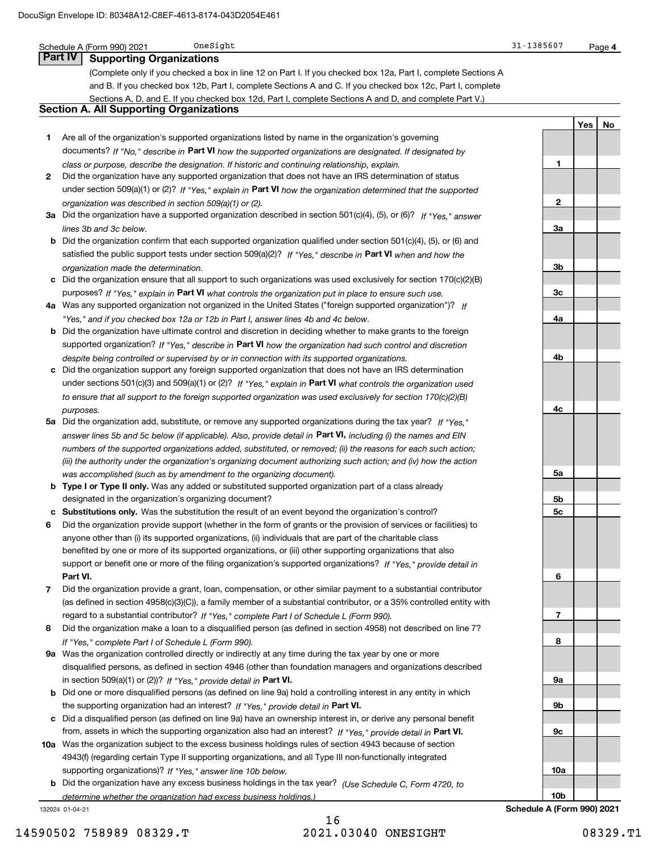|              | OneSight<br>Schedule A (Form 990) 2021                                                                                       | 31-1385607 |     | Page 4 |
|--------------|------------------------------------------------------------------------------------------------------------------------------|------------|-----|--------|
|              | <b>Part IV</b><br><b>Supporting Organizations</b>                                                                            |            |     |        |
|              | (Complete only if you checked a box in line 12 on Part I. If you checked box 12a, Part I, complete Sections A                |            |     |        |
|              | and B. If you checked box 12b, Part I, complete Sections A and C. If you checked box 12c, Part I, complete                   |            |     |        |
|              | Sections A, D, and E. If you checked box 12d, Part I, complete Sections A and D, and complete Part V.)                       |            |     |        |
|              | <b>Section A. All Supporting Organizations</b>                                                                               |            |     |        |
|              |                                                                                                                              |            | Yes | No     |
| 1.           | Are all of the organization's supported organizations listed by name in the organization's governing                         |            |     |        |
|              | documents? If "No," describe in Part VI how the supported organizations are designated. If designated by                     |            |     |        |
|              | class or purpose, describe the designation. If historic and continuing relationship, explain.                                | 1          |     |        |
| $\mathbf{2}$ | Did the organization have any supported organization that does not have an IRS determination of status                       |            |     |        |
|              | under section 509(a)(1) or (2)? If "Yes," explain in Part VI how the organization determined that the supported              |            |     |        |
|              | organization was described in section 509(a)(1) or (2).                                                                      | 2          |     |        |
|              | 3a Did the organization have a supported organization described in section 501(c)(4), (5), or (6)? If "Yes," answer          |            |     |        |
|              | lines 3b and 3c below.                                                                                                       | За         |     |        |
|              | <b>b</b> Did the organization confirm that each supported organization qualified under section $501(c)(4)$ , (5), or (6) and |            |     |        |
|              | satisfied the public support tests under section 509(a)(2)? If "Yes," describe in Part VI when and how the                   |            |     |        |
|              | organization made the determination.                                                                                         | Зb         |     |        |
|              | c Did the organization ensure that all support to such organizations was used exclusively for section $170(c)(2)(B)$         |            |     |        |
|              | purposes? If "Yes," explain in Part VI what controls the organization put in place to ensure such use.                       | Зс         |     |        |
|              | 4a Was any supported organization not organized in the United States ("foreign supported organization")? If                  |            |     |        |
|              | "Yes," and if you checked box 12a or 12b in Part I, answer lines 4b and 4c below.                                            | 4a         |     |        |
|              | <b>b</b> Did the organization have ultimate control and discretion in deciding whether to make grants to the foreign         |            |     |        |
|              | supported organization? If "Yes," describe in Part VI how the organization had such control and discretion                   |            |     |        |
|              | despite being controlled or supervised by or in connection with its supported organizations.                                 | 4b         |     |        |
|              | c Did the organization support any foreign supported organization that does not have an IRS determination                    |            |     |        |
|              | under sections 501(c)(3) and 509(a)(1) or (2)? If "Yes," explain in Part VI what controls the organization used              |            |     |        |
|              | to ensure that all support to the foreign supported organization was used exclusively for section 170(c)(2)(B)               |            |     |        |
|              | purposes.                                                                                                                    | 4c         |     |        |
|              | 5a Did the organization add, substitute, or remove any supported organizations during the tax year? If "Yes."                |            |     |        |
|              | answer lines 5b and 5c below (if applicable). Also, provide detail in Part VI, including (i) the names and EIN               |            |     |        |
|              | numbers of the supported organizations added, substituted, or removed; (ii) the reasons for each such action;                |            |     |        |
|              | (iii) the authority under the organization's organizing document authorizing such action; and (iv) how the action            |            |     |        |
|              | was accomplished (such as by amendment to the organizing document).                                                          | 5a         |     |        |
|              | <b>b</b> Type I or Type II only. Was any added or substituted supported organization part of a class already                 |            |     |        |
|              | designated in the organization's organizing document?                                                                        | 5b         |     |        |
|              | Substitutions only. Was the substitution the result of an event beyond the organization's control?                           | 5c         |     |        |
|              | Did the organization provide support (whether in the form of grants or the provision of services or facilities) to           |            |     |        |
|              | anyone other than (i) its supported organizations, (ii) individuals that are part of the charitable class                    |            |     |        |
|              | benefited by one or more of its supported organizations, or (iii) other supporting organizations that also                   |            |     |        |
|              | support or benefit one or more of the filing organization's supported organizations? If "Yes," provide detail in             |            |     |        |
|              | Part VI.                                                                                                                     | 6          |     |        |
| 7            | Did the organization provide a grant, loan, compensation, or other similar payment to a substantial contributor              |            |     |        |
|              | (as defined in section 4958(c)(3)(C)), a family member of a substantial contributor, or a 35% controlled entity with         |            |     |        |
|              | regard to a substantial contributor? If "Yes," complete Part I of Schedule L (Form 990).                                     | 7          |     |        |
| 8            | Did the organization make a loan to a disqualified person (as defined in section 4958) not described on line 7?              |            |     |        |
|              | If "Yes," complete Part I of Schedule L (Form 990).                                                                          | 8          |     |        |
|              | 9a Was the organization controlled directly or indirectly at any time during the tax year by one or more                     |            |     |        |
|              | disqualified persons, as defined in section 4946 (other than foundation managers and organizations described                 |            |     |        |
|              | in section 509(a)(1) or (2))? If "Yes," provide detail in Part VI.                                                           | 9а         |     |        |
|              | b Did one or more disqualified persons (as defined on line 9a) hold a controlling interest in any entity in which            |            |     |        |
|              | the supporting organization had an interest? If "Yes," provide detail in Part VI.                                            | 9b         |     |        |
|              | c Did a disqualified person (as defined on line 9a) have an ownership interest in, or derive any personal benefit            |            |     |        |
|              | from, assets in which the supporting organization also had an interest? If "Yes," provide detail in Part VI.                 | 9c         |     |        |
|              |                                                                                                                              |            |     |        |

**10a** Was the organization subject to the excess business holdings rules of section 4943 because of section supporting organizations)? If "Yes," answer line 10b below. 4943(f) (regarding certain Type II supporting organizations, and all Type III non-functionally integrated

**b** Did the organization have any excess business holdings in the tax year? (Use Schedule C, Form 4720, to *determine whether the organization had excess business holdings.)*

132024 01-04-21

**10a**

**10b**

**Schedule A (Form 990) 2021**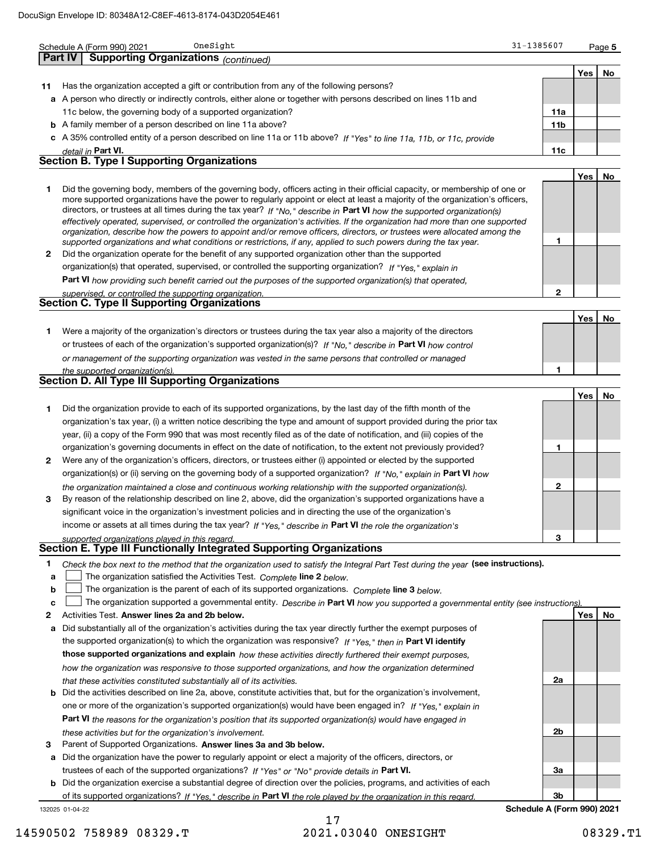|              | OneSight<br>Schedule A (Form 990) 2021                                                                                                                                                                                                                    | 31-1385607                 |      | Page 5 |
|--------------|-----------------------------------------------------------------------------------------------------------------------------------------------------------------------------------------------------------------------------------------------------------|----------------------------|------|--------|
|              | <b>Supporting Organizations (continued)</b><br><b>Part IV</b>                                                                                                                                                                                             |                            |      |        |
|              |                                                                                                                                                                                                                                                           |                            | Yes  | No     |
| 11           | Has the organization accepted a gift or contribution from any of the following persons?                                                                                                                                                                   |                            |      |        |
|              | a A person who directly or indirectly controls, either alone or together with persons described on lines 11b and                                                                                                                                          |                            |      |        |
|              | 11c below, the governing body of a supported organization?<br><b>b</b> A family member of a person described on line 11a above?                                                                                                                           | 11a<br>11 <sub>b</sub>     |      |        |
|              | c A 35% controlled entity of a person described on line 11a or 11b above? If "Yes" to line 11a, 11b, or 11c, provide                                                                                                                                      |                            |      |        |
|              | detail in Part VI.                                                                                                                                                                                                                                        | 11c                        |      |        |
|              | <b>Section B. Type I Supporting Organizations</b>                                                                                                                                                                                                         |                            |      |        |
|              |                                                                                                                                                                                                                                                           |                            | Yes  | No     |
| 1            | Did the governing body, members of the governing body, officers acting in their official capacity, or membership of one or                                                                                                                                |                            |      |        |
|              | more supported organizations have the power to regularly appoint or elect at least a majority of the organization's officers,                                                                                                                             |                            |      |        |
|              | directors, or trustees at all times during the tax year? If "No," describe in Part VI how the supported organization(s)<br>effectively operated, supervised, or controlled the organization's activities. If the organization had more than one supported |                            |      |        |
|              | organization, describe how the powers to appoint and/or remove officers, directors, or trustees were allocated among the                                                                                                                                  |                            |      |        |
|              | supported organizations and what conditions or restrictions, if any, applied to such powers during the tax year.                                                                                                                                          | 1                          |      |        |
| $\mathbf{2}$ | Did the organization operate for the benefit of any supported organization other than the supported<br>organization(s) that operated, supervised, or controlled the supporting organization? If "Yes," explain in                                         |                            |      |        |
|              | Part VI how providing such benefit carried out the purposes of the supported organization(s) that operated,                                                                                                                                               |                            |      |        |
|              | supervised, or controlled the supporting organization.                                                                                                                                                                                                    | $\mathbf{2}$               |      |        |
|              | <b>Section C. Type II Supporting Organizations</b>                                                                                                                                                                                                        |                            |      |        |
|              |                                                                                                                                                                                                                                                           |                            | Yes  | No     |
| 1            | Were a majority of the organization's directors or trustees during the tax year also a majority of the directors                                                                                                                                          |                            |      |        |
|              | or trustees of each of the organization's supported organization(s)? If "No," describe in Part VI how control                                                                                                                                             |                            |      |        |
|              | or management of the supporting organization was vested in the same persons that controlled or managed                                                                                                                                                    |                            |      |        |
|              | the supported organization(s).<br><b>Section D. All Type III Supporting Organizations</b>                                                                                                                                                                 | 1                          |      |        |
|              |                                                                                                                                                                                                                                                           |                            |      |        |
| 1            | Did the organization provide to each of its supported organizations, by the last day of the fifth month of the                                                                                                                                            |                            | Yes  | No     |
|              | organization's tax year, (i) a written notice describing the type and amount of support provided during the prior tax                                                                                                                                     |                            |      |        |
|              | year, (ii) a copy of the Form 990 that was most recently filed as of the date of notification, and (iii) copies of the                                                                                                                                    |                            |      |        |
|              | organization's governing documents in effect on the date of notification, to the extent not previously provided?                                                                                                                                          | 1                          |      |        |
| 2            | Were any of the organization's officers, directors, or trustees either (i) appointed or elected by the supported                                                                                                                                          |                            |      |        |
|              | organization(s) or (ii) serving on the governing body of a supported organization? If "No," explain in Part VI how                                                                                                                                        |                            |      |        |
|              | the organization maintained a close and continuous working relationship with the supported organization(s).                                                                                                                                               | $\mathbf{2}$               |      |        |
| 3            | By reason of the relationship described on line 2, above, did the organization's supported organizations have a                                                                                                                                           |                            |      |        |
|              | significant voice in the organization's investment policies and in directing the use of the organization's                                                                                                                                                |                            |      |        |
|              | income or assets at all times during the tax year? If "Yes," describe in Part VI the role the organization's<br>supported organizations played in this regard.                                                                                            | 3                          |      |        |
|              | Section E. Type III Functionally Integrated Supporting Organizations                                                                                                                                                                                      |                            |      |        |
| 1            | Check the box next to the method that the organization used to satisfy the Integral Part Test during the year (see instructions).                                                                                                                         |                            |      |        |
| a            | The organization satisfied the Activities Test. Complete line 2 below.                                                                                                                                                                                    |                            |      |        |
| b            | The organization is the parent of each of its supported organizations. Complete line 3 below.                                                                                                                                                             |                            |      |        |
| с            | The organization supported a governmental entity. Describe in Part VI how you supported a governmental entity (see instructions).                                                                                                                         |                            |      |        |
| 2            | Activities Test. Answer lines 2a and 2b below.                                                                                                                                                                                                            |                            | Yes∣ | No     |
| а            | Did substantially all of the organization's activities during the tax year directly further the exempt purposes of                                                                                                                                        |                            |      |        |
|              | the supported organization(s) to which the organization was responsive? If "Yes," then in Part VI identify                                                                                                                                                |                            |      |        |
|              | those supported organizations and explain how these activities directly furthered their exempt purposes,<br>how the organization was responsive to those supported organizations, and how the organization determined                                     |                            |      |        |
|              | that these activities constituted substantially all of its activities.                                                                                                                                                                                    | 2a                         |      |        |
| b            | Did the activities described on line 2a, above, constitute activities that, but for the organization's involvement,                                                                                                                                       |                            |      |        |
|              | one or more of the organization's supported organization(s) would have been engaged in? If "Yes," explain in                                                                                                                                              |                            |      |        |
|              | Part VI the reasons for the organization's position that its supported organization(s) would have engaged in                                                                                                                                              |                            |      |        |
|              | these activities but for the organization's involvement.                                                                                                                                                                                                  | 2 <sub>b</sub>             |      |        |
| 3            | Parent of Supported Organizations. Answer lines 3a and 3b below.                                                                                                                                                                                          |                            |      |        |
| a            | Did the organization have the power to regularly appoint or elect a majority of the officers, directors, or                                                                                                                                               |                            |      |        |
|              | trustees of each of the supported organizations? If "Yes" or "No" provide details in Part VI.                                                                                                                                                             | 3a                         |      |        |
|              | <b>b</b> Did the organization exercise a substantial degree of direction over the policies, programs, and activities of each<br>of its supported organizations? If "Yes." describe in Part VI the role played by the organization in this regard.         | 3 <sub>b</sub>             |      |        |
|              | 132025 01-04-22                                                                                                                                                                                                                                           | Schedule A (Form 990) 2021 |      |        |

## 17 14590502 758989 08329.T 2021.03040 ONESIGHT 08329.T1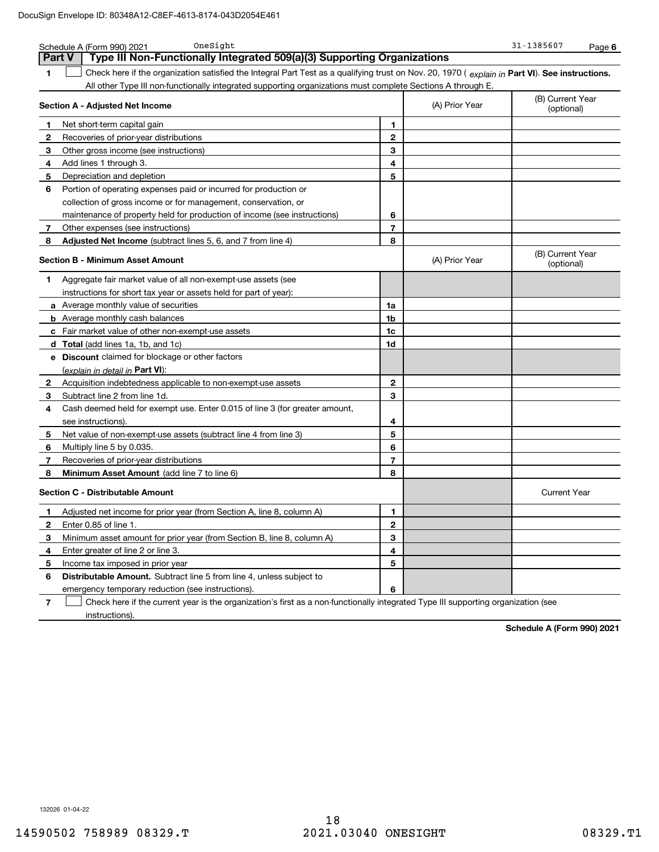|                | OneSight<br>Schedule A (Form 990) 2021                                                                                                         |                | 31-1385607<br>Page 6 |                                |
|----------------|------------------------------------------------------------------------------------------------------------------------------------------------|----------------|----------------------|--------------------------------|
|                | Type III Non-Functionally Integrated 509(a)(3) Supporting Organizations<br><b>Part V</b>                                                       |                |                      |                                |
| 1              | Check here if the organization satisfied the Integral Part Test as a qualifying trust on Nov. 20, 1970 (explain in Part VI). See instructions. |                |                      |                                |
|                | All other Type III non-functionally integrated supporting organizations must complete Sections A through E.                                    |                |                      |                                |
|                | Section A - Adjusted Net Income                                                                                                                |                | (A) Prior Year       | (B) Current Year<br>(optional) |
| 1              | Net short-term capital gain                                                                                                                    | 1              |                      |                                |
| 2              | Recoveries of prior-year distributions                                                                                                         | $\mathbf{2}$   |                      |                                |
| 3              | Other gross income (see instructions)                                                                                                          | 3              |                      |                                |
| 4              | Add lines 1 through 3.                                                                                                                         | 4              |                      |                                |
| 5              | Depreciation and depletion                                                                                                                     | 5              |                      |                                |
| 6              | Portion of operating expenses paid or incurred for production or                                                                               |                |                      |                                |
|                | collection of gross income or for management, conservation, or                                                                                 |                |                      |                                |
|                | maintenance of property held for production of income (see instructions)                                                                       | 6              |                      |                                |
| 7              | Other expenses (see instructions)                                                                                                              | $\overline{7}$ |                      |                                |
| 8              | <b>Adjusted Net Income</b> (subtract lines 5, 6, and 7 from line 4)                                                                            | 8              |                      |                                |
|                | <b>Section B - Minimum Asset Amount</b>                                                                                                        |                | (A) Prior Year       | (B) Current Year<br>(optional) |
| 1              | Aggregate fair market value of all non-exempt-use assets (see                                                                                  |                |                      |                                |
|                | instructions for short tax year or assets held for part of year):                                                                              |                |                      |                                |
|                | <b>a</b> Average monthly value of securities                                                                                                   | 1a             |                      |                                |
|                | <b>b</b> Average monthly cash balances                                                                                                         | 1b             |                      |                                |
|                | c Fair market value of other non-exempt-use assets                                                                                             | 1c             |                      |                                |
|                | <b>d</b> Total (add lines 1a, 1b, and 1c)                                                                                                      | 1d             |                      |                                |
|                | e Discount claimed for blockage or other factors                                                                                               |                |                      |                                |
|                | (explain in detail in Part VI):                                                                                                                |                |                      |                                |
| 2              | Acquisition indebtedness applicable to non-exempt-use assets                                                                                   | $\mathbf{2}$   |                      |                                |
| З.             | Subtract line 2 from line 1d.                                                                                                                  | 3              |                      |                                |
| 4              | Cash deemed held for exempt use. Enter 0.015 of line 3 (for greater amount,                                                                    |                |                      |                                |
|                | see instructions).                                                                                                                             | 4              |                      |                                |
| 5              | Net value of non-exempt-use assets (subtract line 4 from line 3)                                                                               | 5              |                      |                                |
| 6              | Multiply line 5 by 0.035.                                                                                                                      | 6              |                      |                                |
| 7              | Recoveries of prior-year distributions                                                                                                         | $\overline{7}$ |                      |                                |
| 8              | Minimum Asset Amount (add line 7 to line 6)                                                                                                    | 8              |                      |                                |
|                | <b>Section C - Distributable Amount</b>                                                                                                        |                |                      | <b>Current Year</b>            |
| 1.             | Adjusted net income for prior year (from Section A, line 8, column A)                                                                          | 1              |                      |                                |
| 2              | Enter 0.85 of line 1.                                                                                                                          | 2              |                      |                                |
| 3              | Minimum asset amount for prior year (from Section B, line 8, column A)                                                                         | 3              |                      |                                |
| 4              | Enter greater of line 2 or line 3.                                                                                                             | 4              |                      |                                |
| 5              | Income tax imposed in prior year                                                                                                               | 5              |                      |                                |
| 6              | <b>Distributable Amount.</b> Subtract line 5 from line 4, unless subject to                                                                    |                |                      |                                |
|                | emergency temporary reduction (see instructions)                                                                                               | 6              |                      |                                |
| $\overline{7}$ | Check here if the current year is the organization's first as a non-functionally integrated Type III supporting organization (see              |                |                      |                                |

instructions).

**Schedule A (Form 990) 2021**

132026 01-04-22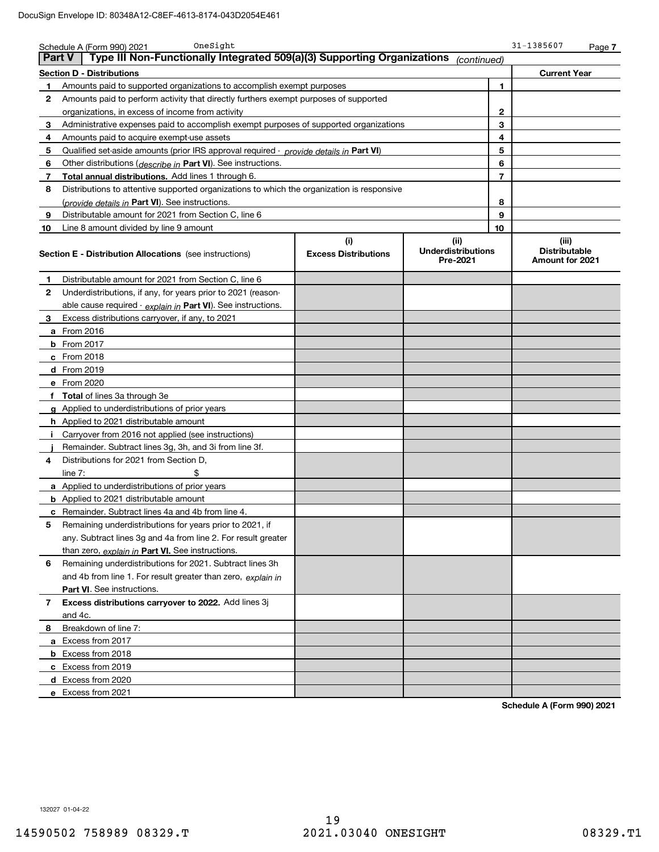|               | OneSight<br>Schedule A (Form 990) 2021                                                                                                                |  |             |                | 31-1385607                                       | Page 7 |
|---------------|-------------------------------------------------------------------------------------------------------------------------------------------------------|--|-------------|----------------|--------------------------------------------------|--------|
| <b>Part V</b> | Type III Non-Functionally Integrated 509(a)(3) Supporting Organizations                                                                               |  | (continued) |                |                                                  |        |
|               | <b>Section D - Distributions</b>                                                                                                                      |  |             |                | <b>Current Year</b>                              |        |
| 1             | Amounts paid to supported organizations to accomplish exempt purposes                                                                                 |  |             | 1              |                                                  |        |
| 2             | Amounts paid to perform activity that directly furthers exempt purposes of supported                                                                  |  |             |                |                                                  |        |
|               | organizations, in excess of income from activity                                                                                                      |  |             | $\mathbf{2}$   |                                                  |        |
| 3             | Administrative expenses paid to accomplish exempt purposes of supported organizations                                                                 |  |             | 3              |                                                  |        |
| 4             | Amounts paid to acquire exempt-use assets                                                                                                             |  |             | 4              |                                                  |        |
| 5             | Qualified set-aside amounts (prior IRS approval required - provide details in Part VI)                                                                |  |             | 5              |                                                  |        |
| 6             | Other distributions ( <i>describe in</i> Part VI). See instructions.                                                                                  |  |             | 6              |                                                  |        |
| 7             | <b>Total annual distributions.</b> Add lines 1 through 6.                                                                                             |  |             | $\overline{7}$ |                                                  |        |
| 8             | Distributions to attentive supported organizations to which the organization is responsive                                                            |  |             |                |                                                  |        |
|               | (provide details in Part VI). See instructions.                                                                                                       |  |             | 8              |                                                  |        |
| 9             | Distributable amount for 2021 from Section C, line 6                                                                                                  |  |             | 9              |                                                  |        |
| 10            | Line 8 amount divided by line 9 amount                                                                                                                |  |             | 10             |                                                  |        |
|               | (i)<br>(ii)<br><b>Underdistributions</b><br><b>Excess Distributions</b><br><b>Section E - Distribution Allocations</b> (see instructions)<br>Pre-2021 |  |             |                | (iii)<br><b>Distributable</b><br>Amount for 2021 |        |
| 1             | Distributable amount for 2021 from Section C, line 6                                                                                                  |  |             |                |                                                  |        |
| $\mathbf{2}$  | Underdistributions, if any, for years prior to 2021 (reason-                                                                                          |  |             |                |                                                  |        |
|               | able cause required - explain in Part VI). See instructions.                                                                                          |  |             |                |                                                  |        |
| 3             | Excess distributions carryover, if any, to 2021                                                                                                       |  |             |                |                                                  |        |
|               | <b>a</b> From 2016                                                                                                                                    |  |             |                |                                                  |        |
|               | <b>b</b> From 2017                                                                                                                                    |  |             |                |                                                  |        |
|               | $c$ From 2018                                                                                                                                         |  |             |                |                                                  |        |
|               | d From 2019                                                                                                                                           |  |             |                |                                                  |        |
|               | e From 2020                                                                                                                                           |  |             |                |                                                  |        |
|               | f Total of lines 3a through 3e                                                                                                                        |  |             |                |                                                  |        |
|               | g Applied to underdistributions of prior years                                                                                                        |  |             |                |                                                  |        |
|               | <b>h</b> Applied to 2021 distributable amount                                                                                                         |  |             |                |                                                  |        |
| Ι.            | Carryover from 2016 not applied (see instructions)                                                                                                    |  |             |                |                                                  |        |
|               | Remainder. Subtract lines 3g, 3h, and 3i from line 3f.                                                                                                |  |             |                |                                                  |        |
| 4             | Distributions for 2021 from Section D,                                                                                                                |  |             |                |                                                  |        |
|               | \$<br>line $7:$                                                                                                                                       |  |             |                |                                                  |        |
|               | <b>a</b> Applied to underdistributions of prior years                                                                                                 |  |             |                |                                                  |        |
|               | <b>b</b> Applied to 2021 distributable amount                                                                                                         |  |             |                |                                                  |        |
|               | <b>c</b> Remainder. Subtract lines 4a and 4b from line 4.                                                                                             |  |             |                |                                                  |        |
| 5             | Remaining underdistributions for years prior to 2021, if                                                                                              |  |             |                |                                                  |        |
|               | any. Subtract lines 3g and 4a from line 2. For result greater                                                                                         |  |             |                |                                                  |        |
|               | than zero, explain in Part VI. See instructions.                                                                                                      |  |             |                |                                                  |        |
| 6             | Remaining underdistributions for 2021. Subtract lines 3h                                                                                              |  |             |                |                                                  |        |
|               | and 4b from line 1. For result greater than zero, explain in                                                                                          |  |             |                |                                                  |        |
|               | Part VI. See instructions.                                                                                                                            |  |             |                |                                                  |        |
| 7             | Excess distributions carryover to 2022. Add lines 3j<br>and 4c.                                                                                       |  |             |                |                                                  |        |
| 8             | Breakdown of line 7:                                                                                                                                  |  |             |                |                                                  |        |
|               |                                                                                                                                                       |  |             |                |                                                  |        |
|               | a Excess from 2017                                                                                                                                    |  |             |                |                                                  |        |
|               | <b>b</b> Excess from 2018                                                                                                                             |  |             |                |                                                  |        |
|               | c Excess from 2019                                                                                                                                    |  |             |                |                                                  |        |
|               | d Excess from 2020                                                                                                                                    |  |             |                |                                                  |        |
|               | e Excess from 2021                                                                                                                                    |  |             |                |                                                  |        |

**Schedule A (Form 990) 2021**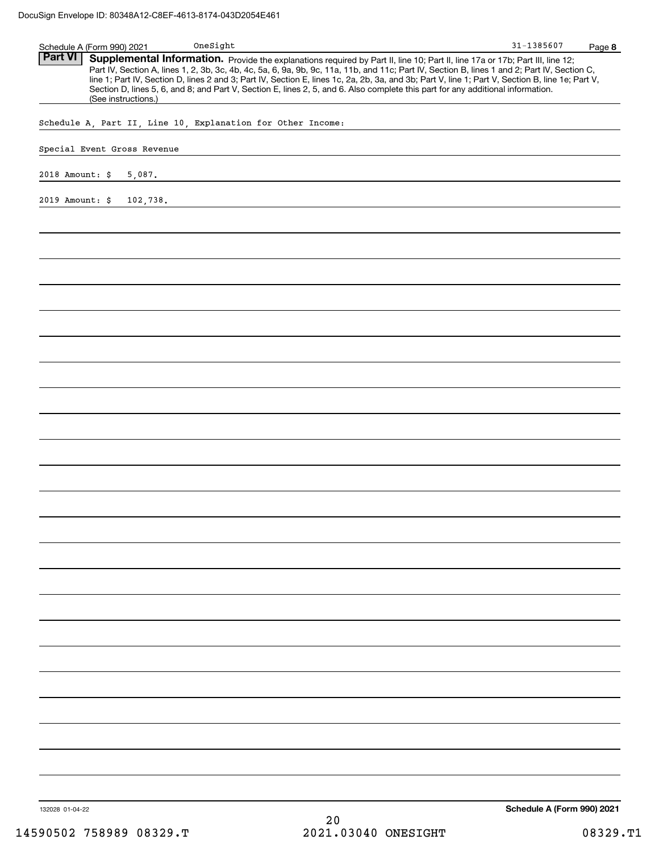| Schedule A (Form 990) 2021            | On e Sight                                                                                                                                                                                                                                                                                                                                                                                                                                                                                                                                                           | 31-1385607<br>Page 8       |
|---------------------------------------|----------------------------------------------------------------------------------------------------------------------------------------------------------------------------------------------------------------------------------------------------------------------------------------------------------------------------------------------------------------------------------------------------------------------------------------------------------------------------------------------------------------------------------------------------------------------|----------------------------|
| <b>Part VI</b><br>(See instructions.) | Supplemental Information. Provide the explanations required by Part II, line 10; Part II, line 17a or 17b; Part III, line 12;<br>Part IV, Section A, lines 1, 2, 3b, 3c, 4b, 4c, 5a, 6, 9a, 9b, 9c, 11a, 11b, and 11c; Part IV, Section B, lines 1 and 2; Part IV, Section C,<br>line 1; Part IV, Section D, lines 2 and 3; Part IV, Section E, lines 1c, 2a, 2b, 3a, and 3b; Part V, line 1; Part V, Section B, line 1e; Part V,<br>Section D, lines 5, 6, and 8; and Part V, Section E, lines 2, 5, and 6. Also complete this part for any additional information. |                            |
|                                       | Schedule A, Part II, Line 10, Explanation for Other Income:                                                                                                                                                                                                                                                                                                                                                                                                                                                                                                          |                            |
|                                       |                                                                                                                                                                                                                                                                                                                                                                                                                                                                                                                                                                      |                            |
| Special Event Gross Revenue           |                                                                                                                                                                                                                                                                                                                                                                                                                                                                                                                                                                      |                            |
| 2018 Amount: \$<br>5,087.             |                                                                                                                                                                                                                                                                                                                                                                                                                                                                                                                                                                      |                            |
| 2019 Amount: \$ 102,738.              |                                                                                                                                                                                                                                                                                                                                                                                                                                                                                                                                                                      |                            |
|                                       |                                                                                                                                                                                                                                                                                                                                                                                                                                                                                                                                                                      |                            |
|                                       |                                                                                                                                                                                                                                                                                                                                                                                                                                                                                                                                                                      |                            |
|                                       |                                                                                                                                                                                                                                                                                                                                                                                                                                                                                                                                                                      |                            |
|                                       |                                                                                                                                                                                                                                                                                                                                                                                                                                                                                                                                                                      |                            |
|                                       |                                                                                                                                                                                                                                                                                                                                                                                                                                                                                                                                                                      |                            |
|                                       |                                                                                                                                                                                                                                                                                                                                                                                                                                                                                                                                                                      |                            |
|                                       |                                                                                                                                                                                                                                                                                                                                                                                                                                                                                                                                                                      |                            |
|                                       |                                                                                                                                                                                                                                                                                                                                                                                                                                                                                                                                                                      |                            |
|                                       |                                                                                                                                                                                                                                                                                                                                                                                                                                                                                                                                                                      |                            |
|                                       |                                                                                                                                                                                                                                                                                                                                                                                                                                                                                                                                                                      |                            |
|                                       |                                                                                                                                                                                                                                                                                                                                                                                                                                                                                                                                                                      |                            |
|                                       |                                                                                                                                                                                                                                                                                                                                                                                                                                                                                                                                                                      |                            |
|                                       |                                                                                                                                                                                                                                                                                                                                                                                                                                                                                                                                                                      |                            |
|                                       |                                                                                                                                                                                                                                                                                                                                                                                                                                                                                                                                                                      |                            |
|                                       |                                                                                                                                                                                                                                                                                                                                                                                                                                                                                                                                                                      |                            |
|                                       |                                                                                                                                                                                                                                                                                                                                                                                                                                                                                                                                                                      |                            |
|                                       |                                                                                                                                                                                                                                                                                                                                                                                                                                                                                                                                                                      |                            |
|                                       |                                                                                                                                                                                                                                                                                                                                                                                                                                                                                                                                                                      |                            |
|                                       |                                                                                                                                                                                                                                                                                                                                                                                                                                                                                                                                                                      |                            |
|                                       |                                                                                                                                                                                                                                                                                                                                                                                                                                                                                                                                                                      |                            |
|                                       |                                                                                                                                                                                                                                                                                                                                                                                                                                                                                                                                                                      |                            |
|                                       |                                                                                                                                                                                                                                                                                                                                                                                                                                                                                                                                                                      |                            |
|                                       |                                                                                                                                                                                                                                                                                                                                                                                                                                                                                                                                                                      |                            |
|                                       |                                                                                                                                                                                                                                                                                                                                                                                                                                                                                                                                                                      |                            |
|                                       |                                                                                                                                                                                                                                                                                                                                                                                                                                                                                                                                                                      |                            |
|                                       |                                                                                                                                                                                                                                                                                                                                                                                                                                                                                                                                                                      |                            |
|                                       |                                                                                                                                                                                                                                                                                                                                                                                                                                                                                                                                                                      |                            |
|                                       |                                                                                                                                                                                                                                                                                                                                                                                                                                                                                                                                                                      |                            |
|                                       |                                                                                                                                                                                                                                                                                                                                                                                                                                                                                                                                                                      |                            |
| 132028 01-04-22                       |                                                                                                                                                                                                                                                                                                                                                                                                                                                                                                                                                                      | Schedule A (Form 990) 2021 |
| 14590502 758989 08329.T               | 20<br>2021.03040 ONESIGHT                                                                                                                                                                                                                                                                                                                                                                                                                                                                                                                                            | 08329.T1                   |
|                                       |                                                                                                                                                                                                                                                                                                                                                                                                                                                                                                                                                                      |                            |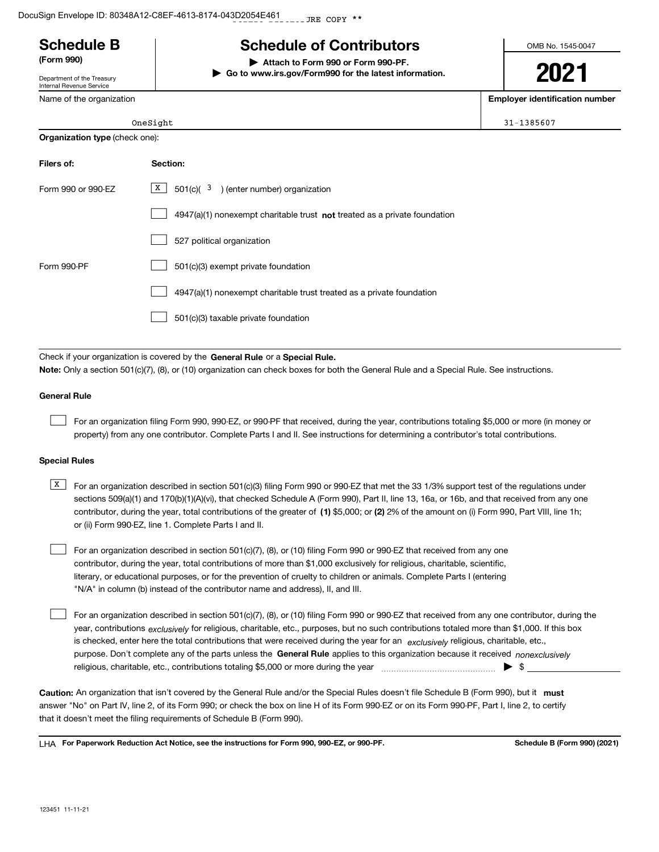# **Schedule B Schedule of Contributors**

**(Form 990) | Attach to Form 990 or Form 990-PF.**

# Department of the Treasury

Internal Revenue Service Nar

OneSight 31-1385607

#### **Organization type** (check one):

| Filers of:         | Section:                                                                    |
|--------------------|-----------------------------------------------------------------------------|
| Form 990 or 990-EZ | $X$ 501(c)( 3) (enter number) organization                                  |
|                    | $4947(a)(1)$ nonexempt charitable trust not treated as a private foundation |
|                    | 527 political organization                                                  |
| Form 990-PF        | 501(c)(3) exempt private foundation                                         |
|                    | 4947(a)(1) nonexempt charitable trust treated as a private foundation       |
|                    | 501(c)(3) taxable private foundation                                        |

Check if your organization is covered by the **General Rule** or a **Special Rule. Note:**  Only a section 501(c)(7), (8), or (10) organization can check boxes for both the General Rule and a Special Rule. See instructions.

#### **General Rule**

 $\mathcal{L}^{\text{max}}$ 

For an organization filing Form 990, 990-EZ, or 990-PF that received, during the year, contributions totaling \$5,000 or more (in money or property) from any one contributor. Complete Parts I and II. See instructions for determining a contributor's total contributions.

**| Go to www.irs.gov/Form990 for the latest information.**

#### **Special Rules**

contributor, during the year, total contributions of the greater of (1**)** \$5,000; or (2) 2% of the amount on (i) Form 990, Part VIII, line 1h;  $\overline{X}$  For an organization described in section 501(c)(3) filing Form 990 or 990-EZ that met the 33 1/3% support test of the regulations under sections 509(a)(1) and 170(b)(1)(A)(vi), that checked Schedule A (Form 990), Part II, line 13, 16a, or 16b, and that received from any one or (ii) Form 990-EZ, line 1. Complete Parts I and II.

For an organization described in section 501(c)(7), (8), or (10) filing Form 990 or 990-EZ that received from any one contributor, during the year, total contributions of more than \$1,000 exclusively for religious, charitable, scientific, literary, or educational purposes, or for the prevention of cruelty to children or animals. Complete Parts I (entering "N/A" in column (b) instead of the contributor name and address), II, and III.  $\mathcal{L}^{\text{max}}$ 

purpose. Don't complete any of the parts unless the **General Rule** applies to this organization because it received *nonexclusively* year, contributions <sub>exclusively</sub> for religious, charitable, etc., purposes, but no such contributions totaled more than \$1,000. If this box is checked, enter here the total contributions that were received during the year for an  $\;$ exclusively religious, charitable, etc., For an organization described in section 501(c)(7), (8), or (10) filing Form 990 or 990-EZ that received from any one contributor, during the religious, charitable, etc., contributions totaling \$5,000 or more during the year  $\Box$ — $\Box$   $\Box$  $\mathcal{L}^{\text{max}}$ 

Caution: An organization that isn't covered by the General Rule and/or the Special Rules doesn't file Schedule B (Form 990), but it **must** answer "No" on Part IV, line 2, of its Form 990; or check the box on line H of its Form 990-EZ or on its Form 990-PF, Part I, line 2, to certify that it doesn't meet the filing requirements of Schedule B (Form 990).

LHA For Paperwork Reduction Act Notice, see the instructions for Form 990, 990-EZ, or 990-PF. **In the act and Schedule B** (Form 990) (2021)

OMB No. 1545-0047

**2021**

**Employer identification number**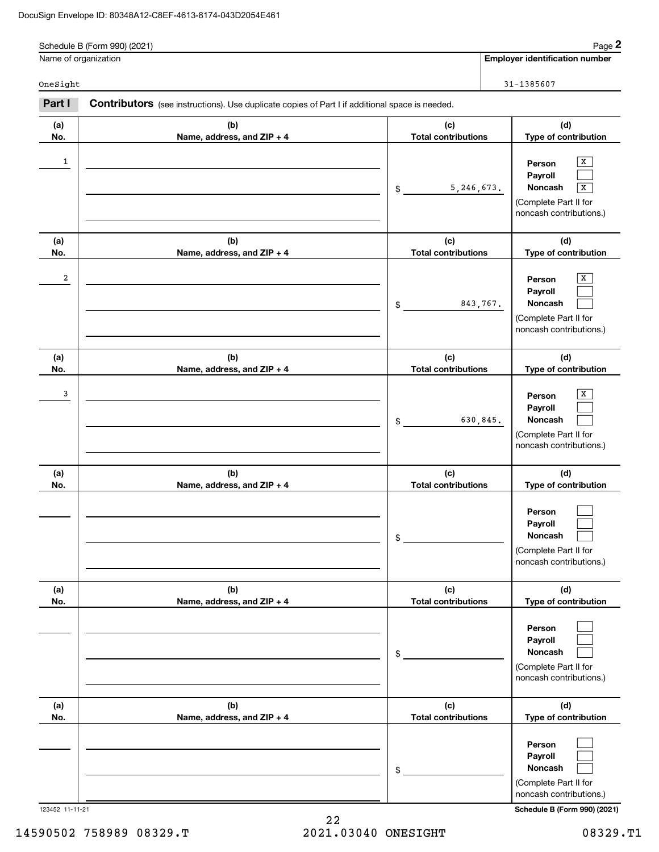#### DocuSign Envelope ID: 80348A12-C8EF-4613-8174-043D2054E461

|            | Schedule B (Form 990) (2021)                                                                   |                                   | Page 2                                                                                       |
|------------|------------------------------------------------------------------------------------------------|-----------------------------------|----------------------------------------------------------------------------------------------|
|            | Name of organization                                                                           |                                   | <b>Employer identification number</b>                                                        |
| OneSight   |                                                                                                |                                   | 31-1385607                                                                                   |
| Part I     | Contributors (see instructions). Use duplicate copies of Part I if additional space is needed. |                                   |                                                                                              |
| (a)<br>No. | (b)<br>Name, address, and ZIP + 4                                                              | (c)<br><b>Total contributions</b> | (d)<br>Type of contribution                                                                  |
| 1          |                                                                                                | 5,246,673.<br>\$                  | X<br>Person<br>Payroll<br>Noncash<br>x<br>(Complete Part II for<br>noncash contributions.)   |
| (a)<br>No. | (b)<br>Name, address, and ZIP + 4                                                              | (c)<br><b>Total contributions</b> | (d)<br>Type of contribution                                                                  |
| 2          |                                                                                                | 843,767.<br>\$                    | Х<br>Person<br>Payroll<br><b>Noncash</b><br>(Complete Part II for<br>noncash contributions.) |
| (a)<br>No. | (b)<br>Name, address, and ZIP + 4                                                              | (c)<br><b>Total contributions</b> | (d)<br>Type of contribution                                                                  |
| 3          |                                                                                                | 630,845.<br>\$                    | X<br>Person<br>Payroll<br>Noncash<br>(Complete Part II for<br>noncash contributions.)        |
| (a)<br>No. | (b)<br>Name, address, and ZIP + 4                                                              | (c)<br><b>Total contributions</b> | (d)<br>Type of contribution                                                                  |
|            |                                                                                                | \$                                | Person<br>Payroll<br><b>Noncash</b><br>(Complete Part II for<br>noncash contributions.)      |
| (a)<br>No. | (b)<br>Name, address, and ZIP + 4                                                              | (c)<br><b>Total contributions</b> | (d)<br>Type of contribution                                                                  |
|            |                                                                                                | \$                                | Person<br>Payroll<br>Noncash<br>(Complete Part II for<br>noncash contributions.)             |
| (a)<br>No. | (b)<br>Name, address, and ZIP + 4                                                              | (c)<br><b>Total contributions</b> | (d)<br>Type of contribution                                                                  |
|            |                                                                                                | \$                                | Person<br>Payroll<br>Noncash<br>(Complete Part II for<br>noncash contributions.)             |

123452 11-11-21 **Schedule B (Form 990) (2021)**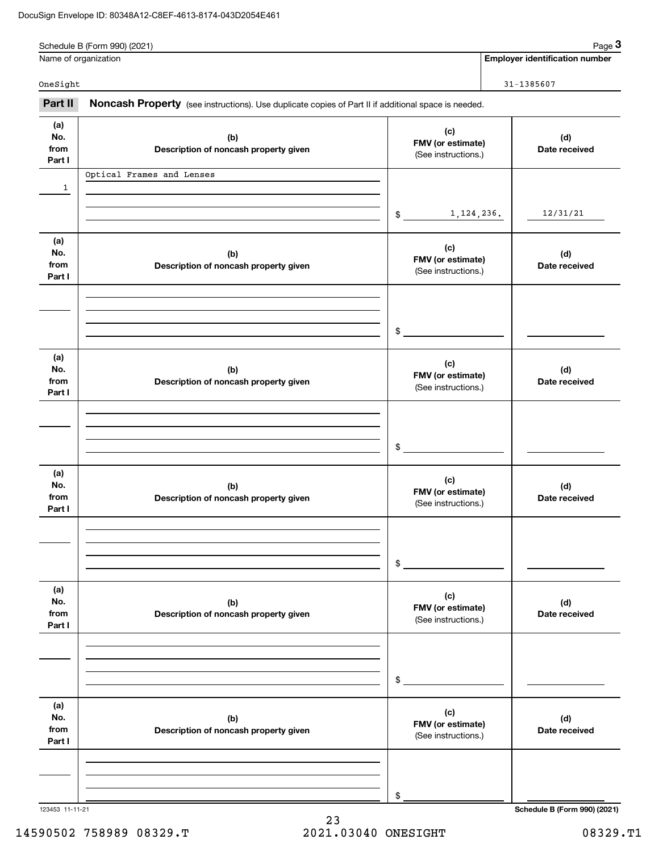|                              | Schedule B (Form 990) (2021)                                                                        |                                                 |  | Page 3                                |
|------------------------------|-----------------------------------------------------------------------------------------------------|-------------------------------------------------|--|---------------------------------------|
|                              | Name of organization                                                                                |                                                 |  | <b>Employer identification number</b> |
| OneSight                     |                                                                                                     |                                                 |  | $31 - 1385607$                        |
| Part II                      | Noncash Property (see instructions). Use duplicate copies of Part II if additional space is needed. |                                                 |  |                                       |
| (a)<br>No.<br>from<br>Part I | (b)<br>Description of noncash property given                                                        | (c)<br>FMV (or estimate)<br>(See instructions.) |  |                                       |
| $\mathbf{1}$                 | Optical Frames and Lenses                                                                           |                                                 |  |                                       |
|                              |                                                                                                     | 1, 124, 236.<br>$$\mathbb{S}$$                  |  | 12/31/21                              |
| (a)<br>No.<br>from<br>Part I | (b)<br>Description of noncash property given                                                        | (c)<br>FMV (or estimate)<br>(See instructions.) |  | (d)<br>Date received                  |
|                              |                                                                                                     | \$                                              |  |                                       |
| (a)<br>No.<br>from<br>Part I | (b)<br>Description of noncash property given                                                        | (c)<br>FMV (or estimate)<br>(See instructions.) |  | (d)<br>Date received                  |
|                              |                                                                                                     | \$                                              |  |                                       |
| (a)<br>No.<br>from<br>Part I | (b)<br>Description of noncash property given                                                        | (c)<br>FMV (or estimate)<br>(See instructions.) |  | (d)<br>Date received                  |
|                              |                                                                                                     | \$                                              |  |                                       |
| (a)<br>No.<br>from<br>Part I | (b)<br>Description of noncash property given                                                        | (c)<br>FMV (or estimate)<br>(See instructions.) |  | (d)<br>Date received                  |
|                              |                                                                                                     | \$                                              |  |                                       |
| (a)<br>No.<br>from<br>Part I | (b)<br>Description of noncash property given                                                        | (c)<br>FMV (or estimate)<br>(See instructions.) |  | (d)<br>Date received                  |
|                              |                                                                                                     | \$                                              |  |                                       |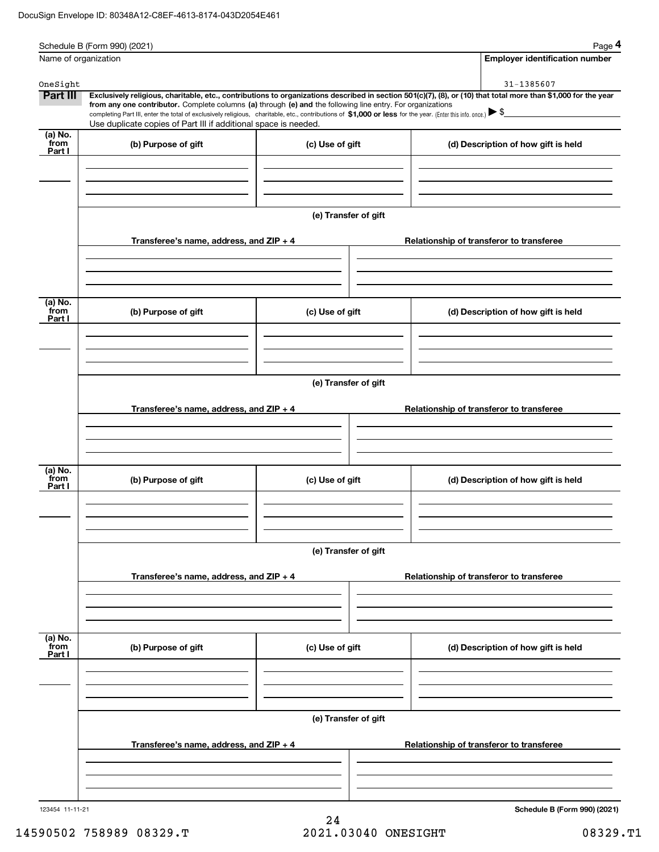|                      | Schedule B (Form 990) (2021)                                                                                                                                                                                                                                                |                      |  | Page 4                                   |
|----------------------|-----------------------------------------------------------------------------------------------------------------------------------------------------------------------------------------------------------------------------------------------------------------------------|----------------------|--|------------------------------------------|
|                      | Name of organization                                                                                                                                                                                                                                                        |                      |  | <b>Employer identification number</b>    |
|                      |                                                                                                                                                                                                                                                                             |                      |  | 31-1385607                               |
| OneSight<br>Part III | Exclusively religious, charitable, etc., contributions to organizations described in section 501(c)(7), (8), or (10) that total more than \$1,000 for the year                                                                                                              |                      |  |                                          |
|                      | from any one contributor. Complete columns (a) through (e) and the following line entry. For organizations<br>completing Part III, enter the total of exclusively religious, charitable, etc., contributions of \$1,000 or less for the year. (Enter this info. once.) > \$ |                      |  |                                          |
|                      | Use duplicate copies of Part III if additional space is needed.                                                                                                                                                                                                             |                      |  |                                          |
| (a) No.<br>from      | (b) Purpose of gift                                                                                                                                                                                                                                                         | (c) Use of gift      |  | (d) Description of how gift is held      |
| Part I               |                                                                                                                                                                                                                                                                             |                      |  |                                          |
|                      |                                                                                                                                                                                                                                                                             |                      |  |                                          |
|                      |                                                                                                                                                                                                                                                                             |                      |  |                                          |
|                      |                                                                                                                                                                                                                                                                             |                      |  |                                          |
|                      |                                                                                                                                                                                                                                                                             | (e) Transfer of gift |  |                                          |
|                      |                                                                                                                                                                                                                                                                             |                      |  |                                          |
|                      | Transferee's name, address, and $ZIP + 4$                                                                                                                                                                                                                                   |                      |  | Relationship of transferor to transferee |
|                      |                                                                                                                                                                                                                                                                             |                      |  |                                          |
|                      |                                                                                                                                                                                                                                                                             |                      |  |                                          |
|                      |                                                                                                                                                                                                                                                                             |                      |  |                                          |
| (a) No.<br>from      | (b) Purpose of gift                                                                                                                                                                                                                                                         | (c) Use of gift      |  | (d) Description of how gift is held      |
| Part I               |                                                                                                                                                                                                                                                                             |                      |  |                                          |
|                      |                                                                                                                                                                                                                                                                             |                      |  |                                          |
|                      |                                                                                                                                                                                                                                                                             |                      |  |                                          |
|                      |                                                                                                                                                                                                                                                                             |                      |  |                                          |
|                      |                                                                                                                                                                                                                                                                             | (e) Transfer of gift |  |                                          |
|                      |                                                                                                                                                                                                                                                                             |                      |  |                                          |
|                      | Transferee's name, address, and $ZIP + 4$                                                                                                                                                                                                                                   |                      |  | Relationship of transferor to transferee |
|                      |                                                                                                                                                                                                                                                                             |                      |  |                                          |
|                      |                                                                                                                                                                                                                                                                             |                      |  |                                          |
| $(a)$ No.            |                                                                                                                                                                                                                                                                             |                      |  |                                          |
| from<br>Part I       | (b) Purpose of gift                                                                                                                                                                                                                                                         | (c) Use of gift      |  | (d) Description of how gift is held      |
|                      |                                                                                                                                                                                                                                                                             |                      |  |                                          |
|                      |                                                                                                                                                                                                                                                                             |                      |  |                                          |
|                      |                                                                                                                                                                                                                                                                             |                      |  |                                          |
|                      |                                                                                                                                                                                                                                                                             | (e) Transfer of gift |  |                                          |
|                      |                                                                                                                                                                                                                                                                             |                      |  |                                          |
|                      | Transferee's name, address, and ZIP + 4                                                                                                                                                                                                                                     |                      |  | Relationship of transferor to transferee |
|                      |                                                                                                                                                                                                                                                                             |                      |  |                                          |
|                      |                                                                                                                                                                                                                                                                             |                      |  |                                          |
|                      |                                                                                                                                                                                                                                                                             |                      |  |                                          |
| (a) No.<br>from      |                                                                                                                                                                                                                                                                             |                      |  |                                          |
| Part I               | (b) Purpose of gift                                                                                                                                                                                                                                                         | (c) Use of gift      |  | (d) Description of how gift is held      |
|                      |                                                                                                                                                                                                                                                                             |                      |  |                                          |
|                      |                                                                                                                                                                                                                                                                             |                      |  |                                          |
|                      |                                                                                                                                                                                                                                                                             |                      |  |                                          |
|                      |                                                                                                                                                                                                                                                                             | (e) Transfer of gift |  |                                          |
|                      |                                                                                                                                                                                                                                                                             |                      |  |                                          |
|                      | Transferee's name, address, and ZIP + 4                                                                                                                                                                                                                                     |                      |  | Relationship of transferor to transferee |
|                      |                                                                                                                                                                                                                                                                             |                      |  |                                          |
|                      |                                                                                                                                                                                                                                                                             |                      |  |                                          |
|                      |                                                                                                                                                                                                                                                                             |                      |  |                                          |
| 123454 11-11-21      |                                                                                                                                                                                                                                                                             |                      |  | Schedule B (Form 990) (2021)             |

24 14590502 758989 08329.T 2021.03040 ONESIGHT 08329.T1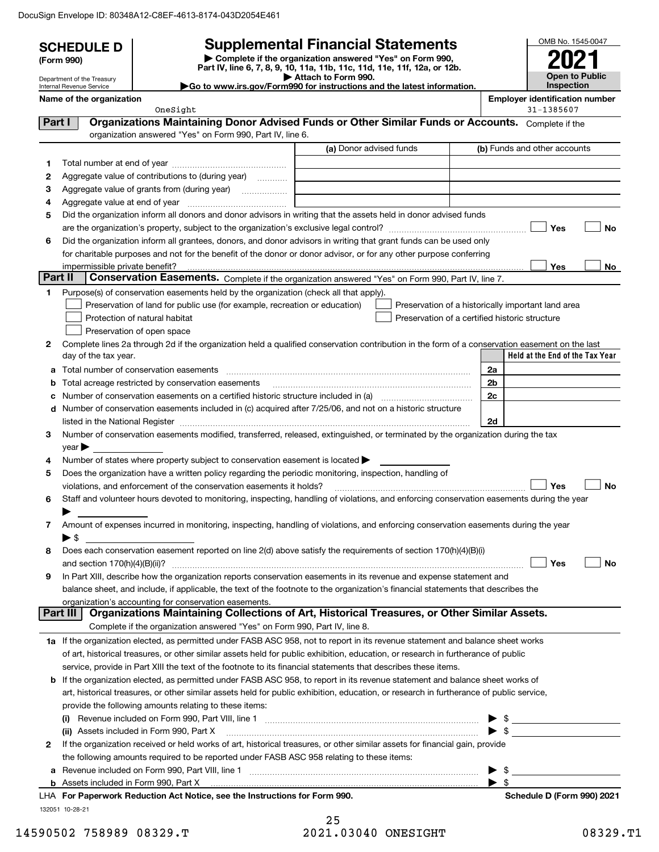DocuSign Envelope ID: 80348A12-C8EF-4613-8174-043D2054E461

| <b>Supplemental Financial Statements</b><br><b>SCHEDULE D</b><br>Complete if the organization answered "Yes" on Form 990,<br>(Form 990)<br>Part IV, line 6, 7, 8, 9, 10, 11a, 11b, 11c, 11d, 11e, 11f, 12a, or 12b. |                                                        |                                                                                                        |                                                                                                                                                                                                                                                                                                                                                                   |                                                    |                                       |  |  |
|---------------------------------------------------------------------------------------------------------------------------------------------------------------------------------------------------------------------|--------------------------------------------------------|--------------------------------------------------------------------------------------------------------|-------------------------------------------------------------------------------------------------------------------------------------------------------------------------------------------------------------------------------------------------------------------------------------------------------------------------------------------------------------------|----------------------------------------------------|---------------------------------------|--|--|
|                                                                                                                                                                                                                     | Department of the Treasury<br>Internal Revenue Service |                                                                                                        | Attach to Form 990.<br>Go to www.irs.gov/Form990 for instructions and the latest information.                                                                                                                                                                                                                                                                     |                                                    | <b>Open to Public</b><br>Inspection   |  |  |
|                                                                                                                                                                                                                     | Name of the organization                               |                                                                                                        |                                                                                                                                                                                                                                                                                                                                                                   |                                                    | <b>Employer identification number</b> |  |  |
|                                                                                                                                                                                                                     |                                                        | OneSight                                                                                               |                                                                                                                                                                                                                                                                                                                                                                   |                                                    | 31-1385607                            |  |  |
| Part I                                                                                                                                                                                                              |                                                        |                                                                                                        | Organizations Maintaining Donor Advised Funds or Other Similar Funds or Accounts. Complete if the                                                                                                                                                                                                                                                                 |                                                    |                                       |  |  |
|                                                                                                                                                                                                                     |                                                        | organization answered "Yes" on Form 990, Part IV, line 6.                                              |                                                                                                                                                                                                                                                                                                                                                                   |                                                    |                                       |  |  |
|                                                                                                                                                                                                                     |                                                        |                                                                                                        | (a) Donor advised funds                                                                                                                                                                                                                                                                                                                                           |                                                    | (b) Funds and other accounts          |  |  |
| 1.                                                                                                                                                                                                                  |                                                        |                                                                                                        |                                                                                                                                                                                                                                                                                                                                                                   |                                                    |                                       |  |  |
| 2                                                                                                                                                                                                                   |                                                        | Aggregate value of contributions to (during year)                                                      |                                                                                                                                                                                                                                                                                                                                                                   |                                                    |                                       |  |  |
| з<br>4                                                                                                                                                                                                              |                                                        |                                                                                                        |                                                                                                                                                                                                                                                                                                                                                                   |                                                    |                                       |  |  |
| 5                                                                                                                                                                                                                   |                                                        |                                                                                                        | Did the organization inform all donors and donor advisors in writing that the assets held in donor advised funds                                                                                                                                                                                                                                                  |                                                    |                                       |  |  |
|                                                                                                                                                                                                                     |                                                        |                                                                                                        |                                                                                                                                                                                                                                                                                                                                                                   |                                                    | Yes<br>No                             |  |  |
| 6                                                                                                                                                                                                                   |                                                        |                                                                                                        | Did the organization inform all grantees, donors, and donor advisors in writing that grant funds can be used only                                                                                                                                                                                                                                                 |                                                    |                                       |  |  |
|                                                                                                                                                                                                                     |                                                        |                                                                                                        | for charitable purposes and not for the benefit of the donor or donor advisor, or for any other purpose conferring                                                                                                                                                                                                                                                |                                                    |                                       |  |  |
|                                                                                                                                                                                                                     | impermissible private benefit?                         |                                                                                                        |                                                                                                                                                                                                                                                                                                                                                                   |                                                    | Yes<br>No                             |  |  |
| Part II                                                                                                                                                                                                             |                                                        |                                                                                                        | Conservation Easements. Complete if the organization answered "Yes" on Form 990, Part IV, line 7.                                                                                                                                                                                                                                                                 |                                                    |                                       |  |  |
| 1                                                                                                                                                                                                                   |                                                        | Purpose(s) of conservation easements held by the organization (check all that apply).                  |                                                                                                                                                                                                                                                                                                                                                                   |                                                    |                                       |  |  |
|                                                                                                                                                                                                                     |                                                        | Preservation of land for public use (for example, recreation or education)                             |                                                                                                                                                                                                                                                                                                                                                                   | Preservation of a historically important land area |                                       |  |  |
|                                                                                                                                                                                                                     |                                                        | Protection of natural habitat                                                                          |                                                                                                                                                                                                                                                                                                                                                                   | Preservation of a certified historic structure     |                                       |  |  |
|                                                                                                                                                                                                                     |                                                        | Preservation of open space                                                                             |                                                                                                                                                                                                                                                                                                                                                                   |                                                    |                                       |  |  |
| 2                                                                                                                                                                                                                   |                                                        |                                                                                                        | Complete lines 2a through 2d if the organization held a qualified conservation contribution in the form of a conservation easement on the last                                                                                                                                                                                                                    |                                                    |                                       |  |  |
|                                                                                                                                                                                                                     | day of the tax year.                                   |                                                                                                        |                                                                                                                                                                                                                                                                                                                                                                   |                                                    | Held at the End of the Tax Year       |  |  |
| а                                                                                                                                                                                                                   |                                                        | Total number of conservation easements                                                                 |                                                                                                                                                                                                                                                                                                                                                                   | 2a                                                 |                                       |  |  |
| b                                                                                                                                                                                                                   |                                                        | Total acreage restricted by conservation easements                                                     |                                                                                                                                                                                                                                                                                                                                                                   | 2b                                                 |                                       |  |  |
| с                                                                                                                                                                                                                   |                                                        |                                                                                                        | Number of conservation easements on a certified historic structure included in (a) manufacture included in (a)                                                                                                                                                                                                                                                    | 2c                                                 |                                       |  |  |
| d                                                                                                                                                                                                                   |                                                        |                                                                                                        | Number of conservation easements included in (c) acquired after 7/25/06, and not on a historic structure                                                                                                                                                                                                                                                          | 2d                                                 |                                       |  |  |
| 3                                                                                                                                                                                                                   |                                                        |                                                                                                        | listed in the National Register [111] Marshall Register [11] Marshall Register [11] Marshall Register [11] Marshall Register [11] Marshall Register [11] Marshall Register [11] Marshall Register [11] Marshall Register [11]<br>Number of conservation easements modified, transferred, released, extinguished, or terminated by the organization during the tax |                                                    |                                       |  |  |
|                                                                                                                                                                                                                     | year                                                   |                                                                                                        |                                                                                                                                                                                                                                                                                                                                                                   |                                                    |                                       |  |  |
| 4                                                                                                                                                                                                                   |                                                        | Number of states where property subject to conservation easement is located >                          |                                                                                                                                                                                                                                                                                                                                                                   |                                                    |                                       |  |  |
| 5                                                                                                                                                                                                                   |                                                        | Does the organization have a written policy regarding the periodic monitoring, inspection, handling of |                                                                                                                                                                                                                                                                                                                                                                   |                                                    |                                       |  |  |
|                                                                                                                                                                                                                     |                                                        | violations, and enforcement of the conservation easements it holds?                                    |                                                                                                                                                                                                                                                                                                                                                                   |                                                    | <b>No</b><br>Yes                      |  |  |
| 6                                                                                                                                                                                                                   |                                                        |                                                                                                        | Staff and volunteer hours devoted to monitoring, inspecting, handling of violations, and enforcing conservation easements during the year                                                                                                                                                                                                                         |                                                    |                                       |  |  |
|                                                                                                                                                                                                                     |                                                        |                                                                                                        |                                                                                                                                                                                                                                                                                                                                                                   |                                                    |                                       |  |  |
| 7                                                                                                                                                                                                                   |                                                        |                                                                                                        | Amount of expenses incurred in monitoring, inspecting, handling of violations, and enforcing conservation easements during the year                                                                                                                                                                                                                               |                                                    |                                       |  |  |
|                                                                                                                                                                                                                     | $\blacktriangleright$ \$                               |                                                                                                        |                                                                                                                                                                                                                                                                                                                                                                   |                                                    |                                       |  |  |
| 8                                                                                                                                                                                                                   |                                                        |                                                                                                        | Does each conservation easement reported on line 2(d) above satisfy the requirements of section 170(h)(4)(B)(i)                                                                                                                                                                                                                                                   |                                                    |                                       |  |  |
|                                                                                                                                                                                                                     |                                                        |                                                                                                        |                                                                                                                                                                                                                                                                                                                                                                   |                                                    | Yes<br>No                             |  |  |
| 9                                                                                                                                                                                                                   |                                                        |                                                                                                        | In Part XIII, describe how the organization reports conservation easements in its revenue and expense statement and                                                                                                                                                                                                                                               |                                                    |                                       |  |  |
|                                                                                                                                                                                                                     |                                                        |                                                                                                        | balance sheet, and include, if applicable, the text of the footnote to the organization's financial statements that describes the                                                                                                                                                                                                                                 |                                                    |                                       |  |  |
|                                                                                                                                                                                                                     | Part III                                               | organization's accounting for conservation easements.                                                  | Organizations Maintaining Collections of Art, Historical Treasures, or Other Similar Assets.                                                                                                                                                                                                                                                                      |                                                    |                                       |  |  |
|                                                                                                                                                                                                                     |                                                        | Complete if the organization answered "Yes" on Form 990, Part IV, line 8.                              |                                                                                                                                                                                                                                                                                                                                                                   |                                                    |                                       |  |  |
|                                                                                                                                                                                                                     |                                                        |                                                                                                        | 1a If the organization elected, as permitted under FASB ASC 958, not to report in its revenue statement and balance sheet works                                                                                                                                                                                                                                   |                                                    |                                       |  |  |
|                                                                                                                                                                                                                     |                                                        |                                                                                                        | of art, historical treasures, or other similar assets held for public exhibition, education, or research in furtherance of public                                                                                                                                                                                                                                 |                                                    |                                       |  |  |
|                                                                                                                                                                                                                     |                                                        |                                                                                                        | service, provide in Part XIII the text of the footnote to its financial statements that describes these items.                                                                                                                                                                                                                                                    |                                                    |                                       |  |  |
|                                                                                                                                                                                                                     |                                                        |                                                                                                        | <b>b</b> If the organization elected, as permitted under FASB ASC 958, to report in its revenue statement and balance sheet works of                                                                                                                                                                                                                              |                                                    |                                       |  |  |
|                                                                                                                                                                                                                     |                                                        |                                                                                                        | art, historical treasures, or other similar assets held for public exhibition, education, or research in furtherance of public service,                                                                                                                                                                                                                           |                                                    |                                       |  |  |
|                                                                                                                                                                                                                     |                                                        | provide the following amounts relating to these items:                                                 |                                                                                                                                                                                                                                                                                                                                                                   |                                                    |                                       |  |  |
|                                                                                                                                                                                                                     |                                                        |                                                                                                        |                                                                                                                                                                                                                                                                                                                                                                   |                                                    |                                       |  |  |
|                                                                                                                                                                                                                     |                                                        | (ii) Assets included in Form 990, Part X                                                               |                                                                                                                                                                                                                                                                                                                                                                   |                                                    |                                       |  |  |
| 2                                                                                                                                                                                                                   |                                                        |                                                                                                        | If the organization received or held works of art, historical treasures, or other similar assets for financial gain, provide                                                                                                                                                                                                                                      |                                                    |                                       |  |  |
|                                                                                                                                                                                                                     |                                                        | the following amounts required to be reported under FASB ASC 958 relating to these items:              |                                                                                                                                                                                                                                                                                                                                                                   |                                                    |                                       |  |  |
| а                                                                                                                                                                                                                   |                                                        |                                                                                                        |                                                                                                                                                                                                                                                                                                                                                                   |                                                    |                                       |  |  |
|                                                                                                                                                                                                                     |                                                        |                                                                                                        |                                                                                                                                                                                                                                                                                                                                                                   | $\blacktriangleright$ s                            |                                       |  |  |
|                                                                                                                                                                                                                     |                                                        | LHA For Paperwork Reduction Act Notice, see the Instructions for Form 990.                             |                                                                                                                                                                                                                                                                                                                                                                   |                                                    | Schedule D (Form 990) 2021            |  |  |
|                                                                                                                                                                                                                     | 132051 10-28-21                                        |                                                                                                        |                                                                                                                                                                                                                                                                                                                                                                   |                                                    |                                       |  |  |
|                                                                                                                                                                                                                     |                                                        |                                                                                                        | 25                                                                                                                                                                                                                                                                                                                                                                |                                                    | 08329                                 |  |  |
|                                                                                                                                                                                                                     | 590502 758989 08329.T                                  |                                                                                                        | 2021.03040 ONESIGHT                                                                                                                                                                                                                                                                                                                                               |                                                    |                                       |  |  |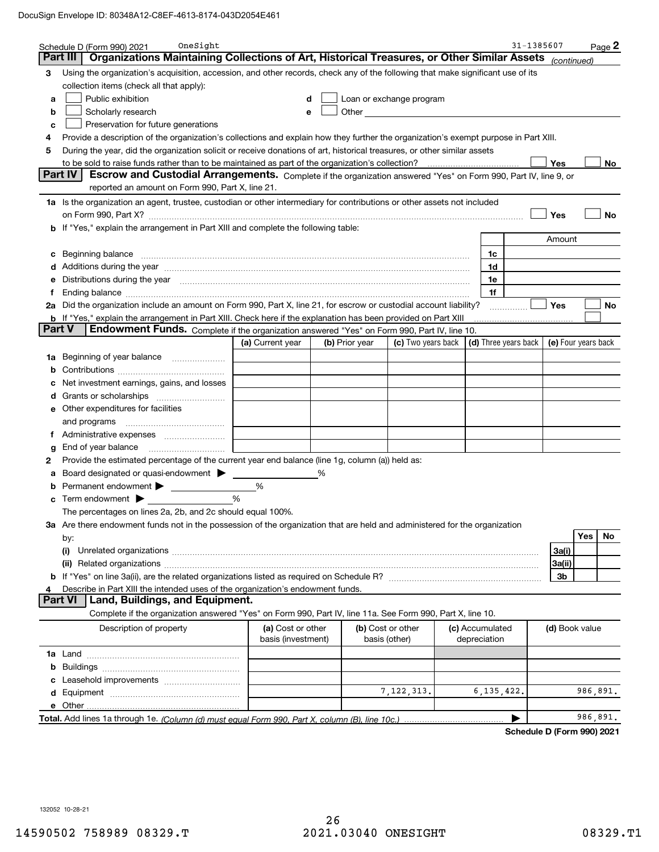|        | OneSight<br>Schedule D (Form 990) 2021                                                                                                                                                                                                                   |                                         |   |                |                                    |  |                                 | 31-1385607 |                     |          | Page 2 |
|--------|----------------------------------------------------------------------------------------------------------------------------------------------------------------------------------------------------------------------------------------------------------|-----------------------------------------|---|----------------|------------------------------------|--|---------------------------------|------------|---------------------|----------|--------|
|        | Organizations Maintaining Collections of Art, Historical Treasures, or Other Similar Assets (continued)<br>Part III                                                                                                                                      |                                         |   |                |                                    |  |                                 |            |                     |          |        |
| з      | Using the organization's acquisition, accession, and other records, check any of the following that make significant use of its                                                                                                                          |                                         |   |                |                                    |  |                                 |            |                     |          |        |
|        | collection items (check all that apply):                                                                                                                                                                                                                 |                                         |   |                |                                    |  |                                 |            |                     |          |        |
| а      | Public exhibition                                                                                                                                                                                                                                        |                                         |   |                | Loan or exchange program           |  |                                 |            |                     |          |        |
| b      | Other and the contract of the contract of the contract of the contract of the contract of the contract of the contract of the contract of the contract of the contract of the contract of the contract of the contract of the<br>Scholarly research<br>e |                                         |   |                |                                    |  |                                 |            |                     |          |        |
| c      | Preservation for future generations                                                                                                                                                                                                                      |                                         |   |                |                                    |  |                                 |            |                     |          |        |
| 4      | Provide a description of the organization's collections and explain how they further the organization's exempt purpose in Part XIII.                                                                                                                     |                                         |   |                |                                    |  |                                 |            |                     |          |        |
| 5      | During the year, did the organization solicit or receive donations of art, historical treasures, or other similar assets                                                                                                                                 |                                         |   |                |                                    |  |                                 |            |                     |          |        |
|        |                                                                                                                                                                                                                                                          |                                         |   |                |                                    |  |                                 |            | Yes                 |          | No     |
|        | Part IV<br>Escrow and Custodial Arrangements. Complete if the organization answered "Yes" on Form 990, Part IV, line 9, or                                                                                                                               |                                         |   |                |                                    |  |                                 |            |                     |          |        |
|        | reported an amount on Form 990, Part X, line 21.                                                                                                                                                                                                         |                                         |   |                |                                    |  |                                 |            |                     |          |        |
|        | 1a Is the organization an agent, trustee, custodian or other intermediary for contributions or other assets not included                                                                                                                                 |                                         |   |                |                                    |  |                                 |            |                     |          |        |
|        |                                                                                                                                                                                                                                                          |                                         |   |                |                                    |  |                                 |            | Yes                 |          | No     |
|        | b If "Yes," explain the arrangement in Part XIII and complete the following table:                                                                                                                                                                       |                                         |   |                |                                    |  |                                 |            | Amount              |          |        |
|        |                                                                                                                                                                                                                                                          |                                         |   |                |                                    |  |                                 |            |                     |          |        |
| c      | Beginning balance <b>with the contract of the contract of the contract of the contract of the contract of the contract of the contract of the contract of the contract of the contract of the contract of the contract of the co</b>                     |                                         |   |                |                                    |  | 1c<br>1d                        |            |                     |          |        |
| d<br>е | Additions during the year manufactured and an annual contract of the year manufactured and all the year manufactured and all the year manufactured and all the year manufactured and all the year manufactured and all the yea                           |                                         |   |                |                                    |  | 1e                              |            |                     |          |        |
| f      | Distributions during the year manufactured and contain an account of the year manufactured and the year manufactured and the year manufactured and the year manufactured and the year manufactured and the state of the state                            |                                         |   |                |                                    |  | 1f                              |            |                     |          |        |
| 2a     | Did the organization include an amount on Form 990, Part X, line 21, for escrow or custodial account liability?                                                                                                                                          |                                         |   |                |                                    |  |                                 |            | Yes                 |          | No     |
|        | <b>b</b> If "Yes," explain the arrangement in Part XIII. Check here if the explanation has been provided on Part XIII                                                                                                                                    |                                         |   |                |                                    |  |                                 |            |                     |          |        |
| Part V | Endowment Funds. Complete if the organization answered "Yes" on Form 990, Part IV, line 10.                                                                                                                                                              |                                         |   |                |                                    |  |                                 |            |                     |          |        |
|        |                                                                                                                                                                                                                                                          | (a) Current year                        |   | (b) Prior year | (c) Two years back                 |  | (d) Three years back            |            | (e) Four years back |          |        |
| 1a     | Beginning of year balance                                                                                                                                                                                                                                |                                         |   |                |                                    |  |                                 |            |                     |          |        |
| b      |                                                                                                                                                                                                                                                          |                                         |   |                |                                    |  |                                 |            |                     |          |        |
| c      | Net investment earnings, gains, and losses                                                                                                                                                                                                               |                                         |   |                |                                    |  |                                 |            |                     |          |        |
| d      |                                                                                                                                                                                                                                                          |                                         |   |                |                                    |  |                                 |            |                     |          |        |
|        | e Other expenditures for facilities                                                                                                                                                                                                                      |                                         |   |                |                                    |  |                                 |            |                     |          |        |
|        | and programs                                                                                                                                                                                                                                             |                                         |   |                |                                    |  |                                 |            |                     |          |        |
| Ť.     | Administrative expenses                                                                                                                                                                                                                                  |                                         |   |                |                                    |  |                                 |            |                     |          |        |
| g      |                                                                                                                                                                                                                                                          |                                         |   |                |                                    |  |                                 |            |                     |          |        |
| 2      | Provide the estimated percentage of the current year end balance (line 1g, column (a)) held as:                                                                                                                                                          |                                         |   |                |                                    |  |                                 |            |                     |          |        |
| а      | Board designated or quasi-endowment                                                                                                                                                                                                                      |                                         | % |                |                                    |  |                                 |            |                     |          |        |
| b      | Permanent endowment >                                                                                                                                                                                                                                    | %                                       |   |                |                                    |  |                                 |            |                     |          |        |
| c      | Term endowment $\blacktriangleright$                                                                                                                                                                                                                     | %                                       |   |                |                                    |  |                                 |            |                     |          |        |
|        | The percentages on lines 2a, 2b, and 2c should equal 100%.                                                                                                                                                                                               |                                         |   |                |                                    |  |                                 |            |                     |          |        |
|        | 3a Are there endowment funds not in the possession of the organization that are held and administered for the organization                                                                                                                               |                                         |   |                |                                    |  |                                 |            |                     |          |        |
|        | by:                                                                                                                                                                                                                                                      |                                         |   |                |                                    |  |                                 |            |                     | Yes      | No     |
|        | (i)                                                                                                                                                                                                                                                      |                                         |   |                |                                    |  |                                 |            | 3a(i)               |          |        |
|        |                                                                                                                                                                                                                                                          |                                         |   |                |                                    |  |                                 |            | 3a(ii)              |          |        |
| b      |                                                                                                                                                                                                                                                          |                                         |   |                |                                    |  |                                 |            | 3b                  |          |        |
| 4      | Describe in Part XIII the intended uses of the organization's endowment funds.                                                                                                                                                                           |                                         |   |                |                                    |  |                                 |            |                     |          |        |
|        | <b>Part VI</b><br>Land, Buildings, and Equipment.                                                                                                                                                                                                        |                                         |   |                |                                    |  |                                 |            |                     |          |        |
|        | Complete if the organization answered "Yes" on Form 990, Part IV, line 11a. See Form 990, Part X, line 10.                                                                                                                                               |                                         |   |                |                                    |  |                                 |            |                     |          |        |
|        | Description of property                                                                                                                                                                                                                                  | (a) Cost or other<br>basis (investment) |   |                | (b) Cost or other<br>basis (other) |  | (c) Accumulated<br>depreciation |            | (d) Book value      |          |        |
|        |                                                                                                                                                                                                                                                          |                                         |   |                |                                    |  |                                 |            |                     |          |        |
| b      |                                                                                                                                                                                                                                                          |                                         |   |                |                                    |  |                                 |            |                     |          |        |
| c      |                                                                                                                                                                                                                                                          |                                         |   |                |                                    |  |                                 |            |                     |          |        |
| d      |                                                                                                                                                                                                                                                          |                                         |   |                | 7, 122, 313.                       |  | 6,135,422.                      |            |                     | 986,891. |        |
|        |                                                                                                                                                                                                                                                          |                                         |   |                |                                    |  |                                 |            |                     |          |        |
|        |                                                                                                                                                                                                                                                          |                                         |   |                |                                    |  |                                 |            |                     | 986,891. |        |

**Schedule D (Form 990) 2021**

132052 10-28-21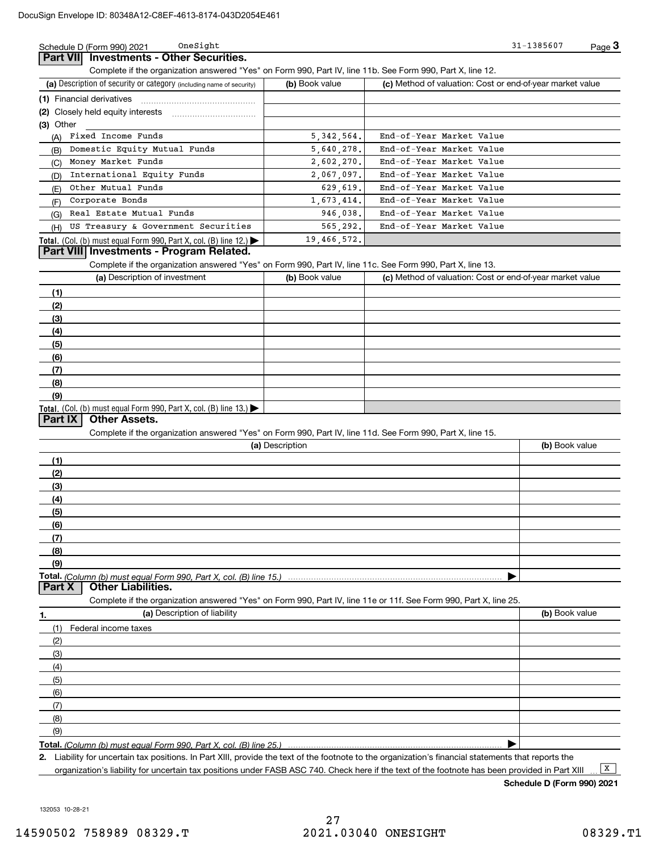**Part VII Investments - Other Securities.** OneSight

Complete if the organization answered "Yes" on Form 990, Part IV, line 11b. See Form 990, Part X, line 12.

| (a) Description of security or category (including name of security)                          | (b) Book value | (c) Method of valuation: Cost or end-of-year market value |
|-----------------------------------------------------------------------------------------------|----------------|-----------------------------------------------------------|
|                                                                                               |                |                                                           |
| (2) Closely held equity interests                                                             |                |                                                           |
| $(3)$ Other                                                                                   |                |                                                           |
| Fixed Income Funds<br>(A)                                                                     | 5,342,564.     | End-of-Year Market Value                                  |
| (B) Domestic Equity Mutual Funds                                                              | 5,640,278.     | End-of-Year Market Value                                  |
| Money Market Funds<br>(C)                                                                     | 2,602,270.     | End-of-Year Market Value                                  |
| International Equity Funds<br>(D)                                                             | 2,067,097.     | End-of-Year Market Value                                  |
| Other Mutual Funds<br>(E)                                                                     | 629.619.       | End-of-Year Market Value                                  |
| Corporate Bonds<br>(F)                                                                        | 1,673,414.     | End-of-Year Market Value                                  |
| Real Estate Mutual Funds<br>(G)                                                               | 946.038.       | End-of-Year Market Value                                  |
| (H) US Treasury & Government Securities                                                       | 565, 292.      | End-of-Year Market Value                                  |
| <b>Total.</b> (Col. (b) must equal Form 990, Part X, col. (B) line 12.) $\blacktriangleright$ | 19,466,572.    |                                                           |

### **Part VIII Investments - Program Related.**

Complete if the organization answered "Yes" on Form 990, Part IV, line 11c. See Form 990, Part X, line 13.

| (a) Description of investment                                    | (b) Book value | (c) Method of valuation: Cost or end-of-year market value |
|------------------------------------------------------------------|----------------|-----------------------------------------------------------|
| (1)                                                              |                |                                                           |
| (2)                                                              |                |                                                           |
| $\qquad \qquad (3)$                                              |                |                                                           |
| (4)                                                              |                |                                                           |
| $\frac{1}{2}$                                                    |                |                                                           |
| (6)                                                              |                |                                                           |
| (7)                                                              |                |                                                           |
| (8)                                                              |                |                                                           |
| (9)                                                              |                |                                                           |
| Total. (Col. (b) must equal Form 990, Part X, col. (B) line 13.) |                |                                                           |

#### **Part IX Other Assets.**

Complete if the organization answered "Yes" on Form 990, Part IV, line 11d. See Form 990, Part X, line 15.

| (a) Description                  | (b) Book value |
|----------------------------------|----------------|
|                                  |                |
| (2)                              |                |
| (3)                              |                |
| (4)                              |                |
| (5)                              |                |
| (6)                              |                |
|                                  |                |
| (8)                              |                |
| (9)                              |                |
|                                  |                |
| <b>Part X</b> Other Liabilities. |                |

Complete if the organization answered "Yes" on Form 990, Part IV, line 11e or 11f. See Form 990, Part X, line 25.

| 1.  | (a) Description of liability | (b) Book value |
|-----|------------------------------|----------------|
|     | (1) Federal income taxes     |                |
| (2) |                              |                |
| (3) |                              |                |
| (4) |                              |                |
| (5) |                              |                |
| (6) |                              |                |
| (7) |                              |                |
| (8) |                              |                |
| (9) |                              |                |
|     |                              |                |

**Total.**  *(Column (b) must equal Form 990, Part X, col. (B) line 25.)* 

**2.** Liability for uncertain tax positions. In Part XIII, provide the text of the footnote to the organization's financial statements that reports the organization's liability for uncertain tax positions under FASB ASC 740. Check here if the text of the footnote has been provided in Part XIII

**Schedule D (Form 990) 2021**

132053 10-28-21

 $\boxed{\mathbf{X}}$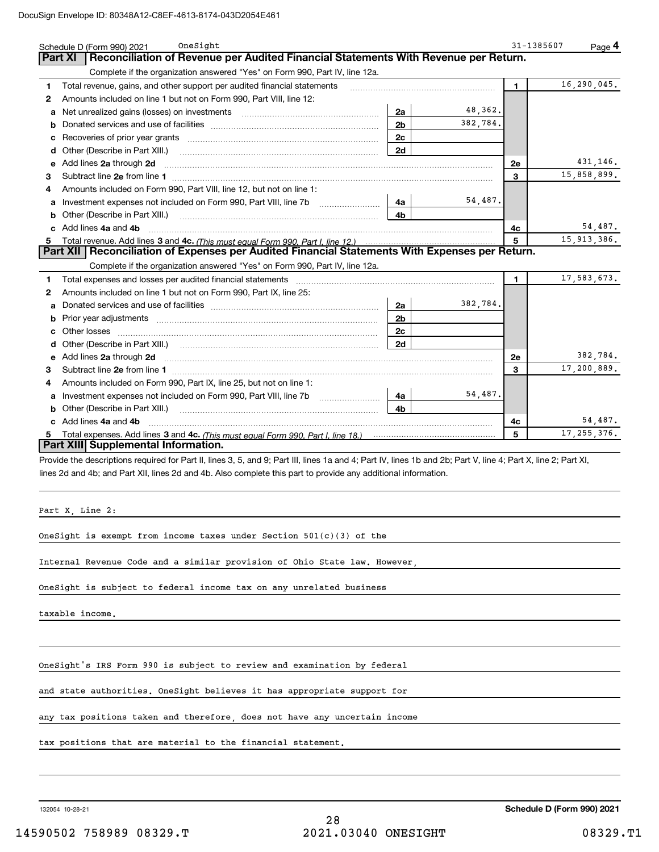|    | OneSight<br>Schedule D (Form 990) 2021                                                                                                                                                                                              |                |               | 31-1385607   | Page $4$      |
|----|-------------------------------------------------------------------------------------------------------------------------------------------------------------------------------------------------------------------------------------|----------------|---------------|--------------|---------------|
|    | Reconciliation of Revenue per Audited Financial Statements With Revenue per Return.<br>Part XI                                                                                                                                      |                |               |              |               |
|    | Complete if the organization answered "Yes" on Form 990, Part IV, line 12a.                                                                                                                                                         |                |               |              |               |
| 1  | Total revenue, gains, and other support per audited financial statements                                                                                                                                                            |                |               | $\mathbf{1}$ | 16,290,045.   |
| 2  | Amounts included on line 1 but not on Form 990, Part VIII, line 12:                                                                                                                                                                 |                |               |              |               |
| a  | Net unrealized gains (losses) on investments [11] matter contracts and the unrealized gains (losses) on investments                                                                                                                 | 2a             | 48,362.       |              |               |
| b  |                                                                                                                                                                                                                                     | 2 <sub>b</sub> | 382,784.      |              |               |
| с  |                                                                                                                                                                                                                                     | 2c             |               |              |               |
| d  |                                                                                                                                                                                                                                     | 2d             |               |              |               |
| e  | Add lines 2a through 2d                                                                                                                                                                                                             |                |               | 2e           | 431,146.      |
| 3  | Subtract line 2e from line 1 <b>manufacture contract and contract line 2e</b> from line 1                                                                                                                                           |                |               | 3            | 15,858,899.   |
| 4  | Amounts included on Form 990, Part VIII, line 12, but not on line 1:                                                                                                                                                                |                |               |              |               |
| a  |                                                                                                                                                                                                                                     | 4a l           | 54,487.       |              |               |
|    | Other (Describe in Part XIII.)                                                                                                                                                                                                      | 4 <sub>b</sub> |               |              |               |
|    | c Add lines 4a and 4b                                                                                                                                                                                                               |                |               | 4c           | 54,487.       |
| 5. |                                                                                                                                                                                                                                     | 5              | 15, 913, 386. |              |               |
|    | Part XII   Reconciliation of Expenses per Audited Financial Statements With Expenses per Return.                                                                                                                                    |                |               |              |               |
|    | Complete if the organization answered "Yes" on Form 990, Part IV, line 12a.                                                                                                                                                         |                |               |              |               |
| 1  | Total expenses and losses per audited financial statements                                                                                                                                                                          |                |               | 1            | 17,583,673.   |
| 2  | Amounts included on line 1 but not on Form 990, Part IX, line 25:                                                                                                                                                                   |                |               |              |               |
| a  |                                                                                                                                                                                                                                     | 2a             | 382,784.      |              |               |
| b  |                                                                                                                                                                                                                                     | 2 <sub>b</sub> |               |              |               |
|    | Other losses                                                                                                                                                                                                                        | 2c             |               |              |               |
|    | Other (Describe in Part XIII.) (COLORGIAN CONTEXT) and the contract of the contract of the contract of the contract of the contract of the contract of the contract of the contract of the contract of the contract of the con      | 2d             |               |              |               |
| е  | Add lines 2a through 2d <b>contained a contained a contained a contained a</b> contained a contained a contained a contained a contained a contained a contained a contained a contained a contained a contained a contained a cont |                |               | 2e           | 382,784.      |
| з  |                                                                                                                                                                                                                                     |                |               | 3            | 17,200,889.   |
| 4  | Amounts included on Form 990, Part IX, line 25, but not on line 1:                                                                                                                                                                  |                |               |              |               |
| a  | Investment expenses not included on Form 990, Part VIII, line 7b [1000000000000000000000000000000000                                                                                                                                | 4a             | 54,487.       |              |               |
| b  | Other (Describe in Part XIII.)                                                                                                                                                                                                      | 4b.            |               |              |               |
|    | Add lines 4a and 4b                                                                                                                                                                                                                 |                |               | 4c           | 54,487.       |
|    |                                                                                                                                                                                                                                     |                |               | 5            | 17, 255, 376. |
|    | Part XIII Supplemental Information.                                                                                                                                                                                                 |                |               |              |               |

Provide the descriptions required for Part II, lines 3, 5, and 9; Part III, lines 1a and 4; Part IV, lines 1b and 2b; Part V, line 4; Part X, line 2; Part XI, lines 2d and 4b; and Part XII, lines 2d and 4b. Also complete this part to provide any additional information.

Part X, Line 2:

OneSight is exempt from income taxes under Section  $501(c)(3)$  of the

Internal Revenue Code and a similar provision of Ohio State law. However,

OneSight is subject to federal income tax on any unrelated business

taxable income.

OneSight's IRS Form 990 is subject to review and examination by federal

and state authorities. OneSight believes it has appropriate support for

any tax positions taken and therefore, does not have any uncertain income

tax positions that are material to the financial statement.

132054 10-28-21

**Schedule D (Form 990) 2021**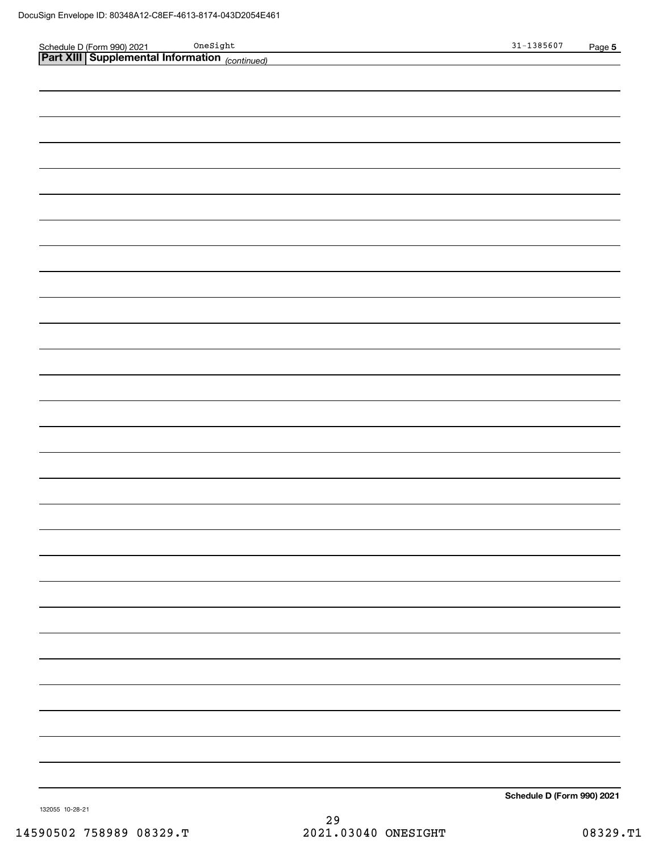|                                                                                              | $31 - 1385607$             | Page 5 |
|----------------------------------------------------------------------------------------------|----------------------------|--------|
| Schedule D (Form 990) 2021 OneSight<br><b>Part XIII Supplemental Information</b> (continued) |                            |        |
|                                                                                              |                            |        |
|                                                                                              |                            |        |
|                                                                                              |                            |        |
|                                                                                              |                            |        |
|                                                                                              |                            |        |
|                                                                                              |                            |        |
|                                                                                              |                            |        |
|                                                                                              |                            |        |
|                                                                                              |                            |        |
|                                                                                              |                            |        |
|                                                                                              |                            |        |
|                                                                                              |                            |        |
|                                                                                              |                            |        |
|                                                                                              |                            |        |
|                                                                                              |                            |        |
|                                                                                              |                            |        |
|                                                                                              |                            |        |
|                                                                                              |                            |        |
|                                                                                              |                            |        |
|                                                                                              |                            |        |
|                                                                                              |                            |        |
|                                                                                              |                            |        |
|                                                                                              |                            |        |
|                                                                                              |                            |        |
|                                                                                              |                            |        |
|                                                                                              |                            |        |
|                                                                                              |                            |        |
|                                                                                              |                            |        |
|                                                                                              |                            |        |
|                                                                                              |                            |        |
|                                                                                              |                            |        |
|                                                                                              |                            |        |
|                                                                                              |                            |        |
|                                                                                              |                            |        |
|                                                                                              |                            |        |
|                                                                                              |                            |        |
|                                                                                              |                            |        |
|                                                                                              |                            |        |
|                                                                                              |                            |        |
|                                                                                              |                            |        |
|                                                                                              |                            |        |
|                                                                                              |                            |        |
|                                                                                              |                            |        |
|                                                                                              | Schedule D (Form 990) 2021 |        |

132055 10-28-21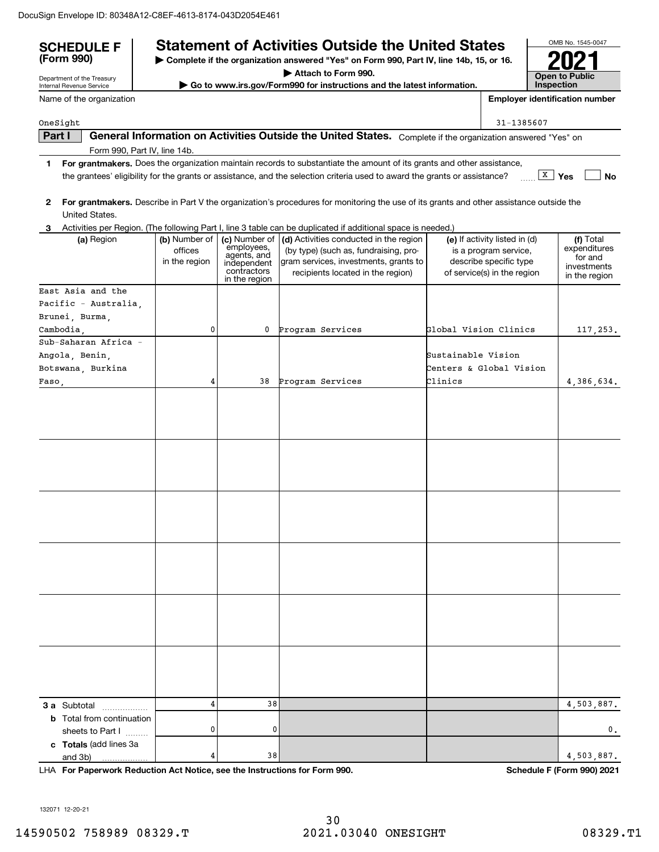| <b>SCHEDULE F</b><br>(Form 990)                      |                                           |                                                                                           | <b>Statement of Activities Outside the United States</b><br>Complete if the organization answered "Yes" on Form 990, Part IV, line 14b, 15, or 16.                                                                                                   |                       |                                                                                                                 | OMB No. 1545-0047                                                    |
|------------------------------------------------------|-------------------------------------------|-------------------------------------------------------------------------------------------|------------------------------------------------------------------------------------------------------------------------------------------------------------------------------------------------------------------------------------------------------|-----------------------|-----------------------------------------------------------------------------------------------------------------|----------------------------------------------------------------------|
| Department of the Treasury                           |                                           |                                                                                           | Attach to Form 990.                                                                                                                                                                                                                                  |                       |                                                                                                                 | <b>Open to Public</b><br><b>Inspection</b>                           |
| Internal Revenue Service<br>Name of the organization |                                           |                                                                                           | Go to www.irs.gov/Form990 for instructions and the latest information.                                                                                                                                                                               |                       |                                                                                                                 | <b>Employer identification number</b>                                |
|                                                      |                                           |                                                                                           |                                                                                                                                                                                                                                                      |                       |                                                                                                                 |                                                                      |
| OneSight                                             |                                           |                                                                                           |                                                                                                                                                                                                                                                      |                       | 31-1385607                                                                                                      |                                                                      |
| Part I                                               |                                           |                                                                                           | General Information on Activities Outside the United States. Complete if the organization answered "Yes" on                                                                                                                                          |                       |                                                                                                                 |                                                                      |
| Form 990, Part IV, line 14b.                         |                                           |                                                                                           |                                                                                                                                                                                                                                                      |                       |                                                                                                                 |                                                                      |
| 1.                                                   |                                           |                                                                                           | For grantmakers. Does the organization maintain records to substantiate the amount of its grants and other assistance,<br>the grantees' eligibility for the grants or assistance, and the selection criteria used to award the grants or assistance? |                       |                                                                                                                 | $\boxed{\text{X}}$ Yes<br><b>No</b>                                  |
| 2<br>United States.                                  |                                           |                                                                                           | For grantmakers. Describe in Part V the organization's procedures for monitoring the use of its grants and other assistance outside the                                                                                                              |                       |                                                                                                                 |                                                                      |
| 3.                                                   |                                           |                                                                                           | Activities per Region. (The following Part I, line 3 table can be duplicated if additional space is needed.)                                                                                                                                         |                       |                                                                                                                 |                                                                      |
| (a) Region                                           | (b) Number of<br>offices<br>in the region | (c) Number of<br>employees,<br>agents, and<br>independent<br>contractors<br>in the region | (d) Activities conducted in the region<br>(by type) (such as, fundraising, pro-<br>gram services, investments, grants to<br>recipients located in the region)                                                                                        |                       | (e) If activity listed in (d)<br>is a program service,<br>describe specific type<br>of service(s) in the region | (f) Total<br>expenditures<br>for and<br>investments<br>in the region |
| East Asia and the                                    |                                           |                                                                                           |                                                                                                                                                                                                                                                      |                       |                                                                                                                 |                                                                      |
| Pacific - Australia.                                 |                                           |                                                                                           |                                                                                                                                                                                                                                                      |                       |                                                                                                                 |                                                                      |
| Brunei, Burma,                                       |                                           |                                                                                           |                                                                                                                                                                                                                                                      |                       |                                                                                                                 |                                                                      |
| Cambodia.                                            | 0                                         | 0                                                                                         | Program Services                                                                                                                                                                                                                                     | Global Vision Clinics |                                                                                                                 | 117, 253.                                                            |
| Sub-Saharan Africa -                                 |                                           |                                                                                           |                                                                                                                                                                                                                                                      |                       |                                                                                                                 |                                                                      |
| Angola, Benin,                                       |                                           |                                                                                           |                                                                                                                                                                                                                                                      | Sustainable Vision    |                                                                                                                 |                                                                      |
| Botswana, Burkina                                    |                                           |                                                                                           |                                                                                                                                                                                                                                                      |                       | Centers & Global Vision                                                                                         |                                                                      |
| Faso,                                                | 4                                         | 38                                                                                        | Program Services                                                                                                                                                                                                                                     | Clinics               |                                                                                                                 | 4,386,634.                                                           |
|                                                      |                                           |                                                                                           |                                                                                                                                                                                                                                                      |                       |                                                                                                                 |                                                                      |
|                                                      |                                           |                                                                                           |                                                                                                                                                                                                                                                      |                       |                                                                                                                 |                                                                      |
|                                                      |                                           |                                                                                           |                                                                                                                                                                                                                                                      |                       |                                                                                                                 |                                                                      |
|                                                      |                                           |                                                                                           |                                                                                                                                                                                                                                                      |                       |                                                                                                                 |                                                                      |
|                                                      |                                           |                                                                                           |                                                                                                                                                                                                                                                      |                       |                                                                                                                 |                                                                      |
|                                                      |                                           |                                                                                           |                                                                                                                                                                                                                                                      |                       |                                                                                                                 |                                                                      |
| <b>3 a</b> Subtotal                                  | 4                                         | 38                                                                                        |                                                                                                                                                                                                                                                      |                       |                                                                                                                 | 4,503,887.                                                           |
| <b>b</b> Total from continuation<br>sheets to Part I | 0                                         | 0                                                                                         |                                                                                                                                                                                                                                                      |                       |                                                                                                                 | 0.                                                                   |
| c Totals (add lines 3a<br>and 3b)                    | 4                                         | 38                                                                                        |                                                                                                                                                                                                                                                      |                       |                                                                                                                 | 4,503,887.                                                           |

LHA For Paperwork Reduction Act Notice, see the Instructions for Form 990. Schedule F (Form 990) 2021

132071 12-20-21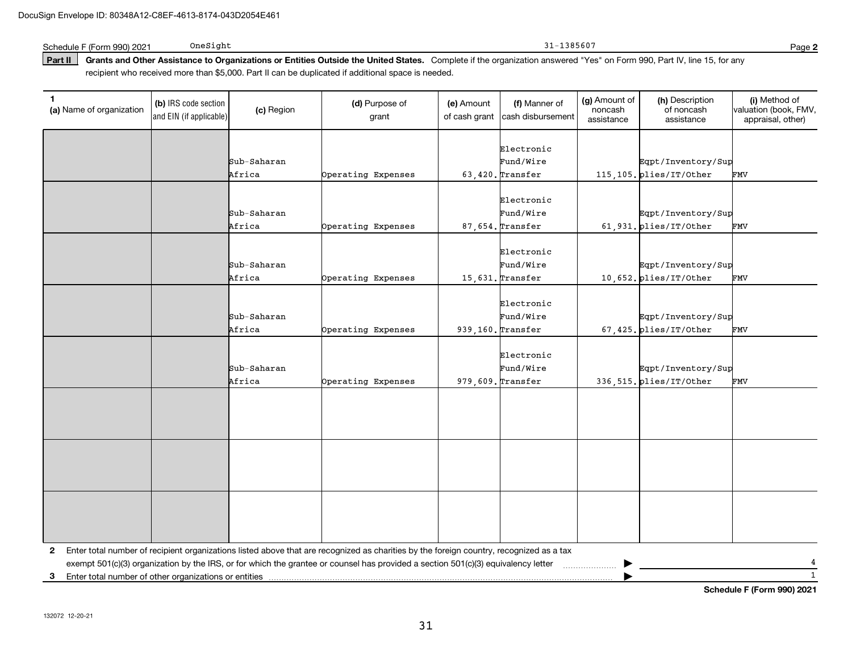Schedule F (Form 990) 2021 OneSight

Part II | Grants and Other Assistance to Organizations or Entities Outside the United States. Complete if the organization answered "Yes" on Form 990, Part IV, line 15, for any recipient who received more than \$5,000. Part II can be duplicated if additional space is needed.

| 1<br>(a) Name of organization                              | (b) IRS code section<br>and EIN (if applicable) | (c) Region  | (d) Purpose of<br>grant                                                                                                                 | (e) Amount<br>of cash grant | (f) Manner of<br>cash disbursement | (g) Amount of<br>noncash<br>assistance | (h) Description<br>of noncash<br>assistance | (i) Method of<br>valuation (book, FMV,<br>appraisal, other) |
|------------------------------------------------------------|-------------------------------------------------|-------------|-----------------------------------------------------------------------------------------------------------------------------------------|-----------------------------|------------------------------------|----------------------------------------|---------------------------------------------|-------------------------------------------------------------|
|                                                            |                                                 | Sub-Saharan |                                                                                                                                         |                             | Electronic<br>Fund/Wire            |                                        | Eqpt/Inventory/Sup                          |                                                             |
|                                                            |                                                 | Africa      | Operating Expenses                                                                                                                      |                             | $63,420.$ Transfer                 |                                        | 115,105. plies/IT/Other                     | FMV                                                         |
|                                                            |                                                 |             |                                                                                                                                         |                             |                                    |                                        |                                             |                                                             |
|                                                            |                                                 |             |                                                                                                                                         |                             | Electronic                         |                                        |                                             |                                                             |
|                                                            |                                                 | Sub-Saharan |                                                                                                                                         |                             | Fund/Wire                          |                                        | Eqpt/Inventory/Sup                          |                                                             |
|                                                            |                                                 | Africa      | Operating Expenses                                                                                                                      |                             | $87,654.$ Transfer                 |                                        | 61,931.plies/IT/Other                       | FMV                                                         |
|                                                            |                                                 |             |                                                                                                                                         |                             |                                    |                                        |                                             |                                                             |
|                                                            |                                                 |             |                                                                                                                                         |                             | Electronic                         |                                        |                                             |                                                             |
|                                                            |                                                 | Sub-Saharan |                                                                                                                                         |                             | Fund/Wire                          |                                        | Eqpt/Inventory/Sup                          |                                                             |
|                                                            |                                                 | Africa      | Operating Expenses                                                                                                                      |                             | $15,631.$ Transfer                 |                                        | 10,652. plies/IT/Other                      | FMV                                                         |
|                                                            |                                                 |             |                                                                                                                                         |                             | Electronic                         |                                        |                                             |                                                             |
|                                                            |                                                 | Sub-Saharan |                                                                                                                                         |                             | Fund/Wire                          |                                        | Eqpt/Inventory/Sup                          |                                                             |
|                                                            |                                                 | Africa      | Operating Expenses                                                                                                                      |                             | 939,160. Transfer                  |                                        | 67,425. plies/IT/Other                      | FMV                                                         |
|                                                            |                                                 |             |                                                                                                                                         |                             |                                    |                                        |                                             |                                                             |
|                                                            |                                                 |             |                                                                                                                                         |                             | Electronic                         |                                        |                                             |                                                             |
|                                                            |                                                 | Sub-Saharan |                                                                                                                                         |                             | Fund/Wire                          |                                        | Eqpt/Inventory/Sup                          |                                                             |
|                                                            |                                                 | Africa      | Operating Expenses                                                                                                                      |                             | $979,609.$ Transfer                |                                        | 336, 515. plies/IT/Other                    | FMV                                                         |
|                                                            |                                                 |             |                                                                                                                                         |                             |                                    |                                        |                                             |                                                             |
|                                                            |                                                 |             |                                                                                                                                         |                             |                                    |                                        |                                             |                                                             |
|                                                            |                                                 |             |                                                                                                                                         |                             |                                    |                                        |                                             |                                                             |
|                                                            |                                                 |             |                                                                                                                                         |                             |                                    |                                        |                                             |                                                             |
|                                                            |                                                 |             |                                                                                                                                         |                             |                                    |                                        |                                             |                                                             |
|                                                            |                                                 |             |                                                                                                                                         |                             |                                    |                                        |                                             |                                                             |
|                                                            |                                                 |             |                                                                                                                                         |                             |                                    |                                        |                                             |                                                             |
|                                                            |                                                 |             |                                                                                                                                         |                             |                                    |                                        |                                             |                                                             |
|                                                            |                                                 |             |                                                                                                                                         |                             |                                    |                                        |                                             |                                                             |
|                                                            |                                                 |             |                                                                                                                                         |                             |                                    |                                        |                                             |                                                             |
|                                                            |                                                 |             |                                                                                                                                         |                             |                                    |                                        |                                             |                                                             |
| 2                                                          |                                                 |             | Enter total number of recipient organizations listed above that are recognized as charities by the foreign country, recognized as a tax |                             |                                    |                                        |                                             |                                                             |
|                                                            |                                                 |             | exempt 501(c)(3) organization by the IRS, or for which the grantee or counsel has provided a section 501(c)(3) equivalency letter       |                             |                                    |                                        |                                             |                                                             |
| Enter total number of other organizations or entities<br>3 |                                                 |             |                                                                                                                                         |                             |                                    |                                        |                                             | $\mathbf{1}$                                                |

31

**Schedule F (Form 990) 2021**

OneSight 31-1385607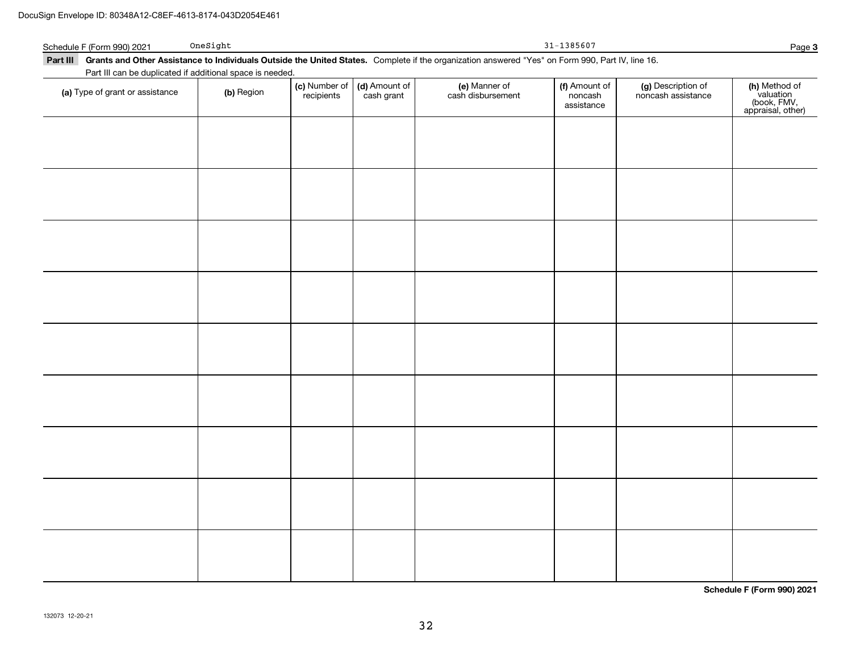| Schedule F (Form 990) 2021      | OneSight                                                  |                             |                             |                                                                                                                                                           | 31-1385607                             |                                          | Page 3                                                         |
|---------------------------------|-----------------------------------------------------------|-----------------------------|-----------------------------|-----------------------------------------------------------------------------------------------------------------------------------------------------------|----------------------------------------|------------------------------------------|----------------------------------------------------------------|
|                                 |                                                           |                             |                             | Part III Grants and Other Assistance to Individuals Outside the United States. Complete if the organization answered "Yes" on Form 990, Part IV, line 16. |                                        |                                          |                                                                |
|                                 | Part III can be duplicated if additional space is needed. |                             |                             |                                                                                                                                                           |                                        |                                          |                                                                |
| (a) Type of grant or assistance | (b) Region                                                | (c) Number of<br>recipients | (d) Amount of<br>cash grant | (e) Manner of<br>cash disbursement                                                                                                                        | (f) Amount of<br>noncash<br>assistance | (g) Description of<br>noncash assistance | (h) Method of<br>valuation<br>(book, FMV,<br>appraisal, other) |
|                                 |                                                           |                             |                             |                                                                                                                                                           |                                        |                                          |                                                                |
|                                 |                                                           |                             |                             |                                                                                                                                                           |                                        |                                          |                                                                |
|                                 |                                                           |                             |                             |                                                                                                                                                           |                                        |                                          |                                                                |
|                                 |                                                           |                             |                             |                                                                                                                                                           |                                        |                                          |                                                                |
|                                 |                                                           |                             |                             |                                                                                                                                                           |                                        |                                          |                                                                |
|                                 |                                                           |                             |                             |                                                                                                                                                           |                                        |                                          |                                                                |
|                                 |                                                           |                             |                             |                                                                                                                                                           |                                        |                                          |                                                                |
|                                 |                                                           |                             |                             |                                                                                                                                                           |                                        |                                          |                                                                |
|                                 |                                                           |                             |                             |                                                                                                                                                           |                                        |                                          |                                                                |
|                                 |                                                           |                             |                             |                                                                                                                                                           |                                        |                                          |                                                                |
|                                 |                                                           |                             |                             |                                                                                                                                                           |                                        |                                          |                                                                |
|                                 |                                                           |                             |                             |                                                                                                                                                           |                                        |                                          |                                                                |
|                                 |                                                           |                             |                             |                                                                                                                                                           |                                        |                                          |                                                                |

**Schedule F (Form 990) 2021**

**Page 3**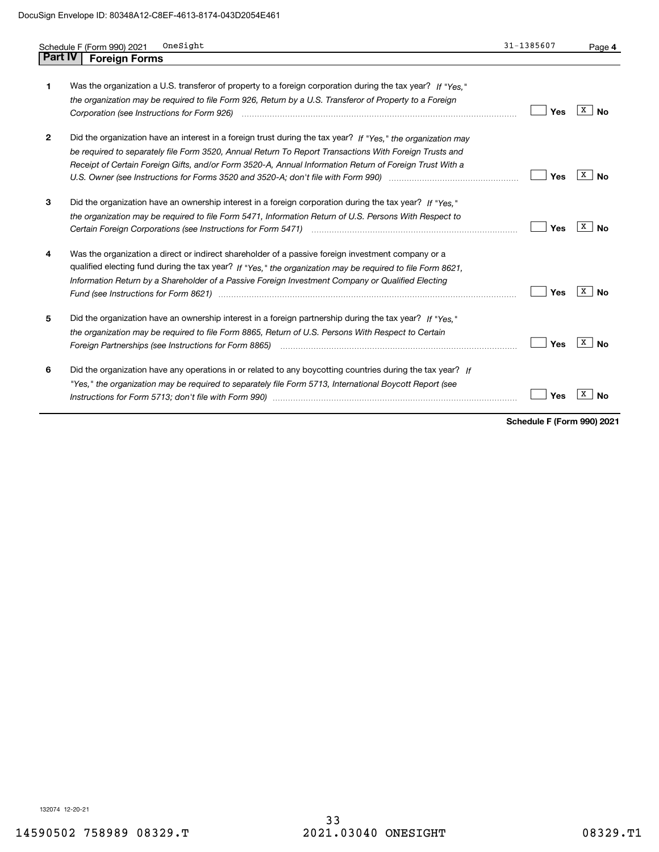|                | OneSight<br>Schedule F (Form 990) 2021                                                                                                                                                                                                                                                                                                                                                                                                  | 31-1385607 | Page 4           |
|----------------|-----------------------------------------------------------------------------------------------------------------------------------------------------------------------------------------------------------------------------------------------------------------------------------------------------------------------------------------------------------------------------------------------------------------------------------------|------------|------------------|
| <b>Part IV</b> | <b>Foreign Forms</b>                                                                                                                                                                                                                                                                                                                                                                                                                    |            |                  |
| 1              | Was the organization a U.S. transferor of property to a foreign corporation during the tax year? If "Yes."<br>the organization may be required to file Form 926, Return by a U.S. Transferor of Property to a Foreign                                                                                                                                                                                                                   | Yes        | X  <br><b>No</b> |
| 2              | Did the organization have an interest in a foreign trust during the tax year? If "Yes," the organization may<br>be required to separately file Form 3520, Annual Return To Report Transactions With Foreign Trusts and<br>Receipt of Certain Foreign Gifts, and/or Form 3520-A, Annual Information Return of Foreign Trust With a                                                                                                       | Yes        | x<br>Nο          |
| 3              | Did the organization have an ownership interest in a foreign corporation during the tax year? If "Yes."<br>the organization may be required to file Form 5471, Information Return of U.S. Persons With Respect to                                                                                                                                                                                                                       | Yes        | x<br>No          |
|                | Was the organization a direct or indirect shareholder of a passive foreign investment company or a<br>qualified electing fund during the tax year? If "Yes," the organization may be required to file Form 8621,<br>Information Return by a Shareholder of a Passive Foreign Investment Company or Qualified Electing<br>Fund (see Instructions for Form 8621) manufactured control control and the latest state of the state of the st | Yes        | x<br>Nο          |
| 5              | Did the organization have an ownership interest in a foreign partnership during the tax year? If "Yes."<br>the organization may be required to file Form 8865, Return of U.S. Persons With Respect to Certain<br>Foreign Partnerships (see Instructions for Form 8865)                                                                                                                                                                  | Yes        | X<br><b>No</b>   |
| 6              | Did the organization have any operations in or related to any boycotting countries during the tax year? If<br>"Yes," the organization may be required to separately file Form 5713, International Boycott Report (see                                                                                                                                                                                                                   | Yes        | х<br>No          |

**Schedule F (Form 990) 2021**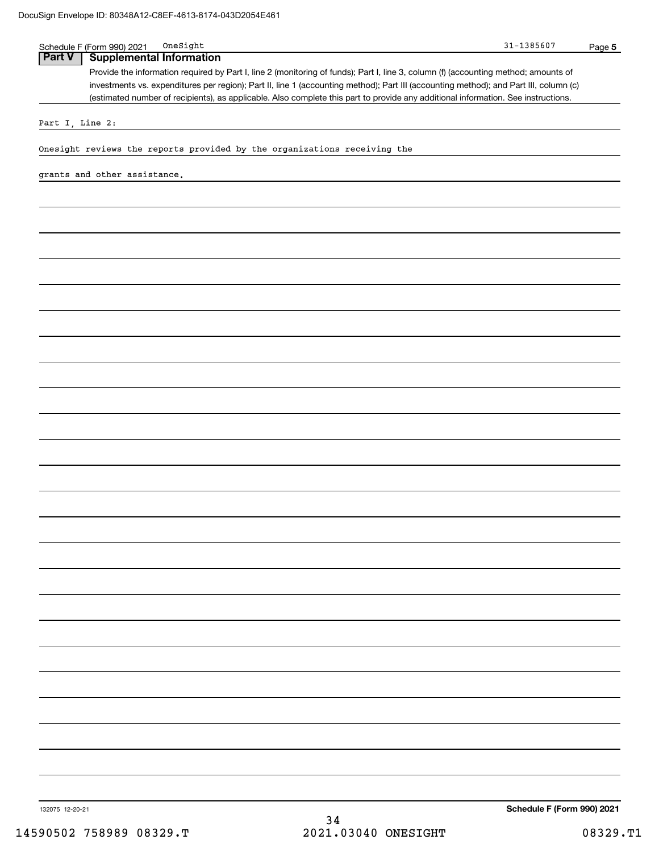| Part V          | <b>Supplemental Information</b>                                                                                                       |  |
|-----------------|---------------------------------------------------------------------------------------------------------------------------------------|--|
|                 | Provide the information required by Part I, line 2 (monitoring of funds); Part I, line 3, column (f) (accounting method; amounts of   |  |
|                 | investments vs. expenditures per region); Part II, line 1 (accounting method); Part III (accounting method); and Part III, column (c) |  |
|                 | (estimated number of recipients), as applicable. Also complete this part to provide any additional information. See instructions.     |  |
|                 |                                                                                                                                       |  |
| Part I, Line 2: |                                                                                                                                       |  |
|                 |                                                                                                                                       |  |
|                 | Onesight reviews the reports provided by the organizations receiving the                                                              |  |
|                 |                                                                                                                                       |  |
|                 | grants and other assistance.                                                                                                          |  |
|                 |                                                                                                                                       |  |
|                 |                                                                                                                                       |  |
|                 |                                                                                                                                       |  |
|                 |                                                                                                                                       |  |
|                 |                                                                                                                                       |  |
|                 |                                                                                                                                       |  |
|                 |                                                                                                                                       |  |
|                 |                                                                                                                                       |  |
|                 |                                                                                                                                       |  |
|                 |                                                                                                                                       |  |
|                 |                                                                                                                                       |  |
|                 |                                                                                                                                       |  |
|                 |                                                                                                                                       |  |
|                 |                                                                                                                                       |  |
|                 |                                                                                                                                       |  |
|                 |                                                                                                                                       |  |
|                 |                                                                                                                                       |  |
|                 |                                                                                                                                       |  |
|                 |                                                                                                                                       |  |
|                 |                                                                                                                                       |  |
|                 |                                                                                                                                       |  |
|                 |                                                                                                                                       |  |
|                 |                                                                                                                                       |  |
|                 |                                                                                                                                       |  |
|                 |                                                                                                                                       |  |
|                 |                                                                                                                                       |  |
|                 |                                                                                                                                       |  |
|                 |                                                                                                                                       |  |
|                 |                                                                                                                                       |  |
|                 |                                                                                                                                       |  |
|                 |                                                                                                                                       |  |
|                 |                                                                                                                                       |  |
|                 |                                                                                                                                       |  |
|                 |                                                                                                                                       |  |
|                 |                                                                                                                                       |  |
|                 |                                                                                                                                       |  |
|                 |                                                                                                                                       |  |
|                 |                                                                                                                                       |  |
|                 |                                                                                                                                       |  |
|                 |                                                                                                                                       |  |
|                 |                                                                                                                                       |  |
|                 |                                                                                                                                       |  |
|                 |                                                                                                                                       |  |
|                 |                                                                                                                                       |  |
|                 |                                                                                                                                       |  |
|                 |                                                                                                                                       |  |
|                 |                                                                                                                                       |  |
|                 |                                                                                                                                       |  |
|                 |                                                                                                                                       |  |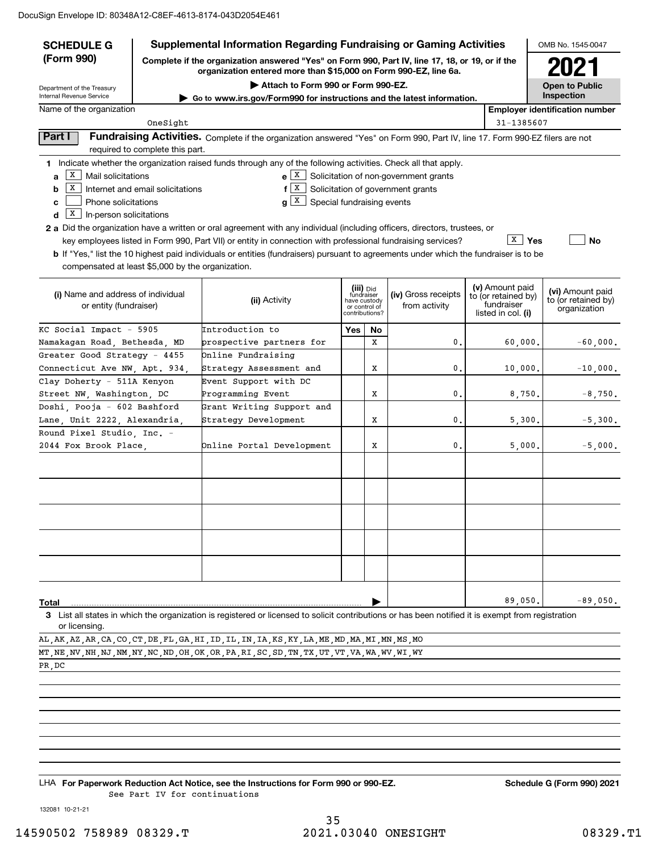| <b>SCHEDULE G</b>                                 |                                                                                                                                                                     | <b>Supplemental Information Regarding Fundraising or Gaming Activities</b>                                                                         |                            |                |                                                       |         |                                   | OMB No. 1545-0047                     |  |  |  |
|---------------------------------------------------|---------------------------------------------------------------------------------------------------------------------------------------------------------------------|----------------------------------------------------------------------------------------------------------------------------------------------------|----------------------------|----------------|-------------------------------------------------------|---------|-----------------------------------|---------------------------------------|--|--|--|
| (Form 990)                                        | Complete if the organization answered "Yes" on Form 990, Part IV, line 17, 18, or 19, or if the<br>organization entered more than \$15,000 on Form 990-EZ, line 6a. |                                                                                                                                                    | 2021                       |                |                                                       |         |                                   |                                       |  |  |  |
| Department of the Treasury                        |                                                                                                                                                                     | Attach to Form 990 or Form 990-EZ.                                                                                                                 |                            |                |                                                       |         |                                   | <b>Open to Public</b>                 |  |  |  |
| Internal Revenue Service                          |                                                                                                                                                                     | Go to www.irs.gov/Form990 for instructions and the latest information.                                                                             |                            |                |                                                       |         | Inspection                        |                                       |  |  |  |
| Name of the organization                          |                                                                                                                                                                     |                                                                                                                                                    |                            |                |                                                       |         |                                   | <b>Employer identification number</b> |  |  |  |
|                                                   | OneSight                                                                                                                                                            |                                                                                                                                                    |                            |                |                                                       |         | 31-1385607                        |                                       |  |  |  |
| Part I                                            | required to complete this part.                                                                                                                                     | Fundraising Activities. Complete if the organization answered "Yes" on Form 990, Part IV, line 17. Form 990-EZ filers are not                      |                            |                |                                                       |         |                                   |                                       |  |  |  |
|                                                   |                                                                                                                                                                     | 1 Indicate whether the organization raised funds through any of the following activities. Check all that apply.                                    |                            |                |                                                       |         |                                   |                                       |  |  |  |
| х<br>Mail solicitations<br>a                      |                                                                                                                                                                     | e X                                                                                                                                                |                            |                | Solicitation of non-government grants                 |         |                                   |                                       |  |  |  |
| X<br>b                                            | Internet and email solicitations                                                                                                                                    | X  <br>f                                                                                                                                           |                            |                | Solicitation of government grants                     |         |                                   |                                       |  |  |  |
| Phone solicitations<br>c                          |                                                                                                                                                                     | $g\lfloor x \rfloor$<br>Special fundraising events                                                                                                 |                            |                |                                                       |         |                                   |                                       |  |  |  |
| $\vert$ X<br>In-person solicitations<br>d         |                                                                                                                                                                     |                                                                                                                                                    |                            |                |                                                       |         |                                   |                                       |  |  |  |
|                                                   |                                                                                                                                                                     | 2 a Did the organization have a written or oral agreement with any individual (including officers, directors, trustees, or                         |                            |                |                                                       |         |                                   |                                       |  |  |  |
|                                                   |                                                                                                                                                                     | key employees listed in Form 990, Part VII) or entity in connection with professional fundraising services?                                        |                            |                |                                                       |         | X<br>Yes                          | <b>No</b>                             |  |  |  |
|                                                   |                                                                                                                                                                     | <b>b</b> If "Yes," list the 10 highest paid individuals or entities (fundraisers) pursuant to agreements under which the fundraiser is to be       |                            |                |                                                       |         |                                   |                                       |  |  |  |
| compensated at least \$5,000 by the organization. |                                                                                                                                                                     |                                                                                                                                                    |                            |                |                                                       |         |                                   |                                       |  |  |  |
|                                                   |                                                                                                                                                                     |                                                                                                                                                    |                            |                |                                                       |         |                                   |                                       |  |  |  |
|                                                   |                                                                                                                                                                     |                                                                                                                                                    |                            | (iii) Did      |                                                       |         | (v) Amount paid                   | (vi) Amount paid                      |  |  |  |
| (i) Name and address of individual                |                                                                                                                                                                     | (ii) Activity                                                                                                                                      | fundraiser<br>have custody |                | (iv) Gross receipts<br>from activity<br>or control of |         | to (or retained by)<br>fundraiser | to (or retained by)                   |  |  |  |
| or entity (fundraiser)                            |                                                                                                                                                                     |                                                                                                                                                    |                            | contributions? |                                                       |         | listed in col. (i)                | organization                          |  |  |  |
| KC Social Impact - 5905                           |                                                                                                                                                                     | Introduction to                                                                                                                                    |                            | No             |                                                       |         |                                   |                                       |  |  |  |
| Namakagan Road, Bethesda, MD                      |                                                                                                                                                                     | prospective partners for                                                                                                                           |                            | х              | $\mathbf 0$                                           |         | 60,000.                           | $-60,000.$                            |  |  |  |
| Greater Good Strategy - 4455                      |                                                                                                                                                                     | Online Fundraising                                                                                                                                 |                            |                |                                                       |         |                                   |                                       |  |  |  |
| Connecticut Ave NW, Apt. 934,                     |                                                                                                                                                                     | Strategy Assessment and                                                                                                                            |                            | Х              | $\mathbf 0$                                           | 10,000. |                                   | $-10,000.$                            |  |  |  |
| Clay Doherty - 511A Kenyon                        |                                                                                                                                                                     | Event Support with DC                                                                                                                              |                            |                |                                                       |         |                                   |                                       |  |  |  |
| Street NW, Washington, DC                         |                                                                                                                                                                     | Programming Event                                                                                                                                  |                            | х              | $\mathbf 0$                                           |         | 8,750.                            | $-8,750.$                             |  |  |  |
| Doshi, Pooja - 602 Bashford                       |                                                                                                                                                                     | Grant Writing Support and                                                                                                                          |                            |                |                                                       |         |                                   |                                       |  |  |  |
| Lane, Unit 2222, Alexandria,                      |                                                                                                                                                                     | Strategy Development                                                                                                                               |                            | Х              | $\mathbf 0$                                           |         | 5,300.                            | $-5,300.$                             |  |  |  |
| Round Pixel Studio, Inc. -                        |                                                                                                                                                                     |                                                                                                                                                    |                            |                |                                                       |         |                                   |                                       |  |  |  |
| 2044 Fox Brook Place,                             |                                                                                                                                                                     | Online Portal Development                                                                                                                          |                            | х              | $\mathbf 0$                                           |         | 5,000.                            | $-5,000.$                             |  |  |  |
|                                                   |                                                                                                                                                                     |                                                                                                                                                    |                            |                |                                                       |         |                                   |                                       |  |  |  |
|                                                   |                                                                                                                                                                     |                                                                                                                                                    |                            |                |                                                       |         |                                   |                                       |  |  |  |
|                                                   |                                                                                                                                                                     |                                                                                                                                                    |                            |                |                                                       |         |                                   |                                       |  |  |  |
|                                                   |                                                                                                                                                                     |                                                                                                                                                    |                            |                |                                                       |         |                                   |                                       |  |  |  |
|                                                   |                                                                                                                                                                     |                                                                                                                                                    |                            |                |                                                       |         |                                   |                                       |  |  |  |
|                                                   |                                                                                                                                                                     |                                                                                                                                                    |                            |                |                                                       |         |                                   |                                       |  |  |  |
|                                                   |                                                                                                                                                                     |                                                                                                                                                    |                            |                |                                                       |         |                                   |                                       |  |  |  |
|                                                   |                                                                                                                                                                     |                                                                                                                                                    |                            |                |                                                       |         |                                   |                                       |  |  |  |
|                                                   |                                                                                                                                                                     |                                                                                                                                                    |                            |                |                                                       |         |                                   |                                       |  |  |  |
|                                                   |                                                                                                                                                                     |                                                                                                                                                    |                            |                |                                                       |         |                                   |                                       |  |  |  |
|                                                   |                                                                                                                                                                     |                                                                                                                                                    |                            |                |                                                       |         |                                   |                                       |  |  |  |
|                                                   |                                                                                                                                                                     |                                                                                                                                                    |                            |                |                                                       |         | 89,050.                           | $-89,050.$                            |  |  |  |
| Total                                             |                                                                                                                                                                     | 3 List all states in which the organization is registered or licensed to solicit contributions or has been notified it is exempt from registration |                            |                |                                                       |         |                                   |                                       |  |  |  |
| or licensing.                                     |                                                                                                                                                                     |                                                                                                                                                    |                            |                |                                                       |         |                                   |                                       |  |  |  |
|                                                   |                                                                                                                                                                     | AI. AK AZ AR CA CO CT DE FI. GA HI ID II. IN IA KS KV IA ME MD MA MI MN MS MO                                                                      |                            |                |                                                       |         |                                   |                                       |  |  |  |

AL,AK,AZ,AR,CA,CO,CT,DE,FL,GA,HI,ID,IL,IN,IA,KS,KY,LA,ME,MD,MA,MI,MN,MS,MO MT,NE,NV,NH,NJ,NM,NY,NC,ND,OH,OK,OR,PA,RI,SC,SD,TN,TX,UT,VT,VA,WA,WV,WI,WY

PR,DC

LHA For Paperwork Reduction Act Notice, see the Instructions for Form 990 or 990-EZ. Schedule G (Form 990) 2021 See Part IV for continuations

132081 10-21-21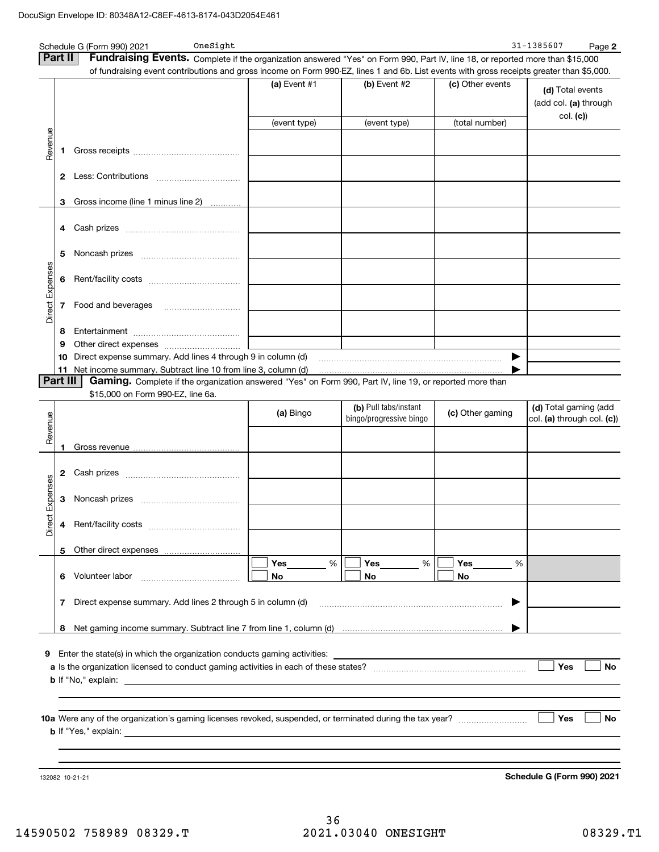|                 |              | OneSight<br>Schedule G (Form 990) 2021                                                                                                    |                 |                         |                  | 31-1385607<br>Page 2                      |
|-----------------|--------------|-------------------------------------------------------------------------------------------------------------------------------------------|-----------------|-------------------------|------------------|-------------------------------------------|
|                 | Part II      | Fundraising Events. Complete if the organization answered "Yes" on Form 990, Part IV, line 18, or reported more than \$15,000             |                 |                         |                  |                                           |
|                 |              | of fundraising event contributions and gross income on Form 990-EZ, lines 1 and 6b. List events with gross receipts greater than \$5,000. |                 |                         |                  |                                           |
|                 |              |                                                                                                                                           | (a) Event #1    | (b) Event #2            | (c) Other events | (d) Total events<br>(add col. (a) through |
|                 |              |                                                                                                                                           | (event type)    | (event type)            | (total number)   | col. (c)                                  |
| Revenue         | 1            |                                                                                                                                           |                 |                         |                  |                                           |
|                 | $\mathbf{2}$ |                                                                                                                                           |                 |                         |                  |                                           |
|                 | 3            | Gross income (line 1 minus line 2)                                                                                                        |                 |                         |                  |                                           |
|                 |              |                                                                                                                                           |                 |                         |                  |                                           |
|                 | 5            |                                                                                                                                           |                 |                         |                  |                                           |
|                 | 6            |                                                                                                                                           |                 |                         |                  |                                           |
| Direct Expenses | 7            |                                                                                                                                           |                 |                         |                  |                                           |
|                 | 8            |                                                                                                                                           |                 |                         |                  |                                           |
|                 | 9            |                                                                                                                                           |                 |                         |                  |                                           |
|                 | 10           | Direct expense summary. Add lines 4 through 9 in column (d) matures and the contract expense summary. Add lines 4 through 9 in column (d) |                 |                         | ▶                |                                           |
|                 | 11           |                                                                                                                                           |                 |                         |                  |                                           |
|                 | Part III     | <b>Gaming.</b> Complete if the organization answered "Yes" on Form 990, Part IV, line 19, or reported more than                           |                 |                         |                  |                                           |
|                 |              | \$15,000 on Form 990-EZ, line 6a.                                                                                                         |                 |                         |                  |                                           |
|                 |              |                                                                                                                                           | (a) Bingo       | (b) Pull tabs/instant   | (c) Other gaming | (d) Total gaming (add                     |
| Revenue         |              |                                                                                                                                           |                 | bingo/progressive bingo |                  | col. (a) through col. (c))                |
|                 |              |                                                                                                                                           |                 |                         |                  |                                           |
|                 | 1            |                                                                                                                                           |                 |                         |                  |                                           |
|                 |              |                                                                                                                                           |                 |                         |                  |                                           |
|                 | 2            |                                                                                                                                           |                 |                         |                  |                                           |
| Expenses        | 3            |                                                                                                                                           |                 |                         |                  |                                           |
| ă<br>Dire       |              |                                                                                                                                           |                 |                         |                  |                                           |
|                 | 5            | Other direct expenses<br><u></u>                                                                                                          |                 |                         |                  |                                           |
|                 | 6            | Volunteer labor                                                                                                                           | Yes<br>%<br>No. | Yes<br>%<br>No          | Yes<br>%<br>No   |                                           |
|                 | 7            | Direct expense summary. Add lines 2 through 5 in column (d)                                                                               |                 |                         | ▶                |                                           |
|                 | 8            |                                                                                                                                           |                 |                         |                  |                                           |
|                 |              |                                                                                                                                           |                 |                         |                  |                                           |
|                 |              |                                                                                                                                           |                 |                         |                  |                                           |
|                 |              |                                                                                                                                           |                 |                         |                  | Yes<br><b>No</b>                          |
|                 |              |                                                                                                                                           |                 |                         |                  |                                           |
|                 |              |                                                                                                                                           |                 |                         |                  |                                           |
|                 |              |                                                                                                                                           |                 |                         |                  | Yes<br>No                                 |
|                 |              |                                                                                                                                           |                 |                         |                  |                                           |
|                 |              | 132082 10-21-21                                                                                                                           |                 |                         |                  | Schedule G (Form 990) 2021                |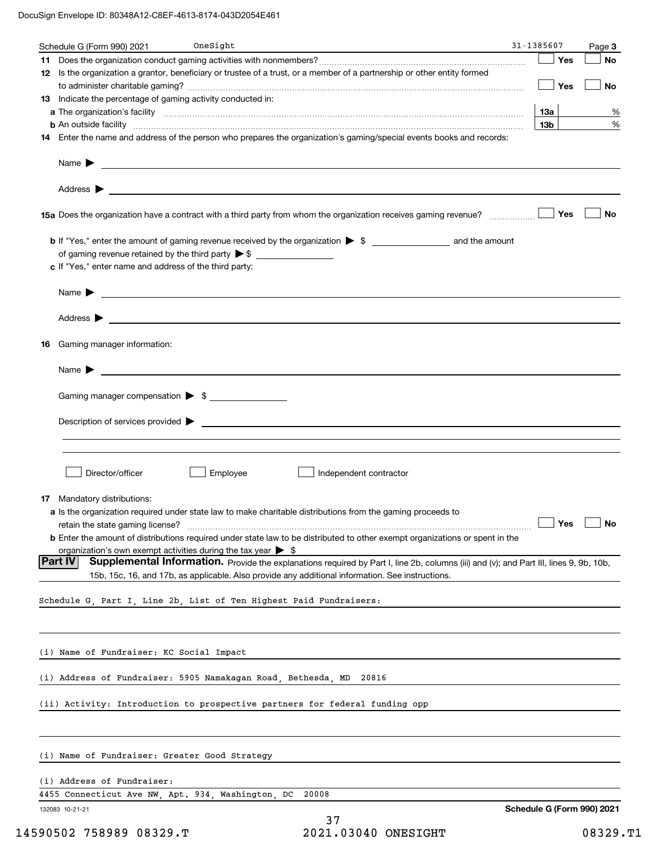DocuSign Envelope ID: 80348A12-C8EF-4613-8174-043D2054E461

|    | Schedule G (Form 990) 2021                                                      | OneSight |                                                                                                                                                                                                                                                                              | 31-1385607                 | Page 3               |
|----|---------------------------------------------------------------------------------|----------|------------------------------------------------------------------------------------------------------------------------------------------------------------------------------------------------------------------------------------------------------------------------------|----------------------------|----------------------|
|    |                                                                                 |          |                                                                                                                                                                                                                                                                              | Yes                        | No                   |
|    |                                                                                 |          | 12 Is the organization a grantor, beneficiary or trustee of a trust, or a member of a partnership or other entity formed                                                                                                                                                     |                            |                      |
|    |                                                                                 |          |                                                                                                                                                                                                                                                                              | Yes                        | No                   |
|    | 13 Indicate the percentage of gaming activity conducted in:                     |          |                                                                                                                                                                                                                                                                              |                            |                      |
|    |                                                                                 |          |                                                                                                                                                                                                                                                                              | 13а                        | %                    |
|    |                                                                                 |          | <b>b</b> An outside facility <b>contained and the contract of the contract of the contract of the contract of the contract of the contract of the contract of the contract of the contract of the contract of the contract of the con</b>                                    | 13b                        | %                    |
|    |                                                                                 |          | 14 Enter the name and address of the person who prepares the organization's gaming/special events books and records:                                                                                                                                                         |                            |                      |
|    |                                                                                 |          |                                                                                                                                                                                                                                                                              |                            |                      |
|    |                                                                                 |          |                                                                                                                                                                                                                                                                              |                            |                      |
|    |                                                                                 |          | 15a Does the organization have a contract with a third party from whom the organization receives gaming revenue?                                                                                                                                                             | Yes                        | No                   |
|    |                                                                                 |          |                                                                                                                                                                                                                                                                              |                            |                      |
|    |                                                                                 |          |                                                                                                                                                                                                                                                                              |                            |                      |
|    | c If "Yes," enter name and address of the third party:                          |          |                                                                                                                                                                                                                                                                              |                            |                      |
|    |                                                                                 |          |                                                                                                                                                                                                                                                                              |                            |                      |
|    |                                                                                 |          |                                                                                                                                                                                                                                                                              |                            |                      |
|    |                                                                                 |          |                                                                                                                                                                                                                                                                              |                            |                      |
| 16 | Gaming manager information:                                                     |          |                                                                                                                                                                                                                                                                              |                            |                      |
|    |                                                                                 |          | Name $\blacktriangleright$ $\bot$                                                                                                                                                                                                                                            |                            |                      |
|    | Gaming manager compensation > \$                                                |          |                                                                                                                                                                                                                                                                              |                            |                      |
|    |                                                                                 |          |                                                                                                                                                                                                                                                                              |                            |                      |
|    |                                                                                 |          |                                                                                                                                                                                                                                                                              |                            |                      |
| 17 | Director/officer<br>Mandatory distributions:                                    | Employee | Independent contractor<br>a Is the organization required under state law to make charitable distributions from the gaming proceeds to<br><b>b</b> Enter the amount of distributions required under state law to be distributed to other exempt organizations or spent in the |                            | $\Box$ Yes $\Box$ No |
|    | organization's own exempt activities during the tax year $\triangleright$ \$    |          |                                                                                                                                                                                                                                                                              |                            |                      |
|    | <b>Part IV</b>                                                                  |          | Supplemental Information. Provide the explanations required by Part I, line 2b, columns (iii) and (v); and Part III, lines 9, 9b, 10b,                                                                                                                                       |                            |                      |
|    |                                                                                 |          | 15b, 15c, 16, and 17b, as applicable. Also provide any additional information. See instructions.                                                                                                                                                                             |                            |                      |
|    | Schedule G, Part I, Line 2b, List of Ten Highest Paid Fundraisers:              |          |                                                                                                                                                                                                                                                                              |                            |                      |
|    | (i) Name of Fundraiser: KC Social Impact                                        |          |                                                                                                                                                                                                                                                                              |                            |                      |
|    | (i) Address of Fundraiser: 5905 Namakagan Road, Bethesda, MD 20816              |          |                                                                                                                                                                                                                                                                              |                            |                      |
|    | (ii) Activity: Introduction to prospective partners for federal funding opp     |          |                                                                                                                                                                                                                                                                              |                            |                      |
|    | (i) Name of Fundraiser: Greater Good Strategy                                   |          |                                                                                                                                                                                                                                                                              |                            |                      |
|    |                                                                                 |          |                                                                                                                                                                                                                                                                              |                            |                      |
|    | (i) Address of Fundraiser:<br>4455 Connecticut Ave NW, Apt. 934, Washington, DC |          | 20008                                                                                                                                                                                                                                                                        |                            |                      |
|    | 132083 10-21-21                                                                 |          |                                                                                                                                                                                                                                                                              | Schedule G (Form 990) 2021 |                      |
|    |                                                                                 |          | 37                                                                                                                                                                                                                                                                           |                            |                      |
|    | 14590502 758989 08329.T                                                         |          | 2021.03040 ONESIGHT                                                                                                                                                                                                                                                          |                            | 08329.T1             |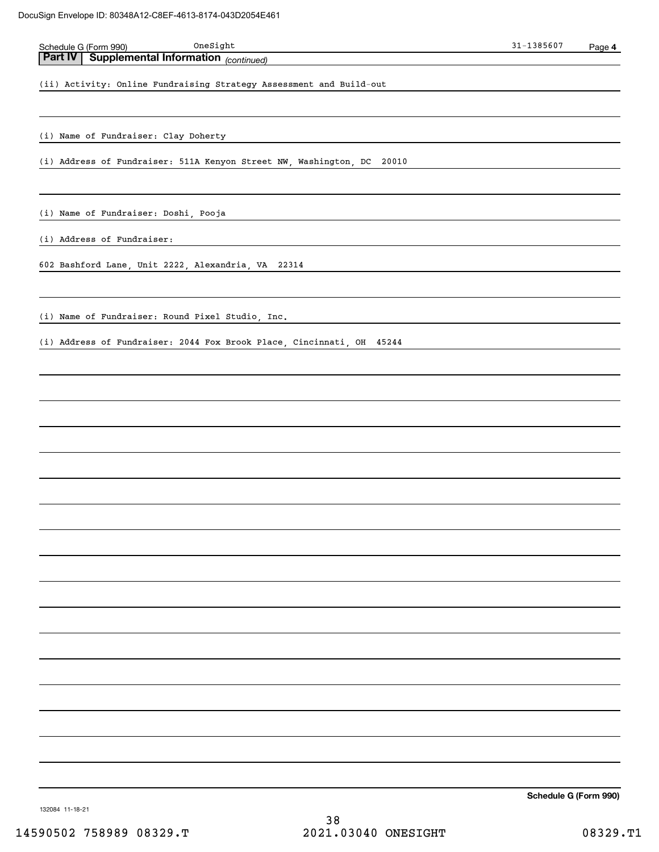| OneSight<br>Schedule G (Form 990)                                      | $31 - 1385607$ | Page 4 |
|------------------------------------------------------------------------|----------------|--------|
| Part IV Supplemental Information (continued)                           |                |        |
| (ii) Activity: Online Fundraising Strategy Assessment and Build-out    |                |        |
|                                                                        |                |        |
| (i) Name of Fundraiser: Clay Doherty                                   |                |        |
| (i) Address of Fundraiser: 511A Kenyon Street NW, Washington, DC 20010 |                |        |
|                                                                        |                |        |
| (i) Name of Fundraiser: Doshi, Pooja                                   |                |        |
| (i) Address of Fundraiser:                                             |                |        |
| 602 Bashford Lane, Unit 2222, Alexandria, VA 22314                     |                |        |
| (i) Name of Fundraiser: Round Pixel Studio, Inc.                       |                |        |
|                                                                        |                |        |
| (i) Address of Fundraiser: 2044 Fox Brook Place, Cincinnati, OH 45244  |                |        |
|                                                                        |                |        |
|                                                                        |                |        |
|                                                                        |                |        |
|                                                                        |                |        |
|                                                                        |                |        |
|                                                                        |                |        |
|                                                                        |                |        |
|                                                                        |                |        |
|                                                                        |                |        |
|                                                                        |                |        |
|                                                                        |                |        |
|                                                                        |                |        |
|                                                                        |                |        |
|                                                                        |                |        |
|                                                                        |                |        |
|                                                                        |                |        |
|                                                                        |                |        |

132084 11-18-21

38 14590502 758989 08329.T 2021.03040 ONESIGHT 08329.T1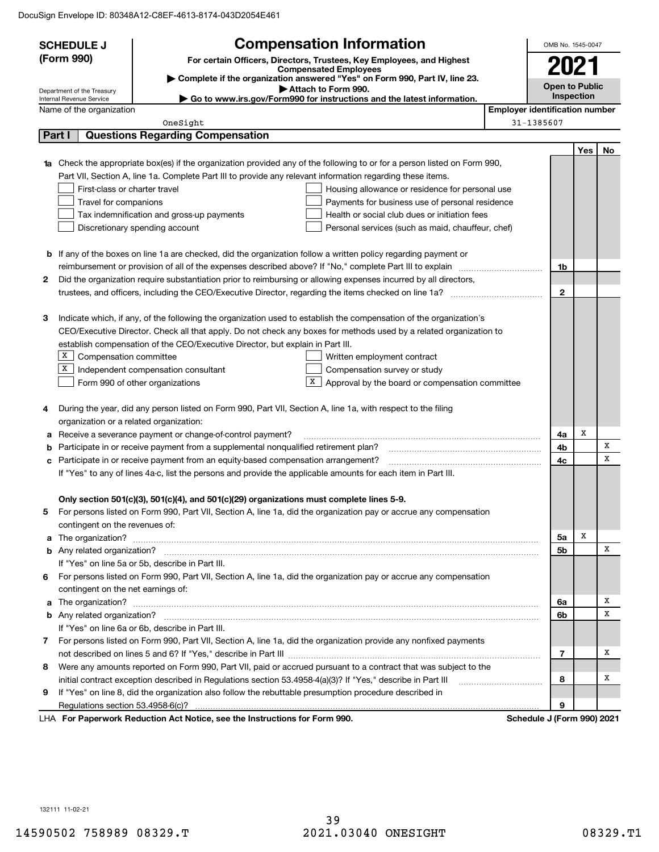DocuSign Envelope ID: 80348A12-C8EF-4613-8174-043D2054E461

|    | <b>SCHEDULE J</b>                       |                                                                                                                        | <b>Compensation Information</b>                                                                            |                                       | OMB No. 1545-0047     |     |    |  |
|----|-----------------------------------------|------------------------------------------------------------------------------------------------------------------------|------------------------------------------------------------------------------------------------------------|---------------------------------------|-----------------------|-----|----|--|
|    | (Form 990)                              |                                                                                                                        | For certain Officers, Directors, Trustees, Key Employees, and Highest                                      |                                       |                       |     |    |  |
|    |                                         |                                                                                                                        | <b>Compensated Employees</b><br>Complete if the organization answered "Yes" on Form 990, Part IV, line 23. |                                       | 2021                  |     |    |  |
|    | Department of the Treasury              |                                                                                                                        | Attach to Form 990.                                                                                        |                                       | <b>Open to Public</b> |     |    |  |
|    | Internal Revenue Service                |                                                                                                                        | Go to www.irs.gov/Form990 for instructions and the latest information.                                     | Inspection                            |                       |     |    |  |
|    | Name of the organization                |                                                                                                                        |                                                                                                            | <b>Employer identification number</b> |                       |     |    |  |
|    |                                         | OneSight                                                                                                               |                                                                                                            | 31-1385607                            |                       |     |    |  |
|    | Part I                                  | <b>Questions Regarding Compensation</b>                                                                                |                                                                                                            |                                       |                       |     |    |  |
|    |                                         |                                                                                                                        |                                                                                                            |                                       |                       | Yes | No |  |
| 1a |                                         | Check the appropriate box(es) if the organization provided any of the following to or for a person listed on Form 990, |                                                                                                            |                                       |                       |     |    |  |
|    |                                         | Part VII, Section A, line 1a. Complete Part III to provide any relevant information regarding these items.             |                                                                                                            |                                       |                       |     |    |  |
|    | First-class or charter travel           |                                                                                                                        | Housing allowance or residence for personal use                                                            |                                       |                       |     |    |  |
|    | Travel for companions                   |                                                                                                                        | Payments for business use of personal residence                                                            |                                       |                       |     |    |  |
|    |                                         | Tax indemnification and gross-up payments                                                                              | Health or social club dues or initiation fees                                                              |                                       |                       |     |    |  |
|    |                                         | Discretionary spending account                                                                                         | Personal services (such as maid, chauffeur, chef)                                                          |                                       |                       |     |    |  |
|    |                                         |                                                                                                                        |                                                                                                            |                                       |                       |     |    |  |
|    |                                         | <b>b</b> If any of the boxes on line 1a are checked, did the organization follow a written policy regarding payment or |                                                                                                            |                                       |                       |     |    |  |
|    |                                         |                                                                                                                        |                                                                                                            |                                       | 1b                    |     |    |  |
| 2  |                                         | Did the organization require substantiation prior to reimbursing or allowing expenses incurred by all directors,       |                                                                                                            |                                       |                       |     |    |  |
|    |                                         |                                                                                                                        |                                                                                                            |                                       | $\mathbf{2}$          |     |    |  |
|    |                                         |                                                                                                                        |                                                                                                            |                                       |                       |     |    |  |
| з  |                                         | Indicate which, if any, of the following the organization used to establish the compensation of the organization's     |                                                                                                            |                                       |                       |     |    |  |
|    |                                         | CEO/Executive Director. Check all that apply. Do not check any boxes for methods used by a related organization to     |                                                                                                            |                                       |                       |     |    |  |
|    |                                         | establish compensation of the CEO/Executive Director, but explain in Part III.                                         |                                                                                                            |                                       |                       |     |    |  |
|    | x<br>Compensation committee             |                                                                                                                        | Written employment contract                                                                                |                                       |                       |     |    |  |
|    | x                                       | Independent compensation consultant                                                                                    | Compensation survey or study                                                                               |                                       |                       |     |    |  |
|    |                                         | Form 990 of other organizations                                                                                        | X<br>Approval by the board or compensation committee                                                       |                                       |                       |     |    |  |
|    |                                         | During the year, did any person listed on Form 990, Part VII, Section A, line 1a, with respect to the filing           |                                                                                                            |                                       |                       |     |    |  |
| 4  | organization or a related organization: |                                                                                                                        |                                                                                                            |                                       |                       |     |    |  |
| а  |                                         | Receive a severance payment or change-of-control payment?                                                              |                                                                                                            |                                       | 4a                    | х   |    |  |
| b  |                                         | Participate in or receive payment from a supplemental nonqualified retirement plan?                                    |                                                                                                            |                                       | 4b                    |     | x  |  |
| с  |                                         | Participate in or receive payment from an equity-based compensation arrangement?                                       |                                                                                                            |                                       | 4с                    |     | X  |  |
|    |                                         | If "Yes" to any of lines 4a-c, list the persons and provide the applicable amounts for each item in Part III.          |                                                                                                            |                                       |                       |     |    |  |
|    |                                         |                                                                                                                        |                                                                                                            |                                       |                       |     |    |  |
|    |                                         | Only section 501(c)(3), 501(c)(4), and 501(c)(29) organizations must complete lines 5-9.                               |                                                                                                            |                                       |                       |     |    |  |
|    |                                         | For persons listed on Form 990, Part VII, Section A, line 1a, did the organization pay or accrue any compensation      |                                                                                                            |                                       |                       |     |    |  |
|    | contingent on the revenues of:          |                                                                                                                        |                                                                                                            |                                       |                       |     |    |  |
|    |                                         |                                                                                                                        |                                                                                                            |                                       | 5a                    | Х   |    |  |
|    | <b>b</b> Any related organization?      |                                                                                                                        |                                                                                                            |                                       | 5b                    |     | x  |  |
|    |                                         | If "Yes" on line 5a or 5b, describe in Part III.                                                                       |                                                                                                            |                                       |                       |     |    |  |
| 6  |                                         | For persons listed on Form 990, Part VII, Section A, line 1a, did the organization pay or accrue any compensation      |                                                                                                            |                                       |                       |     |    |  |
|    | contingent on the net earnings of:      |                                                                                                                        |                                                                                                            |                                       |                       |     |    |  |
| a  |                                         | The organization? <b>With the organization? With the organization? With the organization? With the organization?</b>   |                                                                                                            |                                       | 6a                    |     | х  |  |
|    | <b>b</b> Any related organization?      |                                                                                                                        |                                                                                                            |                                       | 6b                    |     | x  |  |
|    |                                         | If "Yes" on line 6a or 6b, describe in Part III.                                                                       |                                                                                                            |                                       |                       |     |    |  |
|    |                                         | 7 For persons listed on Form 990, Part VII, Section A, line 1a, did the organization provide any nonfixed payments     |                                                                                                            |                                       |                       |     |    |  |
|    |                                         |                                                                                                                        |                                                                                                            |                                       | $\overline{7}$        |     | x  |  |
| 8  |                                         | Were any amounts reported on Form 990, Part VII, paid or accrued pursuant to a contract that was subject to the        |                                                                                                            |                                       |                       |     |    |  |
|    |                                         | initial contract exception described in Regulations section 53.4958-4(a)(3)? If "Yes," describe in Part III            |                                                                                                            |                                       | 8                     |     | x  |  |
| 9  |                                         | If "Yes" on line 8, did the organization also follow the rebuttable presumption procedure described in                 |                                                                                                            |                                       |                       |     |    |  |
|    |                                         |                                                                                                                        |                                                                                                            |                                       | 9                     |     |    |  |
|    |                                         | LHA For Paperwork Reduction Act Notice, see the Instructions for Form 990.                                             |                                                                                                            | Schedule J (Form 990) 2021            |                       |     |    |  |

132111 11-02-21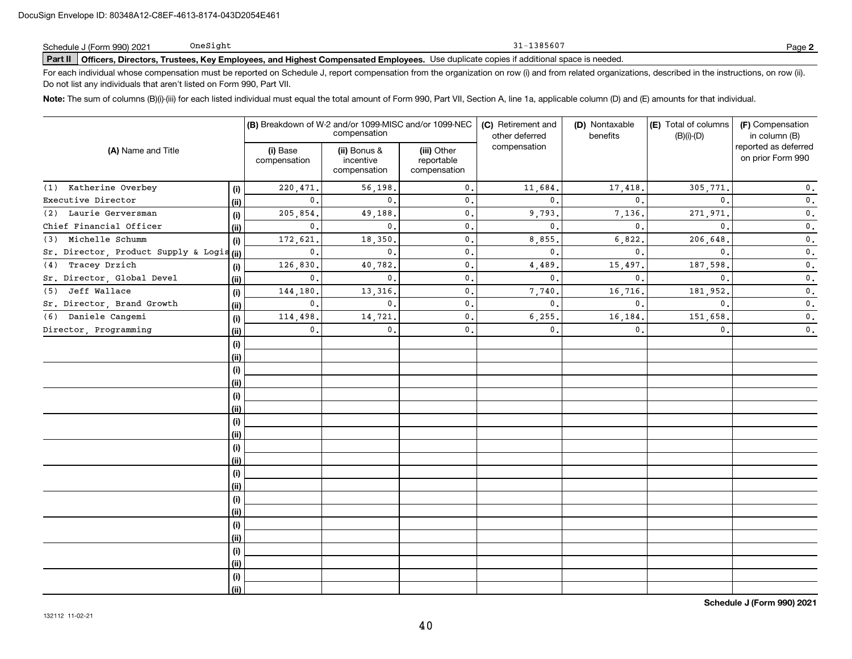|                            | OneSight |
|----------------------------|----------|
| Schedule J (Form 990) 2021 |          |

**Part II Officers, Directors, Trustees, Key Employees, and Highest Compensated Employees.**  Schedule J (Form 990) 2021 Page Use duplicate copies if additional space is needed.

For each individual whose compensation must be reported on Schedule J, report compensation from the organization on row (i) and from related organizations, described in the instructions, on row (ii). Do not list any individuals that aren't listed on Form 990, Part VII.

31-1385607

**Note:**  The sum of columns (B)(i)-(iii) for each listed individual must equal the total amount of Form 990, Part VII, Section A, line 1a, applicable column (D) and (E) amounts for that individual.

| (A) Name and Title                       |      |                          | (B) Breakdown of W-2 and/or 1099-MISC and/or 1099-NEC<br>compensation |                                           | (C) Retirement and<br>other deferred | (D) Nontaxable<br>benefits | (E) Total of columns<br>$(B)(i)-(D)$ | (F) Compensation<br>in column (B)         |  |
|------------------------------------------|------|--------------------------|-----------------------------------------------------------------------|-------------------------------------------|--------------------------------------|----------------------------|--------------------------------------|-------------------------------------------|--|
|                                          |      | (i) Base<br>compensation | (ii) Bonus &<br>incentive<br>compensation                             | (iii) Other<br>reportable<br>compensation | compensation                         |                            |                                      | reported as deferred<br>on prior Form 990 |  |
| (1) Katherine Overbey                    | (i)  | 220,471.                 | 56,198,                                                               | $\mathbf{0}$ .                            | 11,684.                              | 17,418.                    | 305,771.                             | $\mathfrak o$ .                           |  |
| Executive Director                       | (ii) | $\mathbf{0}$ .           | $\mathbf{0}$ .                                                        | $\mathbf{0}$ .                            | 0.                                   | $\mathbf{0}$ .             | $\mathbf{0}$ .                       | $\mathfrak o$ .                           |  |
| (2) Laurie Gerversman                    | (i)  | 205,854.                 | 49,188.                                                               | $\mathsf{0}\,.$                           | 9,793.                               | 7,136.                     | 271,971.                             | $\mathfrak o$ .                           |  |
| Chief Financial Officer                  | (ii) | $\mathbf{0}$ .           | 0.                                                                    | $\mathbf{0}$ .                            | 0.                                   | $\mathbf{0}$ .             | 0.                                   | $\mathfrak o$ .                           |  |
| Michelle Schumm<br>(3)                   | (i)  | 172,621.                 | 18,350.                                                               | $\mathbf{0}$ .                            | 8,855.                               | 6,822.                     | 206,648.                             | $\mathfrak o$ .                           |  |
| Sr. Director, Product Supply & Logis(ii) |      | $\mathbf{0}$ .           | 0.                                                                    | $\mathbf{0}$ .                            | 0.                                   | 0.                         | 0.                                   | $\mathfrak o$ .                           |  |
| Tracey Drzich<br>(4)                     | (i)  | 126,830.                 | 40,782.                                                               | $\mathbf{0}$ .                            | 4,489.                               | 15,497                     | 187,598.                             | $\mathfrak o$ .                           |  |
| Sr. Director, Global Devel               | (ii) | $\mathbf{0}$ .           | $\mathbf{0}$ .                                                        | $\mathbf{0}$ .                            | 0.                                   | $\mathbf{0}$ .             | $\mathbf{0}$ .                       | $\mathbf 0$ .                             |  |
| Jeff Wallace<br>(5)                      | (i)  | 144,180.                 | 13, 316,                                                              | $\mathbf{0}$ .                            | 7,740.                               | 16,716.                    | 181,952.                             | $\mathfrak o$ .                           |  |
| Sr. Director, Brand Growth               | (ii) | 0.                       | $\mathbf{0}$ .                                                        | $\mathbf{0}$ .                            | $\mathbf{0}$ .                       | $\mathbf{0}$ .             | $\mathbf{0}$ .                       | $\mathfrak o$ .                           |  |
| Daniele Cangemi<br>(6)                   | (i)  | 114,498.                 | 14,721.                                                               | $\mathbf{0}$ .                            | 6, 255.                              | 16,184.                    | 151,658.                             | $\mathbf 0$ .                             |  |
| Director, Programming                    | (ii) | $\mathbf{0}$ .           | $\mathbf{0}$ .                                                        | 0.                                        | 0.                                   | $\mathbf{0}$ .             | 0.                                   | $\mathfrak o$ .                           |  |
|                                          | (i)  |                          |                                                                       |                                           |                                      |                            |                                      |                                           |  |
|                                          | (ii) |                          |                                                                       |                                           |                                      |                            |                                      |                                           |  |
|                                          | (i)  |                          |                                                                       |                                           |                                      |                            |                                      |                                           |  |
|                                          | (ii) |                          |                                                                       |                                           |                                      |                            |                                      |                                           |  |
|                                          | (i)  |                          |                                                                       |                                           |                                      |                            |                                      |                                           |  |
|                                          | (ii) |                          |                                                                       |                                           |                                      |                            |                                      |                                           |  |
|                                          | (i)  |                          |                                                                       |                                           |                                      |                            |                                      |                                           |  |
|                                          | (ii) |                          |                                                                       |                                           |                                      |                            |                                      |                                           |  |
|                                          | (i)  |                          |                                                                       |                                           |                                      |                            |                                      |                                           |  |
|                                          | (ii) |                          |                                                                       |                                           |                                      |                            |                                      |                                           |  |
|                                          | (i)  |                          |                                                                       |                                           |                                      |                            |                                      |                                           |  |
|                                          | (ii) |                          |                                                                       |                                           |                                      |                            |                                      |                                           |  |
|                                          | (i)  |                          |                                                                       |                                           |                                      |                            |                                      |                                           |  |
|                                          | (ii) |                          |                                                                       |                                           |                                      |                            |                                      |                                           |  |
|                                          | (i)  |                          |                                                                       |                                           |                                      |                            |                                      |                                           |  |
|                                          | (ii) |                          |                                                                       |                                           |                                      |                            |                                      |                                           |  |
|                                          | (i)  |                          |                                                                       |                                           |                                      |                            |                                      |                                           |  |
|                                          | (ii) |                          |                                                                       |                                           |                                      |                            |                                      |                                           |  |
|                                          | (i)  |                          |                                                                       |                                           |                                      |                            |                                      |                                           |  |
|                                          | (ii) |                          |                                                                       |                                           |                                      |                            |                                      |                                           |  |

**Schedule J (Form 990) 2021**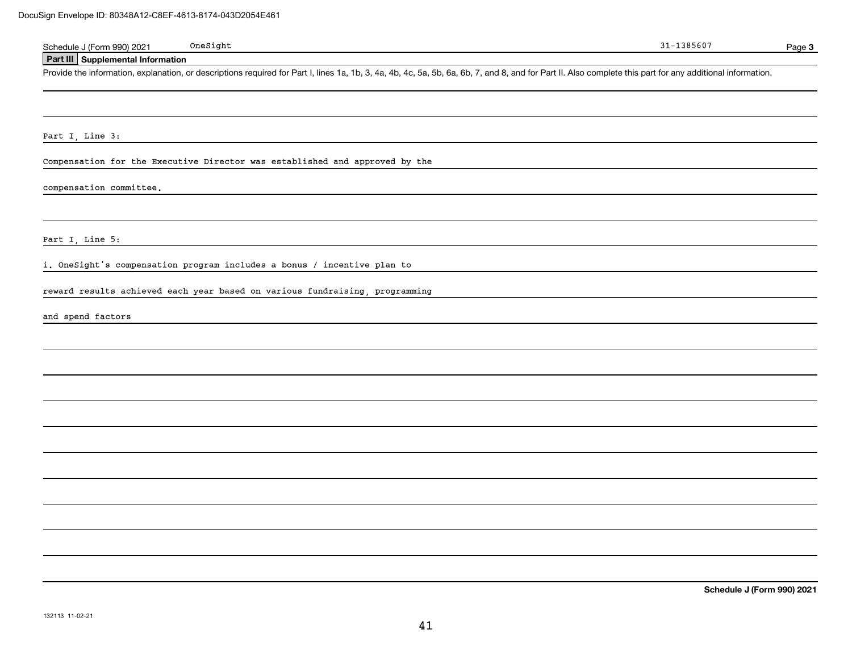| $On e Sight$<br>Schedule J (Form 990) 2021                                                                                                                                                                 | $31 - 1385607$ | Page 3                     |
|------------------------------------------------------------------------------------------------------------------------------------------------------------------------------------------------------------|----------------|----------------------------|
| Part III Supplemental Information                                                                                                                                                                          |                |                            |
| Provide the information, explanation, or descriptions required for Part I, lines 1a, 1b, 3, 4a, 4b, 4c, 5a, 5b, 6a, 6b, 7, and 8, and for Part II. Also complete this part for any additional information. |                |                            |
|                                                                                                                                                                                                            |                |                            |
| Part I, Line 3:                                                                                                                                                                                            |                |                            |
| Compensation for the Executive Director was established and approved by the                                                                                                                                |                |                            |
| compensation committee.                                                                                                                                                                                    |                |                            |
|                                                                                                                                                                                                            |                |                            |
| Part I, Line 5:                                                                                                                                                                                            |                |                            |
| i. OneSight's compensation program includes a bonus / incentive plan to                                                                                                                                    |                |                            |
| reward results achieved each year based on various fundraising, programming                                                                                                                                |                |                            |
| and spend factors                                                                                                                                                                                          |                |                            |
|                                                                                                                                                                                                            |                |                            |
|                                                                                                                                                                                                            |                |                            |
|                                                                                                                                                                                                            |                |                            |
|                                                                                                                                                                                                            |                |                            |
|                                                                                                                                                                                                            |                |                            |
|                                                                                                                                                                                                            |                |                            |
|                                                                                                                                                                                                            |                |                            |
|                                                                                                                                                                                                            |                |                            |
|                                                                                                                                                                                                            |                |                            |
|                                                                                                                                                                                                            |                |                            |
|                                                                                                                                                                                                            |                | Schedule J (Form 990) 2021 |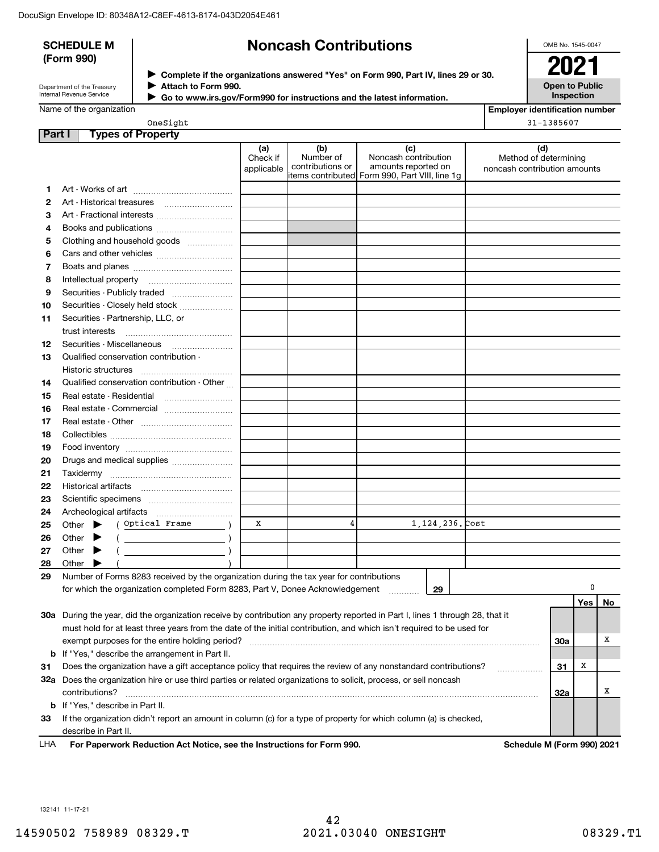|        | <b>SCHEDULE M</b>                       |                                                                                                                                |                               | <b>Noncash Contributions</b>         |                                                                                                       | OMB No. 1545-0047                                            |           |
|--------|-----------------------------------------|--------------------------------------------------------------------------------------------------------------------------------|-------------------------------|--------------------------------------|-------------------------------------------------------------------------------------------------------|--------------------------------------------------------------|-----------|
|        | (Form 990)                              |                                                                                                                                |                               |                                      |                                                                                                       |                                                              |           |
|        |                                         |                                                                                                                                |                               |                                      | > Complete if the organizations answered "Yes" on Form 990, Part IV, lines 29 or 30.                  | 2021                                                         |           |
|        | Department of the Treasury              | Attach to Form 990.                                                                                                            |                               |                                      |                                                                                                       | <b>Open to Public</b>                                        |           |
|        | Internal Revenue Service                |                                                                                                                                |                               |                                      | Go to www.irs.gov/Form990 for instructions and the latest information.                                | Inspection                                                   |           |
|        | Name of the organization                |                                                                                                                                |                               |                                      |                                                                                                       | <b>Employer identification number</b>                        |           |
|        |                                         | OneSight                                                                                                                       |                               |                                      |                                                                                                       | 31-1385607                                                   |           |
| Part I |                                         | <b>Types of Property</b>                                                                                                       |                               |                                      |                                                                                                       |                                                              |           |
|        |                                         |                                                                                                                                | (a)<br>Check if<br>applicable | (b)<br>Number of<br>contributions or | (c)<br>Noncash contribution<br>amounts reported on<br>litems contributed Form 990, Part VIII, line 1q | (d)<br>Method of determining<br>noncash contribution amounts |           |
| 1      |                                         |                                                                                                                                |                               |                                      |                                                                                                       |                                                              |           |
| 2      | Art - Historical treasures              |                                                                                                                                |                               |                                      |                                                                                                       |                                                              |           |
| з      |                                         |                                                                                                                                |                               |                                      |                                                                                                       |                                                              |           |
| 4      |                                         |                                                                                                                                |                               |                                      |                                                                                                       |                                                              |           |
| 5      |                                         | Clothing and household goods                                                                                                   |                               |                                      |                                                                                                       |                                                              |           |
| 6      |                                         |                                                                                                                                |                               |                                      |                                                                                                       |                                                              |           |
| 7      |                                         |                                                                                                                                |                               |                                      |                                                                                                       |                                                              |           |
| 8      | Intellectual property                   |                                                                                                                                |                               |                                      |                                                                                                       |                                                              |           |
| 9      |                                         |                                                                                                                                |                               |                                      |                                                                                                       |                                                              |           |
| 10     |                                         | Securities - Closely held stock                                                                                                |                               |                                      |                                                                                                       |                                                              |           |
| 11     | Securities - Partnership, LLC, or       |                                                                                                                                |                               |                                      |                                                                                                       |                                                              |           |
|        | trust interests                         |                                                                                                                                |                               |                                      |                                                                                                       |                                                              |           |
| 12     | Securities - Miscellaneous              |                                                                                                                                |                               |                                      |                                                                                                       |                                                              |           |
| 13     |                                         | Qualified conservation contribution -                                                                                          |                               |                                      |                                                                                                       |                                                              |           |
|        | Historic structures                     |                                                                                                                                |                               |                                      |                                                                                                       |                                                              |           |
| 14     |                                         | Qualified conservation contribution - Other                                                                                    |                               |                                      |                                                                                                       |                                                              |           |
| 15     | Real estate - Residential               |                                                                                                                                |                               |                                      |                                                                                                       |                                                              |           |
| 16     |                                         | Real estate - Commercial                                                                                                       |                               |                                      |                                                                                                       |                                                              |           |
| 17     |                                         |                                                                                                                                |                               |                                      |                                                                                                       |                                                              |           |
| 18     |                                         |                                                                                                                                |                               |                                      |                                                                                                       |                                                              |           |
| 19     |                                         |                                                                                                                                |                               |                                      |                                                                                                       |                                                              |           |
| 20     |                                         | Drugs and medical supplies                                                                                                     |                               |                                      |                                                                                                       |                                                              |           |
| 21     |                                         |                                                                                                                                |                               |                                      |                                                                                                       |                                                              |           |
| 22     | Historical artifacts                    |                                                                                                                                |                               |                                      |                                                                                                       |                                                              |           |
| 23     |                                         |                                                                                                                                |                               |                                      |                                                                                                       |                                                              |           |
| 24     | Archeological artifacts                 |                                                                                                                                |                               |                                      |                                                                                                       |                                                              |           |
| 25     | Other                                   | Optical Frame                                                                                                                  | X                             | 4                                    | 1,124,236. Cost                                                                                       |                                                              |           |
| 26     | Other                                   |                                                                                                                                |                               |                                      |                                                                                                       |                                                              |           |
| 27     | Other                                   |                                                                                                                                |                               |                                      |                                                                                                       |                                                              |           |
| 28     | Other                                   |                                                                                                                                |                               |                                      |                                                                                                       |                                                              |           |
| 29     |                                         | Number of Forms 8283 received by the organization during the tax year for contributions                                        |                               |                                      |                                                                                                       |                                                              | 0         |
|        |                                         | for which the organization completed Form 8283, Part V, Donee Acknowledgement                                                  |                               |                                      | 29                                                                                                    |                                                              |           |
|        |                                         |                                                                                                                                |                               |                                      |                                                                                                       |                                                              | Yes<br>No |
|        |                                         | 30a During the year, did the organization receive by contribution any property reported in Part I, lines 1 through 28, that it |                               |                                      |                                                                                                       |                                                              |           |
|        |                                         | must hold for at least three years from the date of the initial contribution, and which isn't required to be used for          |                               |                                      |                                                                                                       |                                                              | Х         |
|        |                                         | exempt purposes for the entire holding period?                                                                                 |                               |                                      |                                                                                                       | 30a                                                          |           |
| b      |                                         | If "Yes," describe the arrangement in Part II.                                                                                 |                               |                                      |                                                                                                       |                                                              | х         |
| 31     |                                         | Does the organization have a gift acceptance policy that requires the review of any nonstandard contributions?                 |                               |                                      |                                                                                                       | 31                                                           |           |
|        |                                         | 32a Does the organization hire or use third parties or related organizations to solicit, process, or sell noncash              |                               |                                      |                                                                                                       |                                                              | Х         |
|        | contributions?                          |                                                                                                                                |                               |                                      |                                                                                                       | 32a                                                          |           |
|        | <b>b</b> If "Yes," describe in Part II. |                                                                                                                                |                               |                                      |                                                                                                       |                                                              |           |
| 33     | describe in Part II.                    | If the organization didn't report an amount in column (c) for a type of property for which column (a) is checked,              |                               |                                      |                                                                                                       |                                                              |           |

**For Paperwork Reduction Act Notice, see the Instructions for Form 990. Schedule M (Form 990) 2021** LHA

132141 11-17-21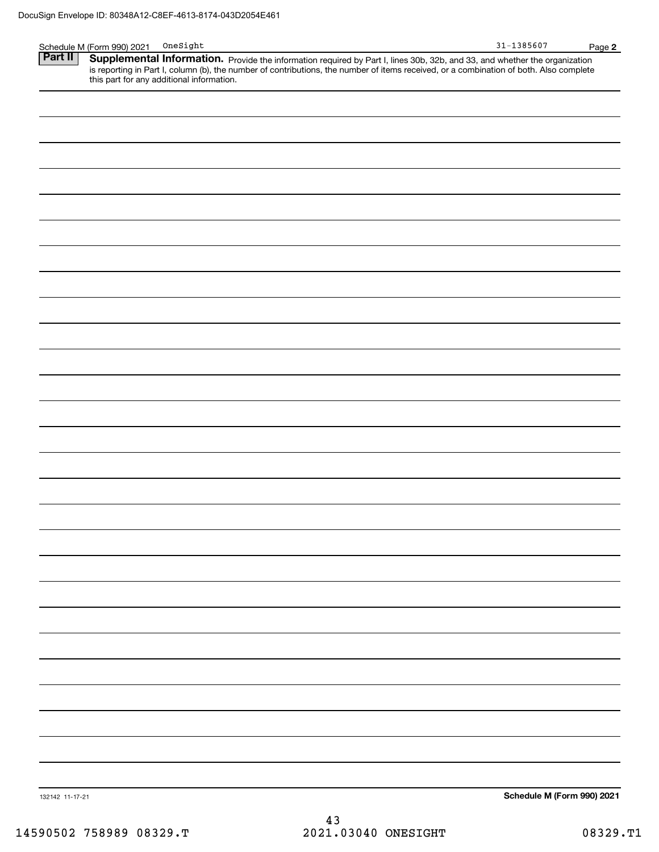|                 | On e Sight<br>Schedule M (Form 990) 2021                                                                                                                                                                                            | $31 - 1385607$             | Page 2 |
|-----------------|-------------------------------------------------------------------------------------------------------------------------------------------------------------------------------------------------------------------------------------|----------------------------|--------|
| Part II         | <b>Supplemental Information.</b> Provide the information required by Part I, lines 30b, 32b, and 33, and whether the organization is reporting in Part I, column (b), the number of contributions, the number of items received, or |                            |        |
|                 |                                                                                                                                                                                                                                     |                            |        |
|                 | this part for any additional information.                                                                                                                                                                                           |                            |        |
|                 |                                                                                                                                                                                                                                     |                            |        |
|                 |                                                                                                                                                                                                                                     |                            |        |
|                 |                                                                                                                                                                                                                                     |                            |        |
|                 |                                                                                                                                                                                                                                     |                            |        |
|                 |                                                                                                                                                                                                                                     |                            |        |
|                 |                                                                                                                                                                                                                                     |                            |        |
|                 |                                                                                                                                                                                                                                     |                            |        |
|                 |                                                                                                                                                                                                                                     |                            |        |
|                 |                                                                                                                                                                                                                                     |                            |        |
|                 |                                                                                                                                                                                                                                     |                            |        |
|                 |                                                                                                                                                                                                                                     |                            |        |
|                 |                                                                                                                                                                                                                                     |                            |        |
|                 |                                                                                                                                                                                                                                     |                            |        |
|                 |                                                                                                                                                                                                                                     |                            |        |
|                 |                                                                                                                                                                                                                                     |                            |        |
|                 |                                                                                                                                                                                                                                     |                            |        |
|                 |                                                                                                                                                                                                                                     |                            |        |
|                 |                                                                                                                                                                                                                                     |                            |        |
|                 |                                                                                                                                                                                                                                     |                            |        |
|                 |                                                                                                                                                                                                                                     |                            |        |
|                 |                                                                                                                                                                                                                                     |                            |        |
|                 |                                                                                                                                                                                                                                     |                            |        |
|                 |                                                                                                                                                                                                                                     |                            |        |
|                 |                                                                                                                                                                                                                                     |                            |        |
|                 |                                                                                                                                                                                                                                     |                            |        |
|                 |                                                                                                                                                                                                                                     |                            |        |
|                 |                                                                                                                                                                                                                                     |                            |        |
|                 |                                                                                                                                                                                                                                     |                            |        |
|                 |                                                                                                                                                                                                                                     |                            |        |
|                 |                                                                                                                                                                                                                                     |                            |        |
|                 |                                                                                                                                                                                                                                     |                            |        |
|                 |                                                                                                                                                                                                                                     |                            |        |
|                 |                                                                                                                                                                                                                                     |                            |        |
|                 |                                                                                                                                                                                                                                     |                            |        |
|                 |                                                                                                                                                                                                                                     |                            |        |
|                 |                                                                                                                                                                                                                                     |                            |        |
|                 |                                                                                                                                                                                                                                     |                            |        |
|                 |                                                                                                                                                                                                                                     |                            |        |
|                 |                                                                                                                                                                                                                                     |                            |        |
|                 |                                                                                                                                                                                                                                     |                            |        |
|                 |                                                                                                                                                                                                                                     |                            |        |
|                 |                                                                                                                                                                                                                                     |                            |        |
|                 |                                                                                                                                                                                                                                     |                            |        |
|                 |                                                                                                                                                                                                                                     |                            |        |
|                 |                                                                                                                                                                                                                                     |                            |        |
|                 |                                                                                                                                                                                                                                     |                            |        |
|                 |                                                                                                                                                                                                                                     |                            |        |
|                 |                                                                                                                                                                                                                                     |                            |        |
|                 |                                                                                                                                                                                                                                     |                            |        |
|                 |                                                                                                                                                                                                                                     |                            |        |
|                 |                                                                                                                                                                                                                                     |                            |        |
|                 |                                                                                                                                                                                                                                     |                            |        |
| 132142 11-17-21 |                                                                                                                                                                                                                                     | Schedule M (Form 990) 2021 |        |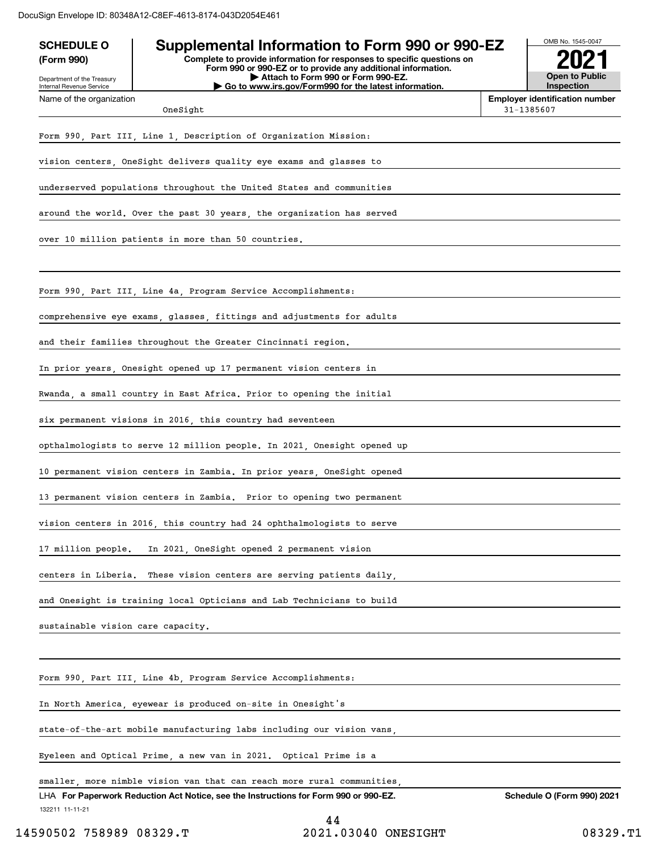| <b>SCHEDULE O</b>                                                      | Supplemental Information to Form 990 or 990-EZ                                                                                         |  | OMB No. 1545-0047                                   |  |  |  |
|------------------------------------------------------------------------|----------------------------------------------------------------------------------------------------------------------------------------|--|-----------------------------------------------------|--|--|--|
| (Form 990)                                                             | Complete to provide information for responses to specific questions on<br>Form 990 or 990-EZ or to provide any additional information. |  |                                                     |  |  |  |
| Department of the Treasury<br>Internal Revenue Service                 | Attach to Form 990 or Form 990-EZ.<br>Go to www.irs.gov/Form990 for the latest information.                                            |  | Open to Public<br><b>Inspection</b>                 |  |  |  |
| Name of the organization                                               | OneSight                                                                                                                               |  | <b>Employer identification number</b><br>31-1385607 |  |  |  |
|                                                                        | Form 990, Part III, Line 1, Description of Organization Mission:                                                                       |  |                                                     |  |  |  |
|                                                                        |                                                                                                                                        |  |                                                     |  |  |  |
| vision centers, OneSight delivers quality eye exams and glasses to     |                                                                                                                                        |  |                                                     |  |  |  |
| underserved populations throughout the United States and communities   |                                                                                                                                        |  |                                                     |  |  |  |
|                                                                        | around the world. Over the past 30 years, the organization has served                                                                  |  |                                                     |  |  |  |
|                                                                        | over 10 million patients in more than 50 countries.                                                                                    |  |                                                     |  |  |  |
|                                                                        |                                                                                                                                        |  |                                                     |  |  |  |
|                                                                        | Form 990, Part III, Line 4a, Program Service Accomplishments:                                                                          |  |                                                     |  |  |  |
|                                                                        | comprehensive eye exams, glasses, fittings and adjustments for adults                                                                  |  |                                                     |  |  |  |
|                                                                        | and their families throughout the Greater Cincinnati region.                                                                           |  |                                                     |  |  |  |
|                                                                        | In prior years, Onesight opened up 17 permanent vision centers in                                                                      |  |                                                     |  |  |  |
|                                                                        | Rwanda, a small country in East Africa. Prior to opening the initial                                                                   |  |                                                     |  |  |  |
|                                                                        | six permanent visions in 2016, this country had seventeen                                                                              |  |                                                     |  |  |  |
|                                                                        | opthalmologists to serve 12 million people. In 2021, Onesight opened up                                                                |  |                                                     |  |  |  |
|                                                                        | 10 permanent vision centers in Zambia. In prior years, OneSight opened                                                                 |  |                                                     |  |  |  |
|                                                                        | 13 permanent vision centers in Zambia. Prior to opening two permanent                                                                  |  |                                                     |  |  |  |
|                                                                        | vision centers in 2016, this country had 24 ophthalmologists to serve                                                                  |  |                                                     |  |  |  |
| 17 million people.                                                     | In 2021, OneSight opened 2 permanent vision                                                                                            |  |                                                     |  |  |  |
| centers in Liberia.                                                    | These vision centers are serving patients daily,                                                                                       |  |                                                     |  |  |  |
|                                                                        | and Onesight is training local Opticians and Lab Technicians to build                                                                  |  |                                                     |  |  |  |
| sustainable vision care capacity.                                      |                                                                                                                                        |  |                                                     |  |  |  |
|                                                                        |                                                                                                                                        |  |                                                     |  |  |  |
|                                                                        | Form 990, Part III, Line 4b, Program Service Accomplishments:                                                                          |  |                                                     |  |  |  |
|                                                                        | In North America, eyewear is produced on-site in Onesight's                                                                            |  |                                                     |  |  |  |
| state-of-the-art mobile manufacturing labs including our vision vans,  |                                                                                                                                        |  |                                                     |  |  |  |
|                                                                        | Eyeleen and Optical Prime, a new van in 2021.  Optical Prime is a                                                                      |  |                                                     |  |  |  |
| smaller, more nimble vision van that can reach more rural communities, |                                                                                                                                        |  |                                                     |  |  |  |
| 132211 11-11-21                                                        | LHA For Paperwork Reduction Act Notice, see the Instructions for Form 990 or 990-EZ.                                                   |  | <b>Schedule O (Form 990) 2021</b>                   |  |  |  |
|                                                                        | 1 A                                                                                                                                    |  |                                                     |  |  |  |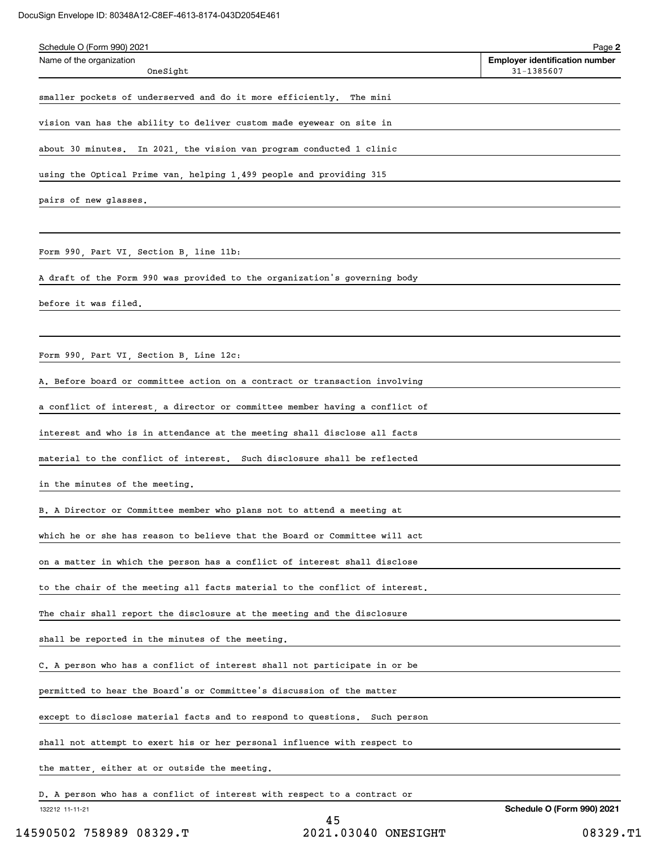| Schedule O (Form 990) 2021                                                    | Page 2                                              |
|-------------------------------------------------------------------------------|-----------------------------------------------------|
| Name of the organization<br>OneSight                                          | <b>Employer identification number</b><br>31-1385607 |
| smaller pockets of underserved and do it more efficiently.<br>The mini        |                                                     |
| vision van has the ability to deliver custom made eyewear on site in          |                                                     |
| about 30 minutes. In 2021, the vision van program conducted 1 clinic          |                                                     |
| using the Optical Prime van, helping 1,499 people and providing 315           |                                                     |
| pairs of new glasses.                                                         |                                                     |
|                                                                               |                                                     |
| Form 990, Part VI, Section B, line 11b:                                       |                                                     |
| A draft of the Form 990 was provided to the organization's governing body     |                                                     |
| before it was filed.                                                          |                                                     |
|                                                                               |                                                     |
| Form 990, Part VI, Section B, Line 12c:                                       |                                                     |
| A. Before board or committee action on a contract or transaction involving    |                                                     |
| a conflict of interest, a director or committee member having a conflict of   |                                                     |
| interest and who is in attendance at the meeting shall disclose all facts     |                                                     |
| material to the conflict of interest. Such disclosure shall be reflected      |                                                     |
| in the minutes of the meeting.                                                |                                                     |
| B. A Director or Committee member who plans not to attend a meeting at        |                                                     |
| which he or she has reason to believe that the Board or Committee will act    |                                                     |
| on a matter in which the person has a conflict of interest shall disclose     |                                                     |
| to the chair of the meeting all facts material to the conflict of interest.   |                                                     |
| The chair shall report the disclosure at the meeting and the disclosure       |                                                     |
| shall be reported in the minutes of the meeting.                              |                                                     |
| C. A person who has a conflict of interest shall not participate in or be     |                                                     |
| permitted to hear the Board's or Committee's discussion of the matter         |                                                     |
| except to disclose material facts and to respond to questions.<br>Such person |                                                     |
| shall not attempt to exert his or her personal influence with respect to      |                                                     |
| the matter, either at or outside the meeting.                                 |                                                     |
| D. A person who has a conflict of interest with respect to a contract or      |                                                     |
| 132212 11-11-21                                                               | <b>Schedule O (Form 990) 2021</b>                   |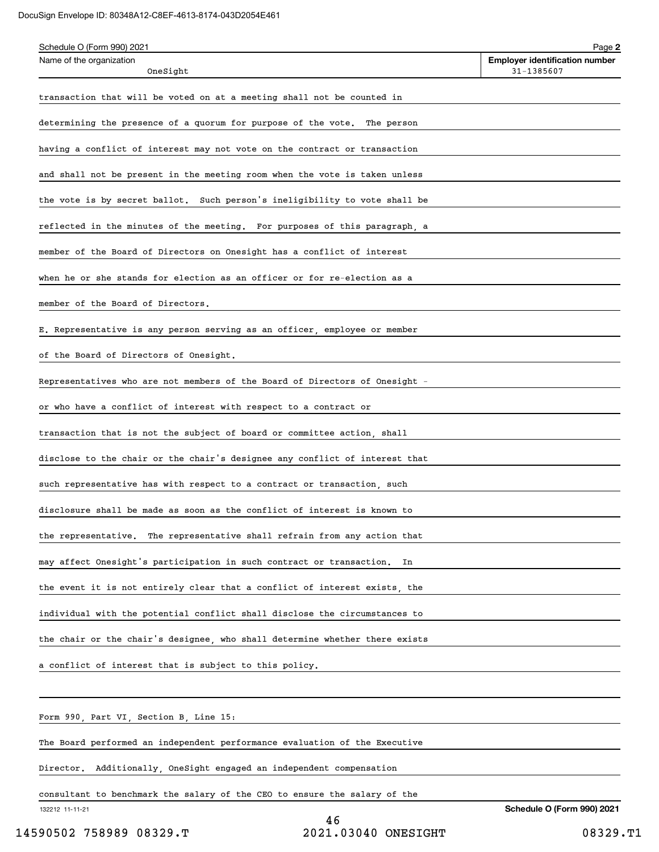#### DocuSign Envelope ID: 80348A12-C8EF-4613-8174-043D2054E461

| Schedule O (Form 990) 2021                                                  | Page 2                                              |
|-----------------------------------------------------------------------------|-----------------------------------------------------|
| Name of the organization<br>OneSight                                        | <b>Employer identification number</b><br>31-1385607 |
| transaction that will be voted on at a meeting shall not be counted in      |                                                     |
| determining the presence of a quorum for purpose of the vote. The person    |                                                     |
| having a conflict of interest may not vote on the contract or transaction   |                                                     |
| and shall not be present in the meeting room when the vote is taken unless  |                                                     |
| the vote is by secret ballot. Such person's ineligibility to vote shall be  |                                                     |
| reflected in the minutes of the meeting. For purposes of this paragraph, a  |                                                     |
| member of the Board of Directors on Onesight has a conflict of interest     |                                                     |
| when he or she stands for election as an officer or for re-election as a    |                                                     |
| member of the Board of Directors.                                           |                                                     |
| E. Representative is any person serving as an officer, employee or member   |                                                     |
| of the Board of Directors of Onesight.                                      |                                                     |
| Representatives who are not members of the Board of Directors of Onesight - |                                                     |
| or who have a conflict of interest with respect to a contract or            |                                                     |
| transaction that is not the subject of board or committee action, shall     |                                                     |
| disclose to the chair or the chair's designee any conflict of interest that |                                                     |
| such representative has with respect to a contract or transaction, such     |                                                     |
| disclosure shall be made as soon as the conflict of interest is known to    |                                                     |
| the representative.  The representative shall refrain from any action that  |                                                     |
| may affect Onesight's participation in such contract or transaction.<br>In  |                                                     |
| the event it is not entirely clear that a conflict of interest exists, the  |                                                     |
| individual with the potential conflict shall disclose the circumstances to  |                                                     |
| the chair or the chair's designee, who shall determine whether there exists |                                                     |
| a conflict of interest that is subject to this policy.                      |                                                     |
|                                                                             |                                                     |
| Form 990, Part VI, Section B, Line 15:                                      |                                                     |
| The Board performed an independent performance evaluation of the Executive  |                                                     |

Director. Additionally, OneSight engaged an independent compensation

consultant to benchmark the salary of the CEO to ensure the salary of the

132212 11-11-21

46 14590502 758989 08329.T 2021.03040 ONESIGHT 08329.T1

**Schedule O (Form 990) 2021**